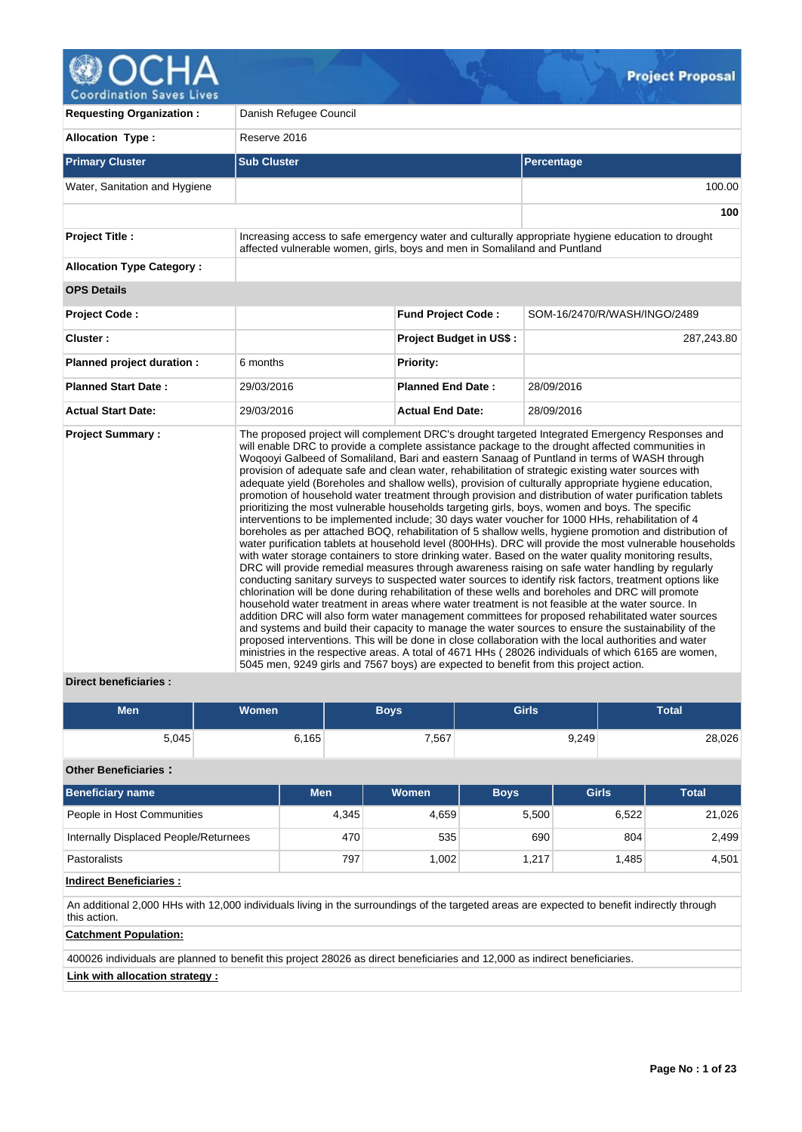

| <b>Requesting Organization:</b>  | Danish Refugee Council                                                                |                                |                                                                                                                                                                                                                                                                                                                                                                                                                                                                                                                                                                                                                                                                                                                                                                                                                                                                                                                                                                                                                                                                                                                                                                                                                                                                                                                                                                                                                                                                                                                                                                                                                                                                                                                                                                                                                                                                                                                                                                                                                      |  |  |  |  |  |
|----------------------------------|---------------------------------------------------------------------------------------|--------------------------------|----------------------------------------------------------------------------------------------------------------------------------------------------------------------------------------------------------------------------------------------------------------------------------------------------------------------------------------------------------------------------------------------------------------------------------------------------------------------------------------------------------------------------------------------------------------------------------------------------------------------------------------------------------------------------------------------------------------------------------------------------------------------------------------------------------------------------------------------------------------------------------------------------------------------------------------------------------------------------------------------------------------------------------------------------------------------------------------------------------------------------------------------------------------------------------------------------------------------------------------------------------------------------------------------------------------------------------------------------------------------------------------------------------------------------------------------------------------------------------------------------------------------------------------------------------------------------------------------------------------------------------------------------------------------------------------------------------------------------------------------------------------------------------------------------------------------------------------------------------------------------------------------------------------------------------------------------------------------------------------------------------------------|--|--|--|--|--|
| <b>Allocation Type:</b>          | Reserve 2016                                                                          |                                |                                                                                                                                                                                                                                                                                                                                                                                                                                                                                                                                                                                                                                                                                                                                                                                                                                                                                                                                                                                                                                                                                                                                                                                                                                                                                                                                                                                                                                                                                                                                                                                                                                                                                                                                                                                                                                                                                                                                                                                                                      |  |  |  |  |  |
| <b>Primary Cluster</b>           | <b>Sub Cluster</b>                                                                    |                                | Percentage                                                                                                                                                                                                                                                                                                                                                                                                                                                                                                                                                                                                                                                                                                                                                                                                                                                                                                                                                                                                                                                                                                                                                                                                                                                                                                                                                                                                                                                                                                                                                                                                                                                                                                                                                                                                                                                                                                                                                                                                           |  |  |  |  |  |
| Water, Sanitation and Hygiene    |                                                                                       |                                | 100.00                                                                                                                                                                                                                                                                                                                                                                                                                                                                                                                                                                                                                                                                                                                                                                                                                                                                                                                                                                                                                                                                                                                                                                                                                                                                                                                                                                                                                                                                                                                                                                                                                                                                                                                                                                                                                                                                                                                                                                                                               |  |  |  |  |  |
|                                  |                                                                                       |                                | 100                                                                                                                                                                                                                                                                                                                                                                                                                                                                                                                                                                                                                                                                                                                                                                                                                                                                                                                                                                                                                                                                                                                                                                                                                                                                                                                                                                                                                                                                                                                                                                                                                                                                                                                                                                                                                                                                                                                                                                                                                  |  |  |  |  |  |
| <b>Project Title:</b>            | affected vulnerable women, girls, boys and men in Somaliland and Puntland             |                                | Increasing access to safe emergency water and culturally appropriate hygiene education to drought                                                                                                                                                                                                                                                                                                                                                                                                                                                                                                                                                                                                                                                                                                                                                                                                                                                                                                                                                                                                                                                                                                                                                                                                                                                                                                                                                                                                                                                                                                                                                                                                                                                                                                                                                                                                                                                                                                                    |  |  |  |  |  |
| <b>Allocation Type Category:</b> |                                                                                       |                                |                                                                                                                                                                                                                                                                                                                                                                                                                                                                                                                                                                                                                                                                                                                                                                                                                                                                                                                                                                                                                                                                                                                                                                                                                                                                                                                                                                                                                                                                                                                                                                                                                                                                                                                                                                                                                                                                                                                                                                                                                      |  |  |  |  |  |
| <b>OPS Details</b>               |                                                                                       |                                |                                                                                                                                                                                                                                                                                                                                                                                                                                                                                                                                                                                                                                                                                                                                                                                                                                                                                                                                                                                                                                                                                                                                                                                                                                                                                                                                                                                                                                                                                                                                                                                                                                                                                                                                                                                                                                                                                                                                                                                                                      |  |  |  |  |  |
| <b>Project Code:</b>             |                                                                                       | <b>Fund Project Code:</b>      | SOM-16/2470/R/WASH/INGO/2489                                                                                                                                                                                                                                                                                                                                                                                                                                                                                                                                                                                                                                                                                                                                                                                                                                                                                                                                                                                                                                                                                                                                                                                                                                                                                                                                                                                                                                                                                                                                                                                                                                                                                                                                                                                                                                                                                                                                                                                         |  |  |  |  |  |
| Cluster:                         |                                                                                       | <b>Project Budget in US\$:</b> | 287,243.80                                                                                                                                                                                                                                                                                                                                                                                                                                                                                                                                                                                                                                                                                                                                                                                                                                                                                                                                                                                                                                                                                                                                                                                                                                                                                                                                                                                                                                                                                                                                                                                                                                                                                                                                                                                                                                                                                                                                                                                                           |  |  |  |  |  |
| Planned project duration :       | 6 months                                                                              | Priority:                      |                                                                                                                                                                                                                                                                                                                                                                                                                                                                                                                                                                                                                                                                                                                                                                                                                                                                                                                                                                                                                                                                                                                                                                                                                                                                                                                                                                                                                                                                                                                                                                                                                                                                                                                                                                                                                                                                                                                                                                                                                      |  |  |  |  |  |
| <b>Planned Start Date:</b>       | 29/03/2016                                                                            | <b>Planned End Date:</b>       | 28/09/2016                                                                                                                                                                                                                                                                                                                                                                                                                                                                                                                                                                                                                                                                                                                                                                                                                                                                                                                                                                                                                                                                                                                                                                                                                                                                                                                                                                                                                                                                                                                                                                                                                                                                                                                                                                                                                                                                                                                                                                                                           |  |  |  |  |  |
| <b>Actual Start Date:</b>        | 29/03/2016                                                                            | <b>Actual End Date:</b>        | 28/09/2016                                                                                                                                                                                                                                                                                                                                                                                                                                                                                                                                                                                                                                                                                                                                                                                                                                                                                                                                                                                                                                                                                                                                                                                                                                                                                                                                                                                                                                                                                                                                                                                                                                                                                                                                                                                                                                                                                                                                                                                                           |  |  |  |  |  |
| <b>Project Summary:</b>          | 5045 men, 9249 girls and 7567 boys) are expected to benefit from this project action. |                                | The proposed project will complement DRC's drought targeted Integrated Emergency Responses and<br>will enable DRC to provide a complete assistance package to the drought affected communities in<br>Wogooyi Galbeed of Somaliland, Bari and eastern Sanaag of Puntland in terms of WASH through<br>provision of adequate safe and clean water, rehabilitation of strategic existing water sources with<br>adequate yield (Boreholes and shallow wells), provision of culturally appropriate hygiene education,<br>promotion of household water treatment through provision and distribution of water purification tablets<br>prioritizing the most vulnerable households targeting girls, boys, women and boys. The specific<br>interventions to be implemented include; 30 days water voucher for 1000 HHs, rehabilitation of 4<br>boreholes as per attached BOQ, rehabilitation of 5 shallow wells, hygiene promotion and distribution of<br>water purification tablets at household level (800HHs). DRC will provide the most vulnerable households<br>with water storage containers to store drinking water. Based on the water quality monitoring results,<br>DRC will provide remedial measures through awareness raising on safe water handling by regularly<br>conducting sanitary surveys to suspected water sources to identify risk factors, treatment options like<br>chlorination will be done during rehabilitation of these wells and boreholes and DRC will promote<br>household water treatment in areas where water treatment is not feasible at the water source. In<br>addition DRC will also form water management committees for proposed rehabilitated water sources<br>and systems and build their capacity to manage the water sources to ensure the sustainability of the<br>proposed interventions. This will be done in close collaboration with the local authorities and water<br>ministries in the respective areas. A total of 4671 HHs (28026 individuals of which 6165 are women, |  |  |  |  |  |

## **Direct beneficiaries :**

| <b>Men</b> | Women | <b>Boys</b> | <b>Girls</b> | Total  |
|------------|-------|-------------|--------------|--------|
| 5,045      | 6,165 | 7,567       | 9,249        | 28,026 |

## **Other Beneficiaries :**

| <b>Beneficiary name</b>               | <b>Men</b> | Women | <b>Boys</b> | <b>Girls</b> | <b>Total</b> |
|---------------------------------------|------------|-------|-------------|--------------|--------------|
| People in Host Communities            | 4,345      | 4.659 | 5,500       | 6.522        | 21,026       |
| Internally Displaced People/Returnees | 470        | 535   | 690         | 804          | 2,499        |
| <b>Pastoralists</b>                   | 797        | .002  | 1.217       | 1.485        | 4,501        |

# **Indirect Beneficiaries :**

An additional 2,000 HHs with 12,000 individuals living in the surroundings of the targeted areas are expected to benefit indirectly through this action.

## **Catchment Population:**

400026 individuals are planned to benefit this project 28026 as direct beneficiaries and 12,000 as indirect beneficiaries.

# **Link with allocation strategy :**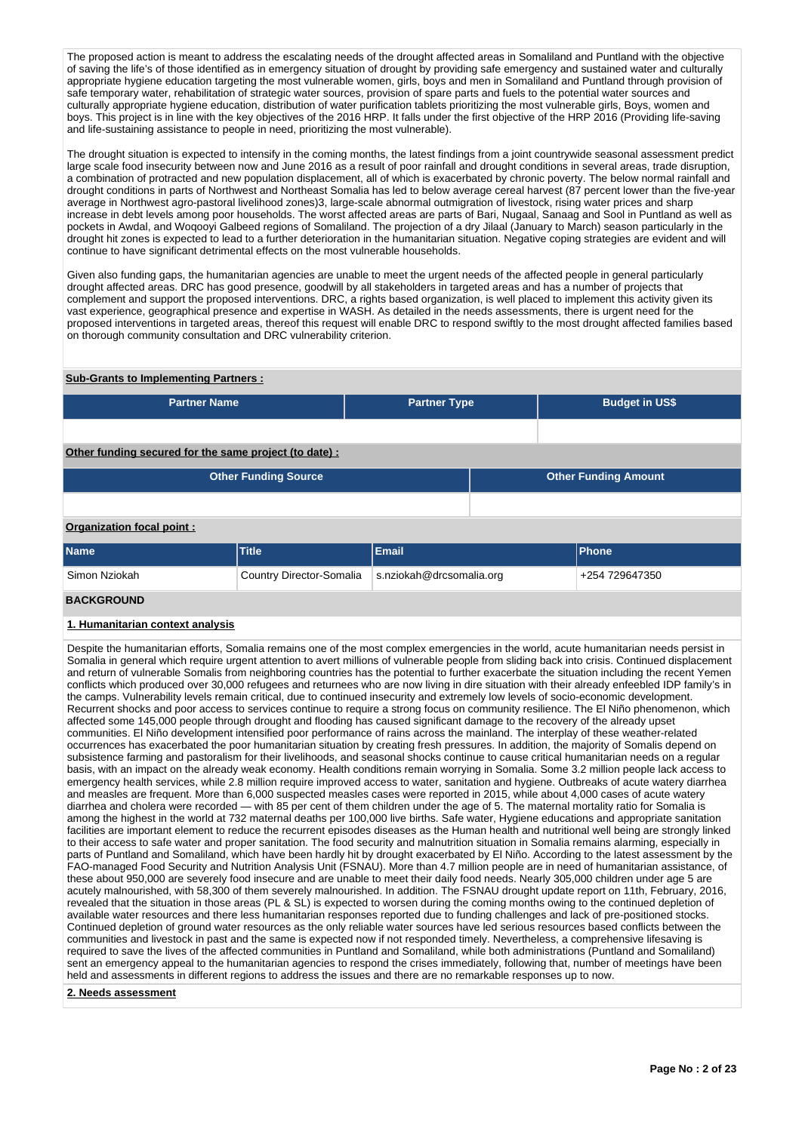The proposed action is meant to address the escalating needs of the drought affected areas in Somaliland and Puntland with the objective of saving the life's of those identified as in emergency situation of drought by providing safe emergency and sustained water and culturally appropriate hygiene education targeting the most vulnerable women, girls, boys and men in Somaliland and Puntland through provision of safe temporary water, rehabilitation of strategic water sources, provision of spare parts and fuels to the potential water sources and culturally appropriate hygiene education, distribution of water purification tablets prioritizing the most vulnerable girls, Boys, women and boys. This project is in line with the key objectives of the 2016 HRP. It falls under the first objective of the HRP 2016 (Providing life-saving and life-sustaining assistance to people in need, prioritizing the most vulnerable).

The drought situation is expected to intensify in the coming months, the latest findings from a joint countrywide seasonal assessment predict large scale food insecurity between now and June 2016 as a result of poor rainfall and drought conditions in several areas, trade disruption, a combination of protracted and new population displacement, all of which is exacerbated by chronic poverty. The below normal rainfall and drought conditions in parts of Northwest and Northeast Somalia has led to below average cereal harvest (87 percent lower than the five-year average in Northwest agro-pastoral livelihood zones)3, large-scale abnormal outmigration of livestock, rising water prices and sharp increase in debt levels among poor households. The worst affected areas are parts of Bari, Nugaal, Sanaag and Sool in Puntland as well as pockets in Awdal, and Woqooyi Galbeed regions of Somaliland. The projection of a dry Jilaal (January to March) season particularly in the drought hit zones is expected to lead to a further deterioration in the humanitarian situation. Negative coping strategies are evident and will continue to have significant detrimental effects on the most vulnerable households.

Given also funding gaps, the humanitarian agencies are unable to meet the urgent needs of the affected people in general particularly drought affected areas. DRC has good presence, goodwill by all stakeholders in targeted areas and has a number of projects that complement and support the proposed interventions. DRC, a rights based organization, is well placed to implement this activity given its vast experience, geographical presence and expertise in WASH. As detailed in the needs assessments, there is urgent need for the proposed interventions in targeted areas, thereof this request will enable DRC to respond swiftly to the most drought affected families based on thorough community consultation and DRC vulnerability criterion.

## **Sub-Grants to Implementing Partners :**

| <b>Partner Name</b>                                   |                             | <b>Partner Type</b>      |                             | <b>Budget in US\$</b> |  |
|-------------------------------------------------------|-----------------------------|--------------------------|-----------------------------|-----------------------|--|
|                                                       |                             |                          |                             |                       |  |
| Other funding secured for the same project (to date): |                             |                          |                             |                       |  |
|                                                       | <b>Other Funding Source</b> |                          | <b>Other Funding Amount</b> |                       |  |
|                                                       |                             |                          |                             |                       |  |
| <b>Organization focal point:</b>                      |                             |                          |                             |                       |  |
| <b>Name</b>                                           | <b>Title</b>                | Email                    |                             | Phone                 |  |
| Simon Nziokah                                         | Country Director-Somalia    | s.nziokah@drcsomalia.org |                             | +254 729647350        |  |

## **BACKGROUND**

## **1. Humanitarian context analysis**

Despite the humanitarian efforts, Somalia remains one of the most complex emergencies in the world, acute humanitarian needs persist in Somalia in general which require urgent attention to avert millions of vulnerable people from sliding back into crisis. Continued displacement and return of vulnerable Somalis from neighboring countries has the potential to further exacerbate the situation including the recent Yemen conflicts which produced over 30,000 refugees and returnees who are now living in dire situation with their already enfeebled IDP family's in the camps. Vulnerability levels remain critical, due to continued insecurity and extremely low levels of socio-economic development. Recurrent shocks and poor access to services continue to require a strong focus on community resilience. The El Niño phenomenon, which affected some 145,000 people through drought and flooding has caused significant damage to the recovery of the already upset communities. El Niño development intensified poor performance of rains across the mainland. The interplay of these weather-related occurrences has exacerbated the poor humanitarian situation by creating fresh pressures. In addition, the majority of Somalis depend on subsistence farming and pastoralism for their livelihoods, and seasonal shocks continue to cause critical humanitarian needs on a regular basis, with an impact on the already weak economy. Health conditions remain worrying in Somalia. Some 3.2 million people lack access to emergency health services, while 2.8 million require improved access to water, sanitation and hygiene. Outbreaks of acute watery diarrhea and measles are frequent. More than 6,000 suspected measles cases were reported in 2015, while about 4,000 cases of acute watery diarrhea and cholera were recorded — with 85 per cent of them children under the age of 5. The maternal mortality ratio for Somalia is among the highest in the world at 732 maternal deaths per 100,000 live births. Safe water, Hygiene educations and appropriate sanitation facilities are important element to reduce the recurrent episodes diseases as the Human health and nutritional well being are strongly linked to their access to safe water and proper sanitation. The food security and malnutrition situation in Somalia remains alarming, especially in parts of Puntland and Somaliland, which have been hardly hit by drought exacerbated by El Niño. According to the latest assessment by the FAO-managed Food Security and Nutrition Analysis Unit (FSNAU). More than 4.7 million people are in need of humanitarian assistance, of these about 950,000 are severely food insecure and are unable to meet their daily food needs. Nearly 305,000 children under age 5 are acutely malnourished, with 58,300 of them severely malnourished. In addition. The FSNAU drought update report on 11th, February, 2016, revealed that the situation in those areas (PL & SL) is expected to worsen during the coming months owing to the continued depletion of available water resources and there less humanitarian responses reported due to funding challenges and lack of pre-positioned stocks. Continued depletion of ground water resources as the only reliable water sources have led serious resources based conflicts between the communities and livestock in past and the same is expected now if not responded timely. Nevertheless, a comprehensive lifesaving is required to save the lives of the affected communities in Puntland and Somaliland, while both administrations (Puntland and Somaliland) sent an emergency appeal to the humanitarian agencies to respond the crises immediately, following that, number of meetings have been held and assessments in different regions to address the issues and there are no remarkable responses up to now.

**2. Needs assessment**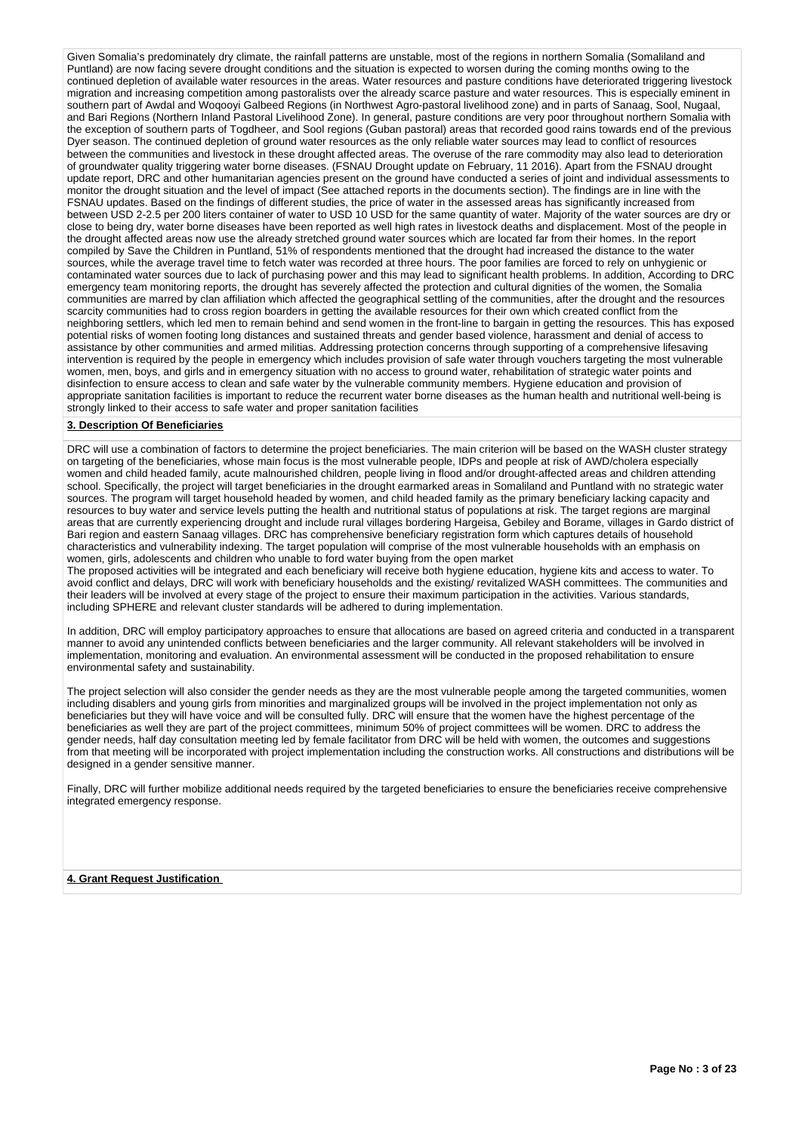Given Somalia's predominately dry climate, the rainfall patterns are unstable, most of the regions in northern Somalia (Somaliland and Puntland) are now facing severe drought conditions and the situation is expected to worsen during the coming months owing to the continued depletion of available water resources in the areas. Water resources and pasture conditions have deteriorated triggering livestock migration and increasing competition among pastoralists over the already scarce pasture and water resources. This is especially eminent in southern part of Awdal and Woqooyi Galbeed Regions (in Northwest Agro-pastoral livelihood zone) and in parts of Sanaag, Sool, Nugaal, and Bari Regions (Northern Inland Pastoral Livelihood Zone). In general, pasture conditions are very poor throughout northern Somalia with the exception of southern parts of Togdheer, and Sool regions (Guban pastoral) areas that recorded good rains towards end of the previous Dyer season. The continued depletion of ground water resources as the only reliable water sources may lead to conflict of resources between the communities and livestock in these drought affected areas. The overuse of the rare commodity may also lead to deterioration of groundwater quality triggering water borne diseases. (FSNAU Drought update on February, 11 2016). Apart from the FSNAU drought update report, DRC and other humanitarian agencies present on the ground have conducted a series of joint and individual assessments to monitor the drought situation and the level of impact (See attached reports in the documents section). The findings are in line with the FSNAU updates. Based on the findings of different studies, the price of water in the assessed areas has significantly increased from between USD 2-2.5 per 200 liters container of water to USD 10 USD for the same quantity of water. Majority of the water sources are dry or close to being dry, water borne diseases have been reported as well high rates in livestock deaths and displacement. Most of the people in the drought affected areas now use the already stretched ground water sources which are located far from their homes. In the report compiled by Save the Children in Puntland, 51% of respondents mentioned that the drought had increased the distance to the water sources, while the average travel time to fetch water was recorded at three hours. The poor families are forced to rely on unhygienic or contaminated water sources due to lack of purchasing power and this may lead to significant health problems. In addition, According to DRC emergency team monitoring reports, the drought has severely affected the protection and cultural dignities of the women, the Somalia communities are marred by clan affiliation which affected the geographical settling of the communities, after the drought and the resources scarcity communities had to cross region boarders in getting the available resources for their own which created conflict from the neighboring settlers, which led men to remain behind and send women in the front-line to bargain in getting the resources. This has exposed potential risks of women footing long distances and sustained threats and gender based violence, harassment and denial of access to assistance by other communities and armed militias. Addressing protection concerns through supporting of a comprehensive lifesaving intervention is required by the people in emergency which includes provision of safe water through vouchers targeting the most vulnerable women, men, boys, and girls and in emergency situation with no access to ground water, rehabilitation of strategic water points and disinfection to ensure access to clean and safe water by the vulnerable community members. Hygiene education and provision of appropriate sanitation facilities is important to reduce the recurrent water borne diseases as the human health and nutritional well-being is strongly linked to their access to safe water and proper sanitation facilities

#### **3. Description Of Beneficiaries**

DRC will use a combination of factors to determine the project beneficiaries. The main criterion will be based on the WASH cluster strategy on targeting of the beneficiaries, whose main focus is the most vulnerable people, IDPs and people at risk of AWD/cholera especially women and child headed family, acute malnourished children, people living in flood and/or drought-affected areas and children attending school. Specifically, the project will target beneficiaries in the drought earmarked areas in Somaliland and Puntland with no strategic water sources. The program will target household headed by women, and child headed family as the primary beneficiary lacking capacity and resources to buy water and service levels putting the health and nutritional status of populations at risk. The target regions are marginal areas that are currently experiencing drought and include rural villages bordering Hargeisa, Gebiley and Borame, villages in Gardo district of Bari region and eastern Sanaag villages. DRC has comprehensive beneficiary registration form which captures details of household characteristics and vulnerability indexing. The target population will comprise of the most vulnerable households with an emphasis on women, girls, adolescents and children who unable to ford water buying from the open market The proposed activities will be integrated and each beneficiary will receive both hygiene education, hygiene kits and access to water. To avoid conflict and delays, DRC will work with beneficiary households and the existing/ revitalized WASH committees. The communities and

their leaders will be involved at every stage of the project to ensure their maximum participation in the activities. Various standards, including SPHERE and relevant cluster standards will be adhered to during implementation.

In addition, DRC will employ participatory approaches to ensure that allocations are based on agreed criteria and conducted in a transparent manner to avoid any unintended conflicts between beneficiaries and the larger community. All relevant stakeholders will be involved in implementation, monitoring and evaluation. An environmental assessment will be conducted in the proposed rehabilitation to ensure environmental safety and sustainability.

The project selection will also consider the gender needs as they are the most vulnerable people among the targeted communities, women including disablers and young girls from minorities and marginalized groups will be involved in the project implementation not only as beneficiaries but they will have voice and will be consulted fully. DRC will ensure that the women have the highest percentage of the beneficiaries as well they are part of the project committees, minimum 50% of project committees will be women. DRC to address the gender needs, half day consultation meeting led by female facilitator from DRC will be held with women, the outcomes and suggestions from that meeting will be incorporated with project implementation including the construction works. All constructions and distributions will be designed in a gender sensitive manner.

Finally, DRC will further mobilize additional needs required by the targeted beneficiaries to ensure the beneficiaries receive comprehensive integrated emergency response.

**4. Grant Request Justification**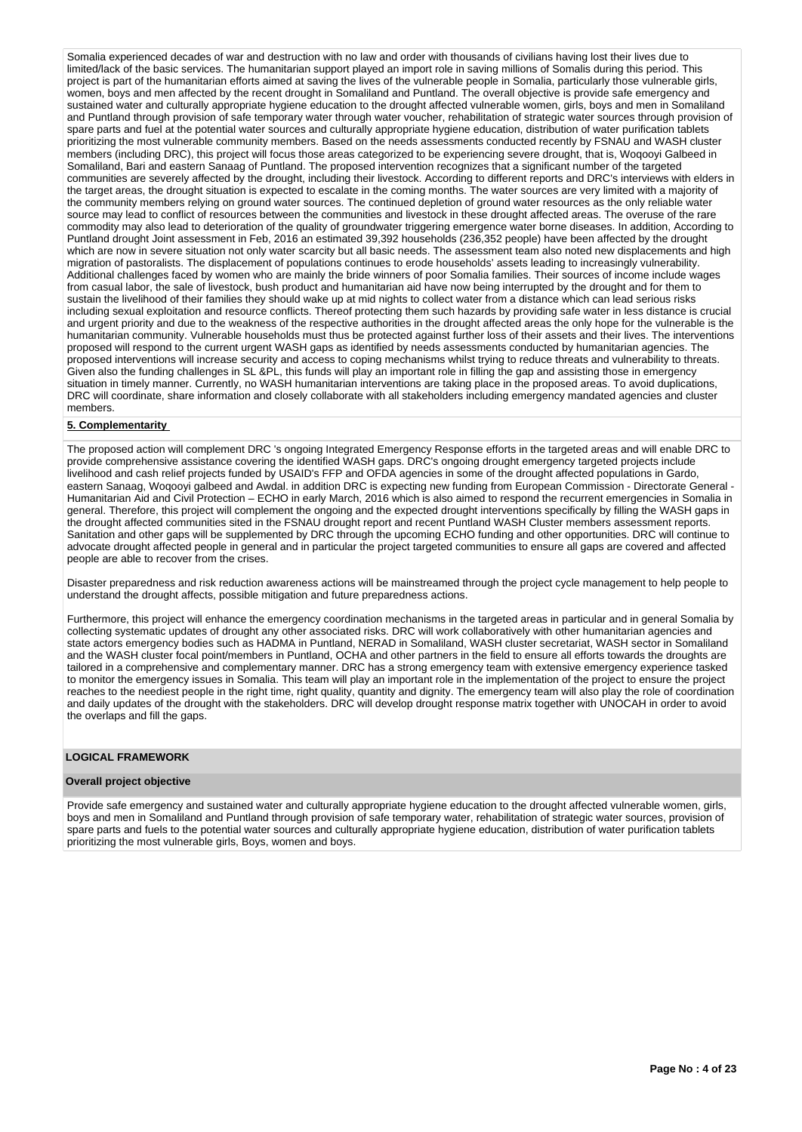Somalia experienced decades of war and destruction with no law and order with thousands of civilians having lost their lives due to limited/lack of the basic services. The humanitarian support played an import role in saving millions of Somalis during this period. This project is part of the humanitarian efforts aimed at saving the lives of the vulnerable people in Somalia, particularly those vulnerable girls, women, boys and men affected by the recent drought in Somaliland and Puntland. The overall objective is provide safe emergency and sustained water and culturally appropriate hygiene education to the drought affected vulnerable women, girls, boys and men in Somaliland and Puntland through provision of safe temporary water through water voucher, rehabilitation of strategic water sources through provision of spare parts and fuel at the potential water sources and culturally appropriate hygiene education, distribution of water purification tablets prioritizing the most vulnerable community members. Based on the needs assessments conducted recently by FSNAU and WASH cluster members (including DRC), this project will focus those areas categorized to be experiencing severe drought, that is, Woqooyi Galbeed in Somaliland, Bari and eastern Sanaag of Puntland. The proposed intervention recognizes that a significant number of the targeted communities are severely affected by the drought, including their livestock. According to different reports and DRC's interviews with elders in the target areas, the drought situation is expected to escalate in the coming months. The water sources are very limited with a majority of the community members relying on ground water sources. The continued depletion of ground water resources as the only reliable water source may lead to conflict of resources between the communities and livestock in these drought affected areas. The overuse of the rare commodity may also lead to deterioration of the quality of groundwater triggering emergence water borne diseases. In addition, According to Puntland drought Joint assessment in Feb, 2016 an estimated 39,392 households (236,352 people) have been affected by the drought which are now in severe situation not only water scarcity but all basic needs. The assessment team also noted new displacements and high migration of pastoralists. The displacement of populations continues to erode households' assets leading to increasingly vulnerability. Additional challenges faced by women who are mainly the bride winners of poor Somalia families. Their sources of income include wages from casual labor, the sale of livestock, bush product and humanitarian aid have now being interrupted by the drought and for them to sustain the livelihood of their families they should wake up at mid nights to collect water from a distance which can lead serious risks including sexual exploitation and resource conflicts. Thereof protecting them such hazards by providing safe water in less distance is crucial and urgent priority and due to the weakness of the respective authorities in the drought affected areas the only hope for the vulnerable is the humanitarian community. Vulnerable households must thus be protected against further loss of their assets and their lives. The interventions proposed will respond to the current urgent WASH gaps as identified by needs assessments conducted by humanitarian agencies. The proposed interventions will increase security and access to coping mechanisms whilst trying to reduce threats and vulnerability to threats. Given also the funding challenges in SL &PL, this funds will play an important role in filling the gap and assisting those in emergency situation in timely manner. Currently, no WASH humanitarian interventions are taking place in the proposed areas. To avoid duplications, DRC will coordinate, share information and closely collaborate with all stakeholders including emergency mandated agencies and cluster members.

#### **5. Complementarity**

The proposed action will complement DRC 's ongoing Integrated Emergency Response efforts in the targeted areas and will enable DRC to provide comprehensive assistance covering the identified WASH gaps. DRC's ongoing drought emergency targeted projects include livelihood and cash relief projects funded by USAID's FFP and OFDA agencies in some of the drought affected populations in Gardo, eastern Sanaag, Woqooyi galbeed and Awdal. in addition DRC is expecting new funding from European Commission - Directorate General - Humanitarian Aid and Civil Protection – ECHO in early March, 2016 which is also aimed to respond the recurrent emergencies in Somalia in general. Therefore, this project will complement the ongoing and the expected drought interventions specifically by filling the WASH gaps in the drought affected communities sited in the FSNAU drought report and recent Puntland WASH Cluster members assessment reports. Sanitation and other gaps will be supplemented by DRC through the upcoming ECHO funding and other opportunities. DRC will continue to advocate drought affected people in general and in particular the project targeted communities to ensure all gaps are covered and affected people are able to recover from the crises.

Disaster preparedness and risk reduction awareness actions will be mainstreamed through the project cycle management to help people to understand the drought affects, possible mitigation and future preparedness actions.

Furthermore, this project will enhance the emergency coordination mechanisms in the targeted areas in particular and in general Somalia by collecting systematic updates of drought any other associated risks. DRC will work collaboratively with other humanitarian agencies and state actors emergency bodies such as HADMA in Puntland, NERAD in Somaliland, WASH cluster secretariat, WASH sector in Somaliland and the WASH cluster focal point/members in Puntland, OCHA and other partners in the field to ensure all efforts towards the droughts are tailored in a comprehensive and complementary manner. DRC has a strong emergency team with extensive emergency experience tasked to monitor the emergency issues in Somalia. This team will play an important role in the implementation of the project to ensure the project reaches to the neediest people in the right time, right quality, quantity and dignity. The emergency team will also play the role of coordination and daily updates of the drought with the stakeholders. DRC will develop drought response matrix together with UNOCAH in order to avoid the overlaps and fill the gaps.

## **LOGICAL FRAMEWORK**

#### **Overall project objective**

Provide safe emergency and sustained water and culturally appropriate hygiene education to the drought affected vulnerable women, girls, boys and men in Somaliland and Puntland through provision of safe temporary water, rehabilitation of strategic water sources, provision of spare parts and fuels to the potential water sources and culturally appropriate hygiene education, distribution of water purification tablets prioritizing the most vulnerable girls, Boys, women and boys.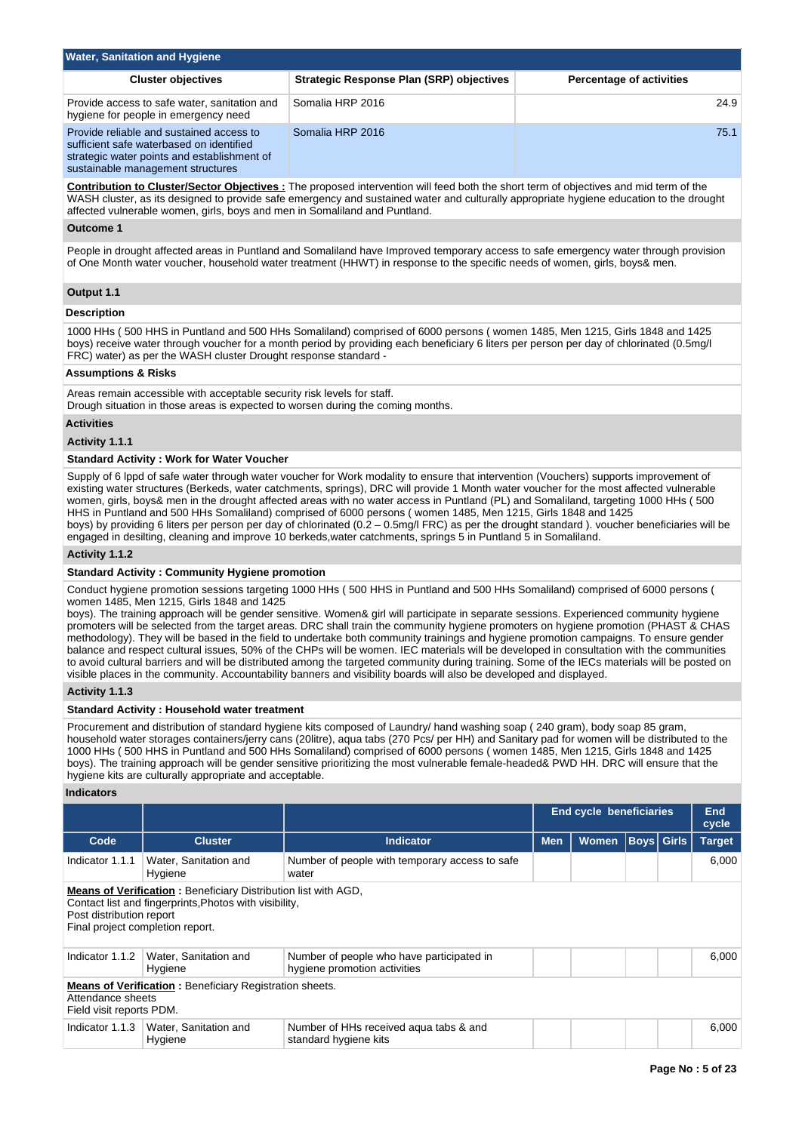| <b>Water, Sanitation and Hygiene</b>                                                                                                                                     |                                          |                                 |
|--------------------------------------------------------------------------------------------------------------------------------------------------------------------------|------------------------------------------|---------------------------------|
| <b>Cluster objectives</b>                                                                                                                                                | Strategic Response Plan (SRP) objectives | <b>Percentage of activities</b> |
| Provide access to safe water, sanitation and<br>hygiene for people in emergency need                                                                                     | Somalia HRP 2016                         | 24.9                            |
| Provide reliable and sustained access to<br>sufficient safe waterbased on identified<br>strategic water points and establishment of<br>sustainable management structures | Somalia HRP 2016                         | 75.1                            |

**Contribution to Cluster/Sector Objectives :** The proposed intervention will feed both the short term of objectives and mid term of the WASH cluster, as its designed to provide safe emergency and sustained water and culturally appropriate hygiene education to the drought affected vulnerable women, girls, boys and men in Somaliland and Puntland.

#### **Outcome 1**

People in drought affected areas in Puntland and Somaliland have Improved temporary access to safe emergency water through provision of One Month water voucher, household water treatment (HHWT) in response to the specific needs of women, girls, boys& men.

#### **Output 1.1**

#### **Description**

1000 HHs ( 500 HHS in Puntland and 500 HHs Somaliland) comprised of 6000 persons ( women 1485, Men 1215, Girls 1848 and 1425 boys) receive water through voucher for a month period by providing each beneficiary 6 liters per person per day of chlorinated (0.5mg/l FRC) water) as per the WASH cluster Drought response standard -

### **Assumptions & Risks**

Areas remain accessible with acceptable security risk levels for staff. Drough situation in those areas is expected to worsen during the coming months.

## **Activities**

#### **Activity 1.1.1**

#### **Standard Activity : Work for Water Voucher**

Supply of 6 lppd of safe water through water voucher for Work modality to ensure that intervention (Vouchers) supports improvement of existing water structures (Berkeds, water catchments, springs), DRC will provide 1 Month water voucher for the most affected vulnerable women, girls, boys& men in the drought affected areas with no water access in Puntland (PL) and Somaliland, targeting 1000 HHs ( 500 HHS in Puntland and 500 HHs Somaliland) comprised of 6000 persons ( women 1485, Men 1215, Girls 1848 and 1425 boys) by providing 6 liters per person per day of chlorinated (0.2 – 0.5mg/l FRC) as per the drought standard ). voucher beneficiaries will be engaged in desilting, cleaning and improve 10 berkeds,water catchments, springs 5 in Puntland 5 in Somaliland.

#### **Activity 1.1.2**

#### **Standard Activity : Community Hygiene promotion**

Conduct hygiene promotion sessions targeting 1000 HHs ( 500 HHS in Puntland and 500 HHs Somaliland) comprised of 6000 persons ( women 1485, Men 1215, Girls 1848 and 1425

boys). The training approach will be gender sensitive. Women& girl will participate in separate sessions. Experienced community hygiene promoters will be selected from the target areas. DRC shall train the community hygiene promoters on hygiene promotion (PHAST & CHAS methodology). They will be based in the field to undertake both community trainings and hygiene promotion campaigns. To ensure gender balance and respect cultural issues, 50% of the CHPs will be women. IEC materials will be developed in consultation with the communities to avoid cultural barriers and will be distributed among the targeted community during training. Some of the IECs materials will be posted on visible places in the community. Accountability banners and visibility boards will also be developed and displayed.

#### **Activity 1.1.3**

#### **Standard Activity : Household water treatment**

Procurement and distribution of standard hygiene kits composed of Laundry/ hand washing soap ( 240 gram), body soap 85 gram, household water storages containers/jerry cans (20litre), aqua tabs (270 Pcs/ per HH) and Sanitary pad for women will be distributed to the 1000 HHs ( 500 HHS in Puntland and 500 HHs Somaliland) comprised of 6000 persons ( women 1485, Men 1215, Girls 1848 and 1425 boys). The training approach will be gender sensitive prioritizing the most vulnerable female-headed& PWD HH. DRC will ensure that the hygiene kits are culturally appropriate and acceptable.

### **Indicators**

|                                                                                                                                                                                          |                                  |                                                                           | <b>End cycle beneficiaries</b>                  |  | End<br>cycle |  |               |
|------------------------------------------------------------------------------------------------------------------------------------------------------------------------------------------|----------------------------------|---------------------------------------------------------------------------|-------------------------------------------------|--|--------------|--|---------------|
| Code                                                                                                                                                                                     | <b>Cluster</b>                   | <b>Indicator</b>                                                          | <b>Boys Girls</b><br><b>Men</b><br><b>Women</b> |  |              |  | <b>Target</b> |
| Indicator 1.1.1                                                                                                                                                                          | Water, Sanitation and<br>Hygiene | Number of people with temporary access to safe<br>water                   |                                                 |  |              |  | 6.000         |
| Means of Verification: Beneficiary Distribution list with AGD,<br>Contact list and fingerprints, Photos with visibility,<br>Post distribution report<br>Final project completion report. |                                  |                                                                           |                                                 |  |              |  |               |
| Indicator 1.1.2                                                                                                                                                                          | Water, Sanitation and<br>Hygiene | Number of people who have participated in<br>hygiene promotion activities |                                                 |  |              |  | 6.000         |
| <b>Means of Verification:</b> Beneficiary Registration sheets.<br>Attendance sheets<br>Field visit reports PDM.                                                                          |                                  |                                                                           |                                                 |  |              |  |               |
| Indicator 1.1.3                                                                                                                                                                          | Water, Sanitation and<br>Hygiene | Number of HHs received agua tabs & and<br>standard hygiene kits           |                                                 |  |              |  | 6,000         |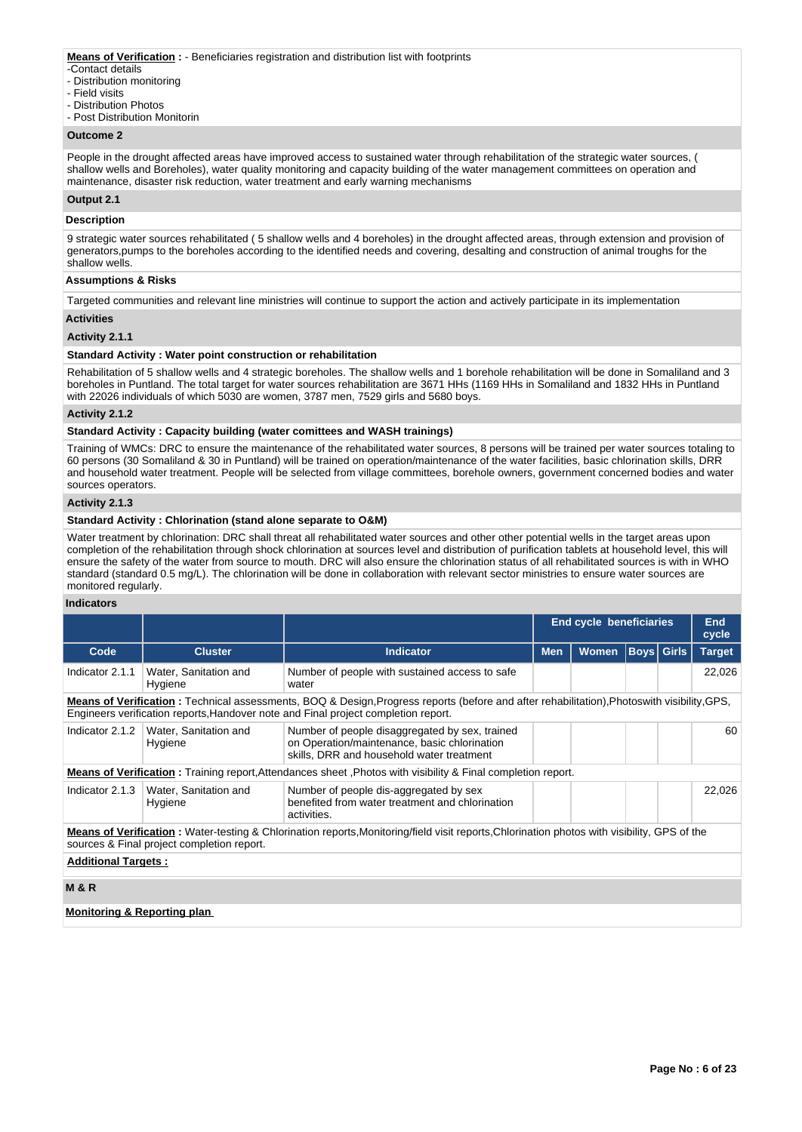#### **Means of Verification :** - Beneficiaries registration and distribution list with footprints

- -Contact details
- Distribution monitoring
- Field visits
- Distribution Photos
- Post Distribution Monitorin

### **Outcome 2**

People in the drought affected areas have improved access to sustained water through rehabilitation of the strategic water sources, ( shallow wells and Boreholes), water quality monitoring and capacity building of the water management committees on operation and maintenance, disaster risk reduction, water treatment and early warning mechanisms

## **Output 2.1**

#### **Description**

9 strategic water sources rehabilitated ( 5 shallow wells and 4 boreholes) in the drought affected areas, through extension and provision of generators,pumps to the boreholes according to the identified needs and covering, desalting and construction of animal troughs for the shallow wells.

## **Assumptions & Risks**

Targeted communities and relevant line ministries will continue to support the action and actively participate in its implementation

#### **Activities**

#### **Activity 2.1.1**

#### **Standard Activity : Water point construction or rehabilitation**

Rehabilitation of 5 shallow wells and 4 strategic boreholes. The shallow wells and 1 borehole rehabilitation will be done in Somaliland and 3 boreholes in Puntland. The total target for water sources rehabilitation are 3671 HHs (1169 HHs in Somaliland and 1832 HHs in Puntland with 22026 individuals of which 5030 are women, 3787 men, 7529 girls and 5680 boys.

#### **Activity 2.1.2**

#### **Standard Activity : Capacity building (water comittees and WASH trainings)**

Training of WMCs: DRC to ensure the maintenance of the rehabilitated water sources, 8 persons will be trained per water sources totaling to 60 persons (30 Somaliland & 30 in Puntland) will be trained on operation/maintenance of the water facilities, basic chlorination skills, DRR and household water treatment. People will be selected from village committees, borehole owners, government concerned bodies and water sources operators.

#### **Activity 2.1.3**

## **Standard Activity : Chlorination (stand alone separate to O&M)**

Water treatment by chlorination: DRC shall threat all rehabilitated water sources and other other potential wells in the target areas upon completion of the rehabilitation through shock chlorination at sources level and distribution of purification tablets at household level, this will ensure the safety of the water from source to mouth. DRC will also ensure the chlorination status of all rehabilitated sources is with in WHO standard (standard 0.5 mg/L). The chlorination will be done in collaboration with relevant sector ministries to ensure water sources are monitored regularly.

#### **Indicators**

|                                        |                                            |                                                                                                                                                                                                                                           |            | <b>End cycle beneficiaries</b> |                   | End<br>cycle |               |  |
|----------------------------------------|--------------------------------------------|-------------------------------------------------------------------------------------------------------------------------------------------------------------------------------------------------------------------------------------------|------------|--------------------------------|-------------------|--------------|---------------|--|
| Code                                   | <b>Cluster</b>                             | <b>Indicator</b>                                                                                                                                                                                                                          | <b>Men</b> | <b>Women</b>                   | <b>Boys Girls</b> |              | <b>Target</b> |  |
| Indicator 2.1.1                        | Water, Sanitation and<br>Hygiene           | Number of people with sustained access to safe<br>water                                                                                                                                                                                   |            |                                |                   |              | 22,026        |  |
|                                        |                                            | <b>Means of Verification</b> : Technical assessments, BOQ & Design, Progress reports (before and after rehabilitation), Photoswith visibility, GPS,<br>Engineers verification reports, Handover note and Final project completion report. |            |                                |                   |              |               |  |
| Indicator 2.1.2                        | Water, Sanitation and<br>Hygiene           | Number of people disaggregated by sex, trained<br>on Operation/maintenance, basic chlorination<br>skills, DRR and household water treatment                                                                                               |            |                                |                   |              |               |  |
|                                        |                                            | <b>Means of Verification</b> : Training report, Attendances sheet, Photos with visibility & Final completion report.                                                                                                                      |            |                                |                   |              |               |  |
| Indicator 2.1.3                        | Water, Sanitation and<br>Hygiene           | Number of people dis-aggregated by sex<br>benefited from water treatment and chlorination<br>activities.                                                                                                                                  |            |                                |                   |              | 22,026        |  |
|                                        | sources & Final project completion report. | Means of Verification: Water-testing & Chlorination reports, Monitoring/field visit reports, Chlorination photos with visibility, GPS of the                                                                                              |            |                                |                   |              |               |  |
| <b>Additional Targets:</b>             |                                            |                                                                                                                                                                                                                                           |            |                                |                   |              |               |  |
| <b>M&amp;R</b>                         |                                            |                                                                                                                                                                                                                                           |            |                                |                   |              |               |  |
| <b>Monitoring &amp; Reporting plan</b> |                                            |                                                                                                                                                                                                                                           |            |                                |                   |              |               |  |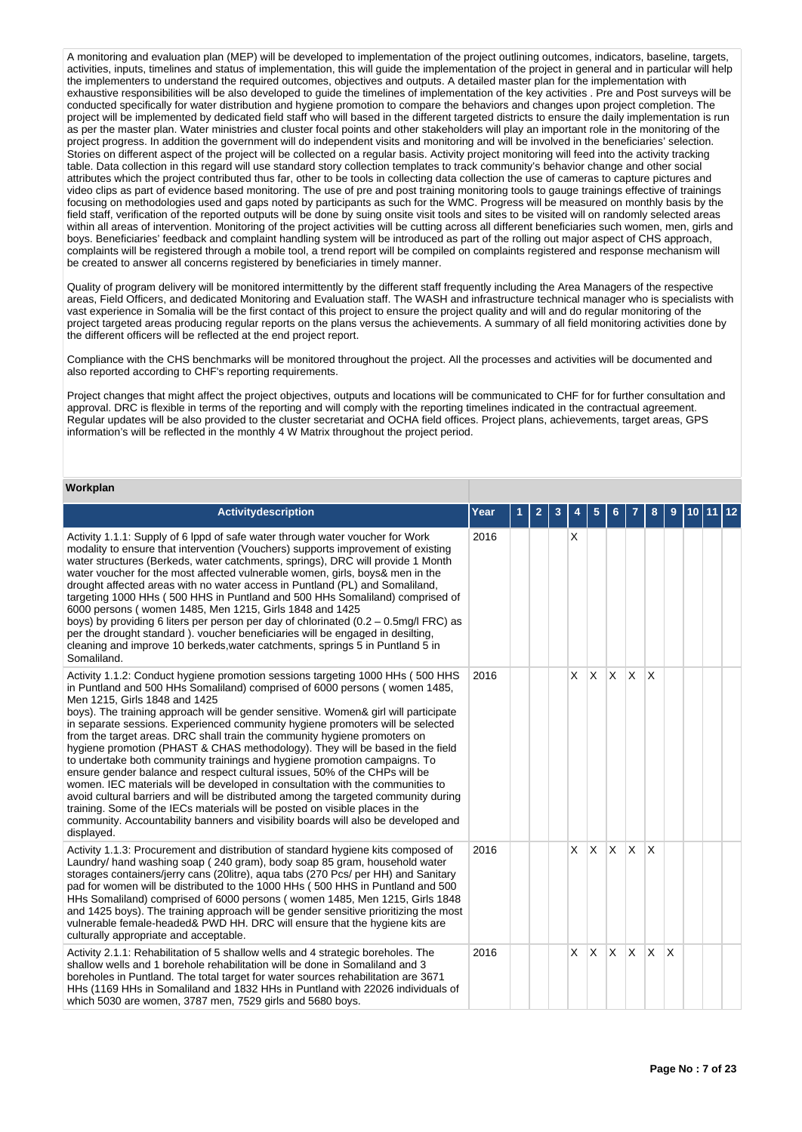A monitoring and evaluation plan (MEP) will be developed to implementation of the project outlining outcomes, indicators, baseline, targets, activities, inputs, timelines and status of implementation, this will guide the implementation of the project in general and in particular will help the implementers to understand the required outcomes, objectives and outputs. A detailed master plan for the implementation with exhaustive responsibilities will be also developed to guide the timelines of implementation of the key activities . Pre and Post surveys will be conducted specifically for water distribution and hygiene promotion to compare the behaviors and changes upon project completion. The project will be implemented by dedicated field staff who will based in the different targeted districts to ensure the daily implementation is run as per the master plan. Water ministries and cluster focal points and other stakeholders will play an important role in the monitoring of the project progress. In addition the government will do independent visits and monitoring and will be involved in the beneficiaries' selection. Stories on different aspect of the project will be collected on a regular basis. Activity project monitoring will feed into the activity tracking table. Data collection in this regard will use standard story collection templates to track community's behavior change and other social attributes which the project contributed thus far, other to be tools in collecting data collection the use of cameras to capture pictures and video clips as part of evidence based monitoring. The use of pre and post training monitoring tools to gauge trainings effective of trainings focusing on methodologies used and gaps noted by participants as such for the WMC. Progress will be measured on monthly basis by the field staff, verification of the reported outputs will be done by suing onsite visit tools and sites to be visited will on randomly selected areas within all areas of intervention. Monitoring of the project activities will be cutting across all different beneficiaries such women, men, girls and boys. Beneficiaries' feedback and complaint handling system will be introduced as part of the rolling out major aspect of CHS approach, complaints will be registered through a mobile tool, a trend report will be compiled on complaints registered and response mechanism will be created to answer all concerns registered by beneficiaries in timely manner.

Quality of program delivery will be monitored intermittently by the different staff frequently including the Area Managers of the respective areas, Field Officers, and dedicated Monitoring and Evaluation staff. The WASH and infrastructure technical manager who is specialists with vast experience in Somalia will be the first contact of this project to ensure the project quality and will and do regular monitoring of the project targeted areas producing regular reports on the plans versus the achievements. A summary of all field monitoring activities done by the different officers will be reflected at the end project report.

Compliance with the CHS benchmarks will be monitored throughout the project. All the processes and activities will be documented and also reported according to CHF's reporting requirements.

Project changes that might affect the project objectives, outputs and locations will be communicated to CHF for for further consultation and approval. DRC is flexible in terms of the reporting and will comply with the reporting timelines indicated in the contractual agreement. Regular updates will be also provided to the cluster secretariat and OCHA field offices. Project plans, achievements, target areas, GPS information's will be reflected in the monthly 4 W Matrix throughout the project period.

## **Workplan**

| Activitydescription                                                                                                                                                                                                                                                                                                                                                                                                                                                                                                                                                                                                                                                                                                                                                                                                                                                                                                                                                                                                                                          | Year | 2 | 3 |    | 5        |          |          | 8        | 9 | 10 | 11 | l 12 |
|--------------------------------------------------------------------------------------------------------------------------------------------------------------------------------------------------------------------------------------------------------------------------------------------------------------------------------------------------------------------------------------------------------------------------------------------------------------------------------------------------------------------------------------------------------------------------------------------------------------------------------------------------------------------------------------------------------------------------------------------------------------------------------------------------------------------------------------------------------------------------------------------------------------------------------------------------------------------------------------------------------------------------------------------------------------|------|---|---|----|----------|----------|----------|----------|---|----|----|------|
| Activity 1.1.1: Supply of 6 lppd of safe water through water voucher for Work<br>modality to ensure that intervention (Vouchers) supports improvement of existing<br>water structures (Berkeds, water catchments, springs), DRC will provide 1 Month<br>water voucher for the most affected vulnerable women, girls, boys& men in the<br>drought affected areas with no water access in Puntland (PL) and Somaliland,<br>targeting 1000 HHs (500 HHS in Puntland and 500 HHs Somaliland) comprised of<br>6000 persons (women 1485, Men 1215, Girls 1848 and 1425<br>boys) by providing 6 liters per person per day of chlorinated (0.2 - 0.5mg/l FRC) as<br>per the drought standard), voucher beneficiaries will be engaged in desilting.<br>cleaning and improve 10 berkeds, water catchments, springs 5 in Puntland 5 in<br>Somaliland.                                                                                                                                                                                                                   | 2016 |   |   | X. |          |          |          |          |   |    |    |      |
| Activity 1.1.2: Conduct hygiene promotion sessions targeting 1000 HHs (500 HHS<br>in Puntland and 500 HHs Somaliland) comprised of 6000 persons (women 1485,<br>Men 1215, Girls 1848 and 1425<br>boys). The training approach will be gender sensitive. Women& girl will participate<br>in separate sessions. Experienced community hygiene promoters will be selected<br>from the target areas. DRC shall train the community hygiene promoters on<br>hygiene promotion (PHAST & CHAS methodology). They will be based in the field<br>to undertake both community trainings and hygiene promotion campaigns. To<br>ensure gender balance and respect cultural issues, 50% of the CHPs will be<br>women. IEC materials will be developed in consultation with the communities to<br>avoid cultural barriers and will be distributed among the targeted community during<br>training. Some of the IECs materials will be posted on visible places in the<br>community. Accountability banners and visibility boards will also be developed and<br>displayed. | 2016 |   |   | X. | $\times$ | X.       | X.       | ΙX       |   |    |    |      |
| Activity 1.1.3: Procurement and distribution of standard hygiene kits composed of<br>Laundry/ hand washing soap (240 gram), body soap 85 gram, household water<br>storages containers/jerry cans (20litre), aqua tabs (270 Pcs/ per HH) and Sanitary<br>pad for women will be distributed to the 1000 HHs (500 HHS in Puntland and 500<br>HHs Somaliland) comprised of 6000 persons (women 1485, Men 1215, Girls 1848<br>and 1425 boys). The training approach will be gender sensitive prioritizing the most<br>vulnerable female-headed& PWD HH. DRC will ensure that the hygiene kits are<br>culturally appropriate and acceptable.                                                                                                                                                                                                                                                                                                                                                                                                                       | 2016 |   |   | X. | $\times$ | X.       | <b>X</b> | X        |   |    |    |      |
| Activity 2.1.1: Rehabilitation of 5 shallow wells and 4 strategic boreholes. The<br>shallow wells and 1 borehole rehabilitation will be done in Somaliland and 3<br>boreholes in Puntland. The total target for water sources rehabilitation are 3671<br>HHs (1169 HHs in Somaliland and 1832 HHs in Puntland with 22026 individuals of<br>which 5030 are women, 3787 men, 7529 girls and 5680 boys.                                                                                                                                                                                                                                                                                                                                                                                                                                                                                                                                                                                                                                                         | 2016 |   |   | X. | $\times$ | $\times$ | X.       | <b>X</b> | X |    |    |      |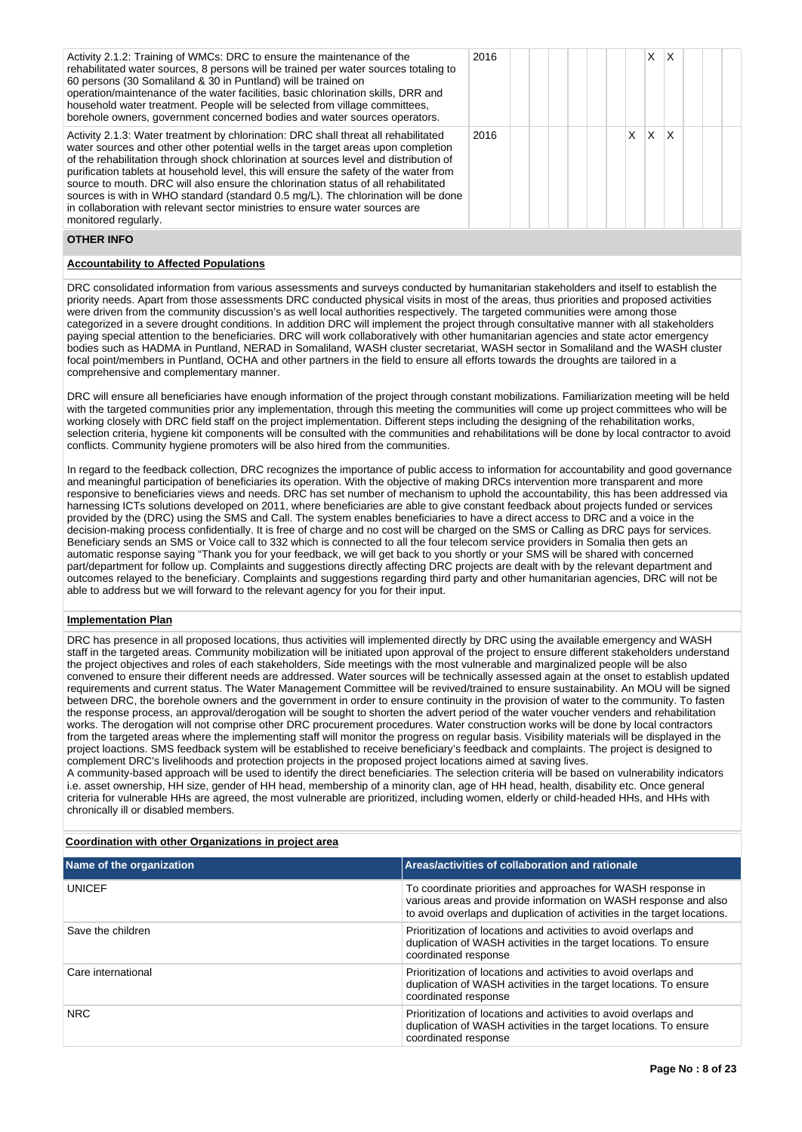| Activity 2.1.2: Training of WMCs: DRC to ensure the maintenance of the<br>rehabilitated water sources, 8 persons will be trained per water sources totaling to<br>60 persons (30 Somaliland & 30 in Puntland) will be trained on<br>operation/maintenance of the water facilities, basic chlorination skills, DRR and<br>household water treatment. People will be selected from village committees,<br>borehole owners, government concerned bodies and water sources operators.                                                                                                                                                               | 2016 |  |    | X        | ΙX                      |  |  |
|-------------------------------------------------------------------------------------------------------------------------------------------------------------------------------------------------------------------------------------------------------------------------------------------------------------------------------------------------------------------------------------------------------------------------------------------------------------------------------------------------------------------------------------------------------------------------------------------------------------------------------------------------|------|--|----|----------|-------------------------|--|--|
| Activity 2.1.3: Water treatment by chlorination: DRC shall threat all rehabilitated<br>water sources and other other potential wells in the target areas upon completion<br>of the rehabilitation through shock chlorination at sources level and distribution of<br>purification tablets at household level, this will ensure the safety of the water from<br>source to mouth. DRC will also ensure the chlorination status of all rehabilitated<br>sources is with in WHO standard (standard 0.5 mg/L). The chlorination will be done<br>in collaboration with relevant sector ministries to ensure water sources are<br>monitored regularly. | 2016 |  | X. | <b>X</b> | $\mathsf{I} \mathsf{X}$ |  |  |

### **OTHER INFO**

#### **Accountability to Affected Populations**

DRC consolidated information from various assessments and surveys conducted by humanitarian stakeholders and itself to establish the priority needs. Apart from those assessments DRC conducted physical visits in most of the areas, thus priorities and proposed activities were driven from the community discussion's as well local authorities respectively. The targeted communities were among those categorized in a severe drought conditions. In addition DRC will implement the project through consultative manner with all stakeholders paying special attention to the beneficiaries. DRC will work collaboratively with other humanitarian agencies and state actor emergency bodies such as HADMA in Puntland, NERAD in Somaliland, WASH cluster secretariat, WASH sector in Somaliland and the WASH cluster focal point/members in Puntland, OCHA and other partners in the field to ensure all efforts towards the droughts are tailored in a comprehensive and complementary manner.

DRC will ensure all beneficiaries have enough information of the project through constant mobilizations. Familiarization meeting will be held with the targeted communities prior any implementation, through this meeting the communities will come up project committees who will be working closely with DRC field staff on the project implementation. Different steps including the designing of the rehabilitation works, selection criteria, hygiene kit components will be consulted with the communities and rehabilitations will be done by local contractor to avoid conflicts. Community hygiene promoters will be also hired from the communities.

In regard to the feedback collection, DRC recognizes the importance of public access to information for accountability and good governance and meaningful participation of beneficiaries its operation. With the objective of making DRCs intervention more transparent and more responsive to beneficiaries views and needs. DRC has set number of mechanism to uphold the accountability, this has been addressed via harnessing ICTs solutions developed on 2011, where beneficiaries are able to give constant feedback about projects funded or services provided by the (DRC) using the SMS and Call. The system enables beneficiaries to have a direct access to DRC and a voice in the decision-making process confidentially. It is free of charge and no cost will be charged on the SMS or Calling as DRC pays for services. Beneficiary sends an SMS or Voice call to 332 which is connected to all the four telecom service providers in Somalia then gets an automatic response saying "Thank you for your feedback, we will get back to you shortly or your SMS will be shared with concerned part/department for follow up. Complaints and suggestions directly affecting DRC projects are dealt with by the relevant department and outcomes relayed to the beneficiary. Complaints and suggestions regarding third party and other humanitarian agencies, DRC will not be able to address but we will forward to the relevant agency for you for their input.

#### **Implementation Plan**

DRC has presence in all proposed locations, thus activities will implemented directly by DRC using the available emergency and WASH staff in the targeted areas. Community mobilization will be initiated upon approval of the project to ensure different stakeholders understand the project objectives and roles of each stakeholders, Side meetings with the most vulnerable and marginalized people will be also convened to ensure their different needs are addressed. Water sources will be technically assessed again at the onset to establish updated requirements and current status. The Water Management Committee will be revived/trained to ensure sustainability. An MOU will be signed between DRC, the borehole owners and the government in order to ensure continuity in the provision of water to the community. To fasten the response process, an approval/derogation will be sought to shorten the advert period of the water voucher venders and rehabilitation works. The derogation will not comprise other DRC procurement procedures. Water construction works will be done by local contractors from the targeted areas where the implementing staff will monitor the progress on regular basis. Visibility materials will be displayed in the project loactions. SMS feedback system will be established to receive beneficiary's feedback and complaints. The project is designed to complement DRC's livelihoods and protection projects in the proposed project locations aimed at saving lives.

A community-based approach will be used to identify the direct beneficiaries. The selection criteria will be based on vulnerability indicators i.e. asset ownership, HH size, gender of HH head, membership of a minority clan, age of HH head, health, disability etc. Once general criteria for vulnerable HHs are agreed, the most vulnerable are prioritized, including women, elderly or child-headed HHs, and HHs with chronically ill or disabled members.

| Name of the organization | Areas/activities of collaboration and rationale                                                                                                                                                             |
|--------------------------|-------------------------------------------------------------------------------------------------------------------------------------------------------------------------------------------------------------|
| <b>UNICEF</b>            | To coordinate priorities and approaches for WASH response in<br>various areas and provide information on WASH response and also<br>to avoid overlaps and duplication of activities in the target locations. |
| Save the children        | Prioritization of locations and activities to avoid overlaps and<br>duplication of WASH activities in the target locations. To ensure<br>coordinated response                                               |
| Care international       | Prioritization of locations and activities to avoid overlaps and<br>duplication of WASH activities in the target locations. To ensure<br>coordinated response                                               |
| <b>NRC</b>               | Prioritization of locations and activities to avoid overlaps and<br>duplication of WASH activities in the target locations. To ensure<br>coordinated response                                               |

## **Coordination with other Organizations in project area**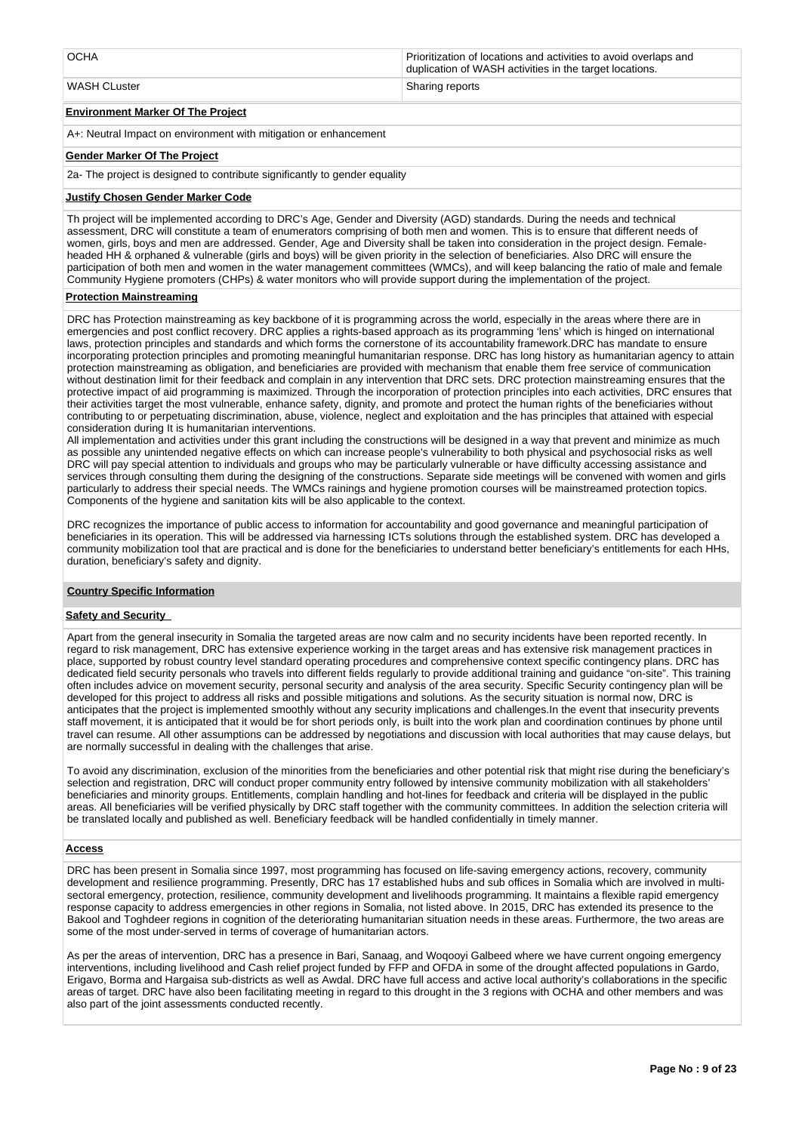| <b>OCHA</b>  | Prioritization of locations and activities to avoid overlaps and<br>duplication of WASH activities in the target locations. |
|--------------|-----------------------------------------------------------------------------------------------------------------------------|
| WASH CLuster | <b>Sharing reports</b>                                                                                                      |

**Environment Marker Of The Project**

A+: Neutral Impact on environment with mitigation or enhancement

## **Gender Marker Of The Project**

2a- The project is designed to contribute significantly to gender equality

## **Justify Chosen Gender Marker Code**

Th project will be implemented according to DRC's Age, Gender and Diversity (AGD) standards. During the needs and technical assessment, DRC will constitute a team of enumerators comprising of both men and women. This is to ensure that different needs of women, girls, boys and men are addressed. Gender, Age and Diversity shall be taken into consideration in the project design. Femaleheaded HH & orphaned & vulnerable (girls and boys) will be given priority in the selection of beneficiaries. Also DRC will ensure the participation of both men and women in the water management committees (WMCs), and will keep balancing the ratio of male and female Community Hygiene promoters (CHPs) & water monitors who will provide support during the implementation of the project.

## **Protection Mainstreaming**

DRC has Protection mainstreaming as key backbone of it is programming across the world, especially in the areas where there are in emergencies and post conflict recovery. DRC applies a rights-based approach as its programming 'lens' which is hinged on international laws, protection principles and standards and which forms the cornerstone of its accountability framework.DRC has mandate to ensure incorporating protection principles and promoting meaningful humanitarian response. DRC has long history as humanitarian agency to attain protection mainstreaming as obligation, and beneficiaries are provided with mechanism that enable them free service of communication without destination limit for their feedback and complain in any intervention that DRC sets. DRC protection mainstreaming ensures that the protective impact of aid programming is maximized. Through the incorporation of protection principles into each activities, DRC ensures that their activities target the most vulnerable, enhance safety, dignity, and promote and protect the human rights of the beneficiaries without contributing to or perpetuating discrimination, abuse, violence, neglect and exploitation and the has principles that attained with especial consideration during It is humanitarian interventions.

All implementation and activities under this grant including the constructions will be designed in a way that prevent and minimize as much as possible any unintended negative effects on which can increase people's vulnerability to both physical and psychosocial risks as well DRC will pay special attention to individuals and groups who may be particularly vulnerable or have difficulty accessing assistance and services through consulting them during the designing of the constructions. Separate side meetings will be convened with women and girls particularly to address their special needs. The WMCs rainings and hygiene promotion courses will be mainstreamed protection topics. Components of the hygiene and sanitation kits will be also applicable to the context.

DRC recognizes the importance of public access to information for accountability and good governance and meaningful participation of beneficiaries in its operation. This will be addressed via harnessing ICTs solutions through the established system. DRC has developed a community mobilization tool that are practical and is done for the beneficiaries to understand better beneficiary's entitlements for each HHs, duration, beneficiary's safety and dignity.

#### **Country Specific Information**

## **Safety and Security**

Apart from the general insecurity in Somalia the targeted areas are now calm and no security incidents have been reported recently. In regard to risk management, DRC has extensive experience working in the target areas and has extensive risk management practices in place, supported by robust country level standard operating procedures and comprehensive context specific contingency plans. DRC has dedicated field security personals who travels into different fields regularly to provide additional training and guidance "on-site". This training often includes advice on movement security, personal security and analysis of the area security. Specific Security contingency plan will be developed for this project to address all risks and possible mitigations and solutions. As the security situation is normal now, DRC is anticipates that the project is implemented smoothly without any security implications and challenges.In the event that insecurity prevents staff movement, it is anticipated that it would be for short periods only, is built into the work plan and coordination continues by phone until travel can resume. All other assumptions can be addressed by negotiations and discussion with local authorities that may cause delays, but are normally successful in dealing with the challenges that arise.

To avoid any discrimination, exclusion of the minorities from the beneficiaries and other potential risk that might rise during the beneficiary's selection and registration, DRC will conduct proper community entry followed by intensive community mobilization with all stakeholders' beneficiaries and minority groups. Entitlements, complain handling and hot-lines for feedback and criteria will be displayed in the public areas. All beneficiaries will be verified physically by DRC staff together with the community committees. In addition the selection criteria will be translated locally and published as well. Beneficiary feedback will be handled confidentially in timely manner.

#### **Access**

DRC has been present in Somalia since 1997, most programming has focused on life-saving emergency actions, recovery, community development and resilience programming. Presently, DRC has 17 established hubs and sub offices in Somalia which are involved in multisectoral emergency, protection, resilience, community development and livelihoods programming. It maintains a flexible rapid emergency response capacity to address emergencies in other regions in Somalia, not listed above. In 2015, DRC has extended its presence to the Bakool and Toghdeer regions in cognition of the deteriorating humanitarian situation needs in these areas. Furthermore, the two areas are some of the most under-served in terms of coverage of humanitarian actors.

As per the areas of intervention, DRC has a presence in Bari, Sanaag, and Woqooyi Galbeed where we have current ongoing emergency interventions, including livelihood and Cash relief project funded by FFP and OFDA in some of the drought affected populations in Gardo, Erigavo, Borma and Hargaisa sub-districts as well as Awdal. DRC have full access and active local authority's collaborations in the specific areas of target. DRC have also been facilitating meeting in regard to this drought in the 3 regions with OCHA and other members and was also part of the joint assessments conducted recently.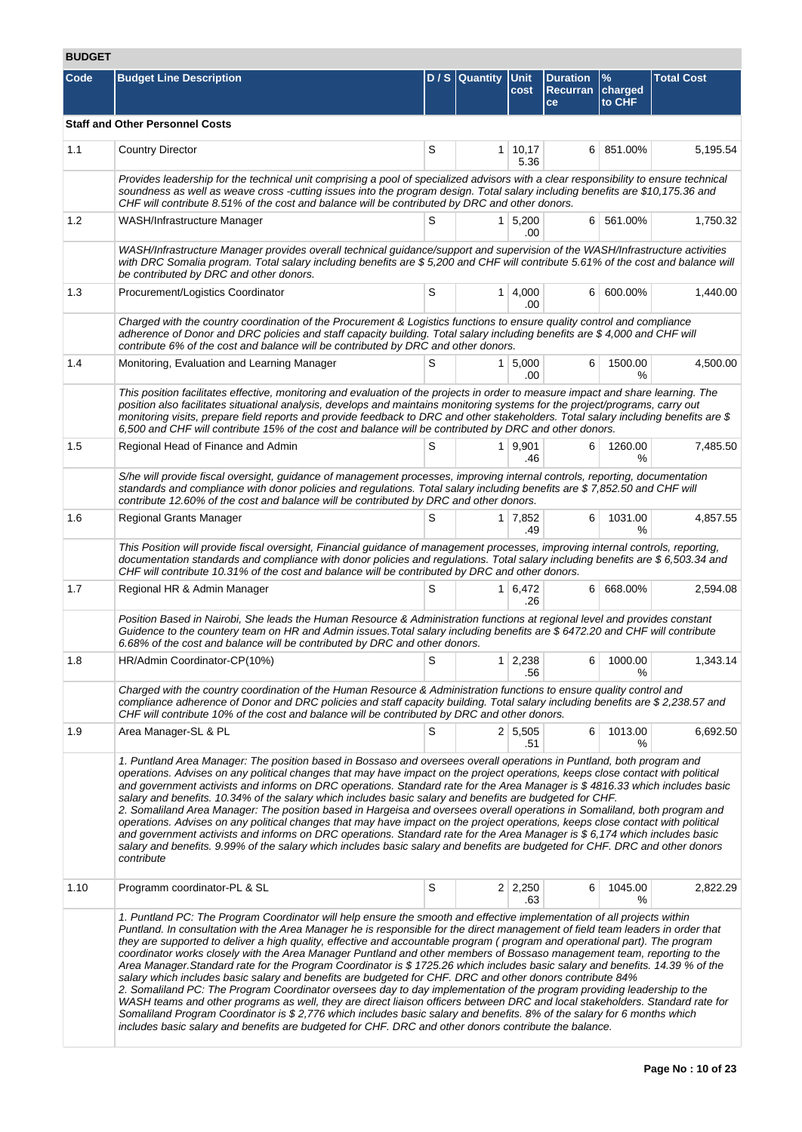# **BUDGET**

| Code | <b>Budget Line Description</b>                                                                                                                                                                                                                                                                                                                                                                                                                                                                                                                                                                                                                                                                                                                                                                                                                                                                                                                                                                                                                                                                                                                                                                                                                                     |   | D / S Quantity Unit | cost                  | <b>Duration</b><br><b>Recurran</b><br>ce | $\frac{9}{6}$<br>charged<br>to CHF | <b>Total Cost</b> |  |  |  |  |
|------|--------------------------------------------------------------------------------------------------------------------------------------------------------------------------------------------------------------------------------------------------------------------------------------------------------------------------------------------------------------------------------------------------------------------------------------------------------------------------------------------------------------------------------------------------------------------------------------------------------------------------------------------------------------------------------------------------------------------------------------------------------------------------------------------------------------------------------------------------------------------------------------------------------------------------------------------------------------------------------------------------------------------------------------------------------------------------------------------------------------------------------------------------------------------------------------------------------------------------------------------------------------------|---|---------------------|-----------------------|------------------------------------------|------------------------------------|-------------------|--|--|--|--|
|      | <b>Staff and Other Personnel Costs</b>                                                                                                                                                                                                                                                                                                                                                                                                                                                                                                                                                                                                                                                                                                                                                                                                                                                                                                                                                                                                                                                                                                                                                                                                                             |   |                     |                       |                                          |                                    |                   |  |  |  |  |
| 1.1  | <b>Country Director</b>                                                                                                                                                                                                                                                                                                                                                                                                                                                                                                                                                                                                                                                                                                                                                                                                                                                                                                                                                                                                                                                                                                                                                                                                                                            | S |                     | 1   10,17<br>5.36     | 6                                        | 851.00%                            | 5,195.54          |  |  |  |  |
|      | Provides leadership for the technical unit comprising a pool of specialized advisors with a clear responsibility to ensure technical<br>soundness as well as weave cross -cutting issues into the program design. Total salary including benefits are \$10,175.36 and<br>CHF will contribute 8.51% of the cost and balance will be contributed by DRC and other donors.                                                                                                                                                                                                                                                                                                                                                                                                                                                                                                                                                                                                                                                                                                                                                                                                                                                                                            |   |                     |                       |                                          |                                    |                   |  |  |  |  |
| 1.2  | WASH/Infrastructure Manager                                                                                                                                                                                                                                                                                                                                                                                                                                                                                                                                                                                                                                                                                                                                                                                                                                                                                                                                                                                                                                                                                                                                                                                                                                        | S |                     | $1 \mid 5,200$<br>.00 | 6 <sup>1</sup>                           | 561.00%                            | 1,750.32          |  |  |  |  |
|      | WASH/Infrastructure Manager provides overall technical guidance/support and supervision of the WASH/Infrastructure activities<br>with DRC Somalia program. Total salary including benefits are \$5,200 and CHF will contribute 5.61% of the cost and balance will<br>be contributed by DRC and other donors.                                                                                                                                                                                                                                                                                                                                                                                                                                                                                                                                                                                                                                                                                                                                                                                                                                                                                                                                                       |   |                     |                       |                                          |                                    |                   |  |  |  |  |
| 1.3  | Procurement/Logistics Coordinator                                                                                                                                                                                                                                                                                                                                                                                                                                                                                                                                                                                                                                                                                                                                                                                                                                                                                                                                                                                                                                                                                                                                                                                                                                  | S |                     | $1 \mid 4,000$<br>.00 | 6                                        | 600.00%                            | 1,440.00          |  |  |  |  |
|      | Charged with the country coordination of the Procurement & Logistics functions to ensure quality control and compliance<br>adherence of Donor and DRC policies and staff capacity building. Total salary including benefits are \$4,000 and CHF will<br>contribute 6% of the cost and balance will be contributed by DRC and other donors.                                                                                                                                                                                                                                                                                                                                                                                                                                                                                                                                                                                                                                                                                                                                                                                                                                                                                                                         |   |                     |                       |                                          |                                    |                   |  |  |  |  |
| 1.4  | Monitoring, Evaluation and Learning Manager                                                                                                                                                                                                                                                                                                                                                                                                                                                                                                                                                                                                                                                                                                                                                                                                                                                                                                                                                                                                                                                                                                                                                                                                                        | S |                     | $1 \, 5,000$<br>.00   | 6                                        | 1500.00<br>℅                       | 4,500.00          |  |  |  |  |
|      | This position facilitates effective, monitoring and evaluation of the projects in order to measure impact and share learning. The<br>position also facilitates situational analysis, develops and maintains monitoring systems for the project/programs, carry out<br>monitoring visits, prepare field reports and provide feedback to DRC and other stakeholders. Total salary including benefits are \$<br>6,500 and CHF will contribute 15% of the cost and balance will be contributed by DRC and other donors.                                                                                                                                                                                                                                                                                                                                                                                                                                                                                                                                                                                                                                                                                                                                                |   |                     |                       |                                          |                                    |                   |  |  |  |  |
| 1.5  | Regional Head of Finance and Admin                                                                                                                                                                                                                                                                                                                                                                                                                                                                                                                                                                                                                                                                                                                                                                                                                                                                                                                                                                                                                                                                                                                                                                                                                                 | S |                     | 1   9,901<br>.46      | 6                                        | 1260.00<br>%                       | 7,485.50          |  |  |  |  |
|      | S/he will provide fiscal oversight, guidance of management processes, improving internal controls, reporting, documentation<br>standards and compliance with donor policies and regulations. Total salary including benefits are \$7,852.50 and CHF will<br>contribute 12.60% of the cost and balance will be contributed by DRC and other donors.                                                                                                                                                                                                                                                                                                                                                                                                                                                                                                                                                                                                                                                                                                                                                                                                                                                                                                                 |   |                     |                       |                                          |                                    |                   |  |  |  |  |
| 1.6  | Regional Grants Manager                                                                                                                                                                                                                                                                                                                                                                                                                                                                                                                                                                                                                                                                                                                                                                                                                                                                                                                                                                                                                                                                                                                                                                                                                                            | S |                     | 1 7,852<br>.49        | 6                                        | 1031.00<br>%                       | 4,857.55          |  |  |  |  |
|      | This Position will provide fiscal oversight, Financial guidance of management processes, improving internal controls, reporting,<br>documentation standards and compliance with donor policies and regulations. Total salary including benefits are \$6,503.34 and<br>CHF will contribute 10.31% of the cost and balance will be contributed by DRC and other donors.                                                                                                                                                                                                                                                                                                                                                                                                                                                                                                                                                                                                                                                                                                                                                                                                                                                                                              |   |                     |                       |                                          |                                    |                   |  |  |  |  |
| 1.7  | Regional HR & Admin Manager                                                                                                                                                                                                                                                                                                                                                                                                                                                                                                                                                                                                                                                                                                                                                                                                                                                                                                                                                                                                                                                                                                                                                                                                                                        | S |                     | $1 \mid 6,472$<br>.26 |                                          | 6 668.00%                          | 2,594.08          |  |  |  |  |
|      | Position Based in Nairobi, She leads the Human Resource & Administration functions at regional level and provides constant<br>Guidence to the countery team on HR and Admin issues. Total salary including benefits are \$6472.20 and CHF will contribute<br>6.68% of the cost and balance will be contributed by DRC and other donors.                                                                                                                                                                                                                                                                                                                                                                                                                                                                                                                                                                                                                                                                                                                                                                                                                                                                                                                            |   |                     |                       |                                          |                                    |                   |  |  |  |  |
| 1.8  | HR/Admin Coordinator-CP(10%)                                                                                                                                                                                                                                                                                                                                                                                                                                                                                                                                                                                                                                                                                                                                                                                                                                                                                                                                                                                                                                                                                                                                                                                                                                       | S |                     | $1 \mid 2,238$<br>.56 | 6                                        | 1000.00<br>%                       | 1,343.14          |  |  |  |  |
|      | Charged with the country coordination of the Human Resource & Administration functions to ensure quality control and<br>compliance adherence of Donor and DRC policies and staff capacity building. Total salary including benefits are \$2,238.57 and<br>CHF will contribute 10% of the cost and balance will be contributed by DRC and other donors.                                                                                                                                                                                                                                                                                                                                                                                                                                                                                                                                                                                                                                                                                                                                                                                                                                                                                                             |   |                     |                       |                                          |                                    |                   |  |  |  |  |
| 1.9  | Area Manager-SL & PL                                                                                                                                                                                                                                                                                                                                                                                                                                                                                                                                                                                                                                                                                                                                                                                                                                                                                                                                                                                                                                                                                                                                                                                                                                               | S |                     | $2 \mid 5,505$<br>.51 | 6                                        | 1013.00<br>%                       | 6,692.50          |  |  |  |  |
|      | 1. Puntland Area Manager: The position based in Bossaso and oversees overall operations in Puntland, both program and<br>operations. Advises on any political changes that may have impact on the project operations, keeps close contact with political<br>and government activists and informs on DRC operations. Standard rate for the Area Manager is \$4816.33 which includes basic<br>salary and benefits. 10.34% of the salary which includes basic salary and benefits are budgeted for CHF.<br>2. Somaliland Area Manager: The position based in Hargeisa and oversees overall operations in Somaliland, both program and<br>operations. Advises on any political changes that may have impact on the project operations, keeps close contact with political<br>and government activists and informs on DRC operations. Standard rate for the Area Manager is \$6,174 which includes basic<br>salary and benefits. 9.99% of the salary which includes basic salary and benefits are budgeted for CHF. DRC and other donors<br>contribute                                                                                                                                                                                                                  |   |                     |                       |                                          |                                    |                   |  |  |  |  |
| 1.10 | Programm coordinator-PL & SL                                                                                                                                                                                                                                                                                                                                                                                                                                                                                                                                                                                                                                                                                                                                                                                                                                                                                                                                                                                                                                                                                                                                                                                                                                       | S |                     | $2 \mid 2,250$<br>.63 | 6                                        | 1045.00<br>℅                       | 2,822.29          |  |  |  |  |
|      | 1. Puntland PC: The Program Coordinator will help ensure the smooth and effective implementation of all projects within<br>Puntland. In consultation with the Area Manager he is responsible for the direct management of field team leaders in order that<br>they are supported to deliver a high quality, effective and accountable program (program and operational part). The program<br>coordinator works closely with the Area Manager Puntland and other members of Bossaso management team, reporting to the<br>Area Manager.Standard rate for the Program Coordinator is \$ 1725.26 which includes basic salary and benefits. 14.39 % of the<br>salary which includes basic salary and benefits are budgeted for CHF. DRC and other donors contribute 84%<br>2. Somaliland PC: The Program Coordinator oversees day to day implementation of the program providing leadership to the<br>WASH teams and other programs as well, they are direct liaison officers between DRC and local stakeholders. Standard rate for<br>Somaliland Program Coordinator is \$2,776 which includes basic salary and benefits. 8% of the salary for 6 months which<br>includes basic salary and benefits are budgeted for CHF. DRC and other donors contribute the balance. |   |                     |                       |                                          |                                    |                   |  |  |  |  |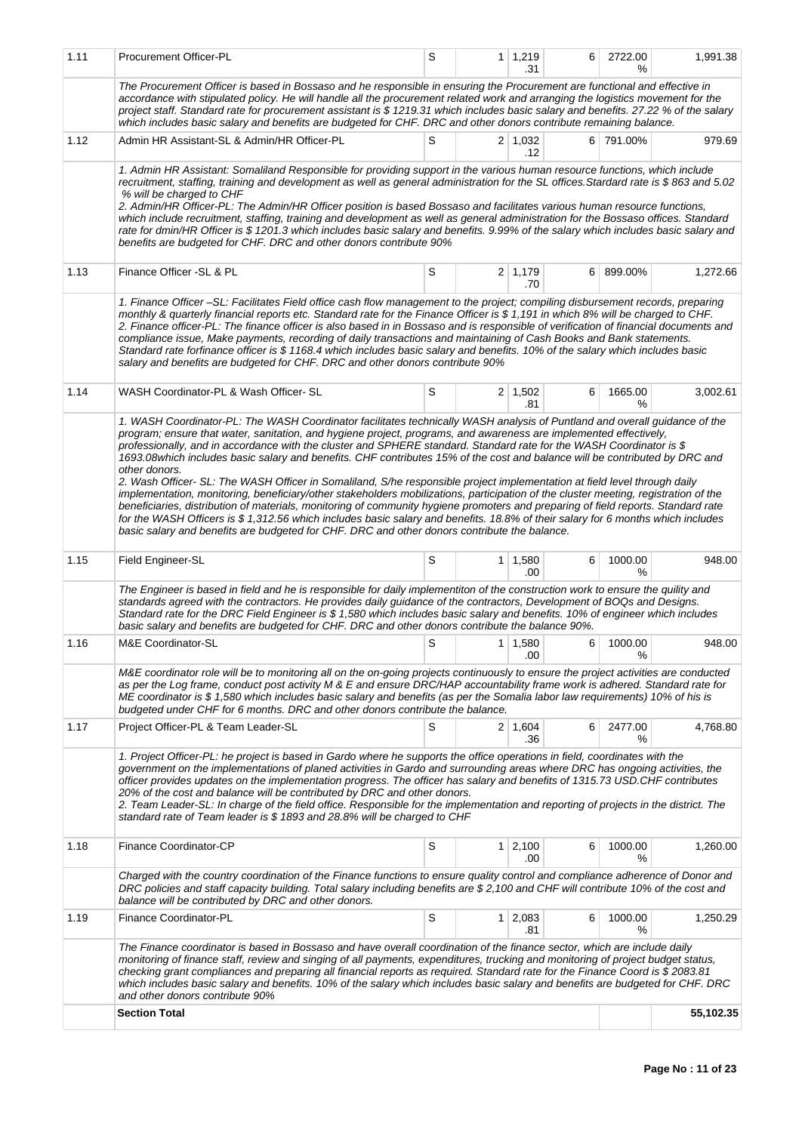| 1.11 | Procurement Officer-PL                                                                                                                                                                                                                                                                                                                                                                                                                                                                                                                                                                                                                                                                                                                                                                                                                                                                                                                                                                                                                                                                                                                                               | S |                | $1 \mid 1,219$<br>.31 | 6              | 2722.00<br>℅ | 1,991.38  |
|------|----------------------------------------------------------------------------------------------------------------------------------------------------------------------------------------------------------------------------------------------------------------------------------------------------------------------------------------------------------------------------------------------------------------------------------------------------------------------------------------------------------------------------------------------------------------------------------------------------------------------------------------------------------------------------------------------------------------------------------------------------------------------------------------------------------------------------------------------------------------------------------------------------------------------------------------------------------------------------------------------------------------------------------------------------------------------------------------------------------------------------------------------------------------------|---|----------------|-----------------------|----------------|--------------|-----------|
|      | The Procurement Officer is based in Bossaso and he responsible in ensuring the Procurement are functional and effective in<br>accordance with stipulated policy. He will handle all the procurement related work and arranging the logistics movement for the<br>project staff. Standard rate for procurement assistant is \$1219.31 which includes basic salary and benefits. 27.22 % of the salary<br>which includes basic salary and benefits are budgeted for CHF. DRC and other donors contribute remaining balance.                                                                                                                                                                                                                                                                                                                                                                                                                                                                                                                                                                                                                                            |   |                |                       |                |              |           |
| 1.12 | Admin HR Assistant-SL & Admin/HR Officer-PL                                                                                                                                                                                                                                                                                                                                                                                                                                                                                                                                                                                                                                                                                                                                                                                                                                                                                                                                                                                                                                                                                                                          | S |                | $2 \mid 1,032$<br>.12 |                | 6 791.00%    | 979.69    |
|      | 1. Admin HR Assistant: Somaliland Responsible for providing support in the various human resource functions, which include<br>recruitment, staffing, training and development as well as general administration for the SL offices. Stardard rate is \$863 and 5.02<br>% will be charged to CHF<br>2. Admin/HR Officer-PL: The Admin/HR Officer position is based Bossaso and facilitates various human resource functions,<br>which include recruitment, staffing, training and development as well as general administration for the Bossaso offices. Standard<br>rate for dmin/HR Officer is \$1201.3 which includes basic salary and benefits. 9.99% of the salary which includes basic salary and<br>benefits are budgeted for CHF. DRC and other donors contribute 90%                                                                                                                                                                                                                                                                                                                                                                                         |   |                |                       |                |              |           |
| 1.13 | Finance Officer - SL & PL                                                                                                                                                                                                                                                                                                                                                                                                                                                                                                                                                                                                                                                                                                                                                                                                                                                                                                                                                                                                                                                                                                                                            | S |                | 2   1,179<br>.70      | 6 <sup>1</sup> | 899.00%      | 1,272.66  |
|      | 1. Finance Officer –SL: Facilitates Field office cash flow management to the project; compiling disbursement records, preparing<br>monthly & quarterly financial reports etc. Standard rate for the Finance Officer is \$1,191 in which 8% will be charged to CHF.<br>2. Finance officer-PL: The finance officer is also based in in Bossaso and is responsible of verification of financial documents and<br>compliance issue, Make payments, recording of daily transactions and maintaining of Cash Books and Bank statements.<br>Standard rate forfinance officer is \$1168.4 which includes basic salary and benefits. 10% of the salary which includes basic<br>salary and benefits are budgeted for CHF. DRC and other donors contribute 90%                                                                                                                                                                                                                                                                                                                                                                                                                  |   |                |                       |                |              |           |
| 1.14 | WASH Coordinator-PL & Wash Officer- SL                                                                                                                                                                                                                                                                                                                                                                                                                                                                                                                                                                                                                                                                                                                                                                                                                                                                                                                                                                                                                                                                                                                               | S |                | $2 \mid 1,502$<br>.81 | 6              | 1665.00<br>% | 3,002.61  |
|      | 1. WASH Coordinator-PL: The WASH Coordinator facilitates technically WASH analysis of Puntland and overall guidance of the<br>program; ensure that water, sanitation, and hygiene project, programs, and awareness are implemented effectively,<br>professionally, and in accordance with the cluster and SPHERE standard. Standard rate for the WASH Coordinator is \$<br>1693.08which includes basic salary and benefits. CHF contributes 15% of the cost and balance will be contributed by DRC and<br>other donors.<br>2. Wash Officer- SL: The WASH Officer in Somaliland, S/he responsible project implementation at field level through daily<br>implementation, monitoring, beneficiary/other stakeholders mobilizations, participation of the cluster meeting, registration of the<br>beneficiaries, distribution of materials, monitoring of community hygiene promoters and preparing of field reports. Standard rate<br>for the WASH Officers is \$ 1,312.56 which includes basic salary and benefits. 18.8% of their salary for 6 months which includes<br>basic salary and benefits are budgeted for CHF. DRC and other donors contribute the balance. |   |                |                       |                |              |           |
| 1.15 | Field Engineer-SL                                                                                                                                                                                                                                                                                                                                                                                                                                                                                                                                                                                                                                                                                                                                                                                                                                                                                                                                                                                                                                                                                                                                                    | S | 1 <sup>1</sup> | 1,580<br>.00          | 6              | 1000.00<br>% | 948.00    |
|      | The Engineer is based in field and he is responsible for daily implementiton of the construction work to ensure the quility and<br>standards agreed with the contractors. He provides daily guidance of the contractors, Development of BOQs and Designs.<br>Standard rate for the DRC Field Engineer is \$ 1,580 which includes basic salary and benefits. 10% of engineer which includes<br>basic salary and benefits are budgeted for CHF. DRC and other donors contribute the balance 90%.                                                                                                                                                                                                                                                                                                                                                                                                                                                                                                                                                                                                                                                                       |   |                |                       |                |              |           |
| 1.16 | M&E Coordinator-SL                                                                                                                                                                                                                                                                                                                                                                                                                                                                                                                                                                                                                                                                                                                                                                                                                                                                                                                                                                                                                                                                                                                                                   | S |                | $1 \mid 1,580$<br>.00 | 6              | 1000.00<br>% | 948.00    |
|      | M&E coordinator role will be to monitoring all on the on-going projects continuously to ensure the project activities are conducted<br>as per the Log frame, conduct post activity M & E and ensure DRC/HAP accountability frame work is adhered. Standard rate for<br>ME coordinator is \$1,580 which includes basic salary and benefits (as per the Somalia labor law requirements) 10% of his is<br>budgeted under CHF for 6 months. DRC and other donors contribute the balance.                                                                                                                                                                                                                                                                                                                                                                                                                                                                                                                                                                                                                                                                                 |   |                |                       |                |              |           |
| 1.17 | Project Officer-PL & Team Leader-SL                                                                                                                                                                                                                                                                                                                                                                                                                                                                                                                                                                                                                                                                                                                                                                                                                                                                                                                                                                                                                                                                                                                                  | S |                | $2 \mid 1,604$<br>.36 | 6              | 2477.00<br>℅ | 4,768.80  |
|      | 1. Project Officer-PL: he project is based in Gardo where he supports the office operations in field, coordinates with the<br>government on the implementations of planed activities in Gardo and surrounding areas where DRC has ongoing activities, the<br>officer provides updates on the implementation progress. The officer has salary and benefits of 1315.73 USD.CHF contributes<br>20% of the cost and balance will be contributed by DRC and other donors.<br>2. Team Leader-SL: In charge of the field office. Responsible for the implementation and reporting of projects in the district. The<br>standard rate of Team leader is \$ 1893 and 28.8% will be charged to CHF                                                                                                                                                                                                                                                                                                                                                                                                                                                                              |   |                |                       |                |              |           |
| 1.18 | Finance Coordinator-CP                                                                                                                                                                                                                                                                                                                                                                                                                                                                                                                                                                                                                                                                                                                                                                                                                                                                                                                                                                                                                                                                                                                                               | S | 1              | 2,100<br>.00          | 6              | 1000.00<br>% | 1,260.00  |
|      | Charged with the country coordination of the Finance functions to ensure quality control and compliance adherence of Donor and<br>DRC policies and staff capacity building. Total salary including benefits are \$2,100 and CHF will contribute 10% of the cost and<br>balance will be contributed by DRC and other donors.                                                                                                                                                                                                                                                                                                                                                                                                                                                                                                                                                                                                                                                                                                                                                                                                                                          |   |                |                       |                |              |           |
| 1.19 | Finance Coordinator-PL                                                                                                                                                                                                                                                                                                                                                                                                                                                                                                                                                                                                                                                                                                                                                                                                                                                                                                                                                                                                                                                                                                                                               | S |                | $1 \mid 2,083$<br>.81 | 6              | 1000.00<br>% | 1,250.29  |
|      | The Finance coordinator is based in Bossaso and have overall coordination of the finance sector, which are include daily<br>monitoring of finance staff, review and singing of all payments, expenditures, trucking and monitoring of project budget status,<br>checking grant compliances and preparing all financial reports as required. Standard rate for the Finance Coord is \$2083.81<br>which includes basic salary and benefits. 10% of the salary which includes basic salary and benefits are budgeted for CHF. DRC<br>and other donors contribute 90%                                                                                                                                                                                                                                                                                                                                                                                                                                                                                                                                                                                                    |   |                |                       |                |              |           |
|      | <b>Section Total</b>                                                                                                                                                                                                                                                                                                                                                                                                                                                                                                                                                                                                                                                                                                                                                                                                                                                                                                                                                                                                                                                                                                                                                 |   |                |                       |                |              | 55,102.35 |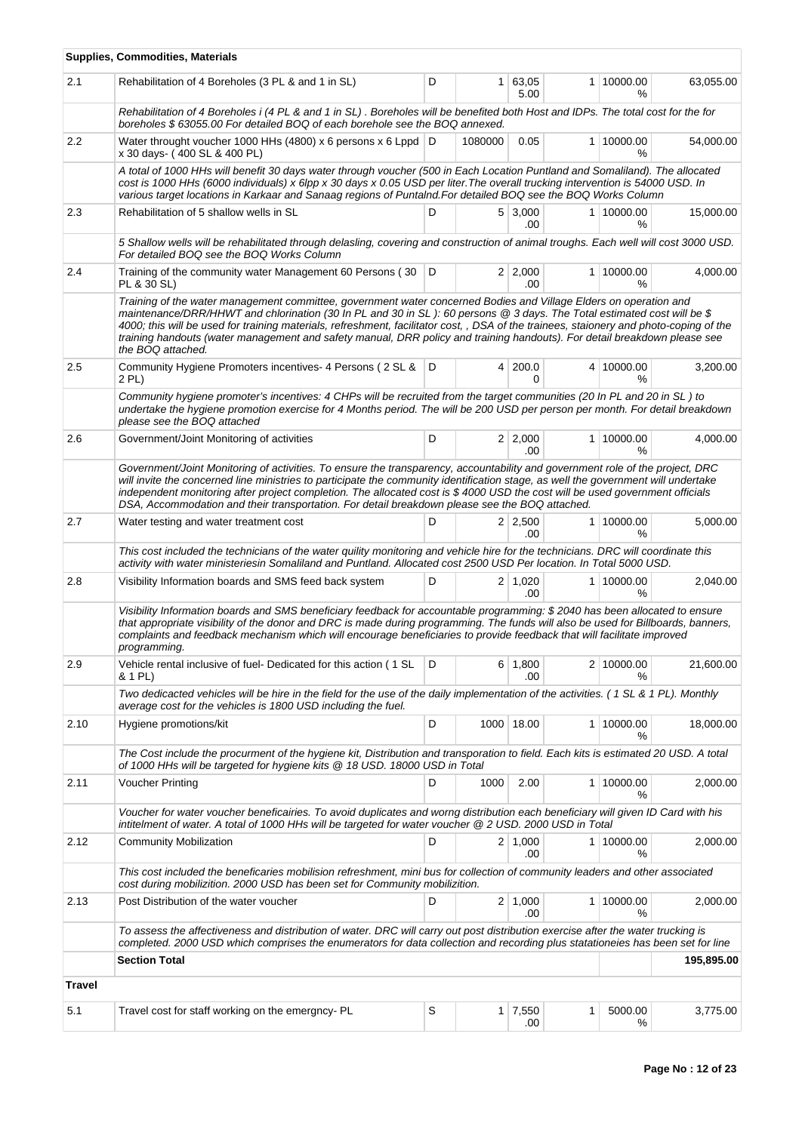|               | <b>Supplies, Commodities, Materials</b>                                                                                                                                                                                                                                                                                                                                                                                                                                                                                                   |     |                |                        |                |                             |            |
|---------------|-------------------------------------------------------------------------------------------------------------------------------------------------------------------------------------------------------------------------------------------------------------------------------------------------------------------------------------------------------------------------------------------------------------------------------------------------------------------------------------------------------------------------------------------|-----|----------------|------------------------|----------------|-----------------------------|------------|
| 2.1           | Rehabilitation of 4 Boreholes (3 PL & and 1 in SL)                                                                                                                                                                                                                                                                                                                                                                                                                                                                                        | D   |                | $1 \mid 63,05$<br>5.00 |                | 1 10000.00<br>℅             | 63,055.00  |
|               | Rehabilitation of 4 Boreholes i (4 PL & and 1 in SL). Boreholes will be benefited both Host and IDPs. The total cost for the for<br>boreholes \$63055.00 For detailed BOQ of each borehole see the BOQ annexed.                                                                                                                                                                                                                                                                                                                           |     |                |                        |                |                             |            |
| 2.2           | Water throught voucher 1000 HHs (4800) x 6 persons x 6 Lppd D<br>x 30 days- (400 SL & 400 PL)                                                                                                                                                                                                                                                                                                                                                                                                                                             |     | 1080000        | 0.05                   | 1 <sup>1</sup> | 10000.00<br>%               | 54,000.00  |
|               | A total of 1000 HHs will benefit 30 days water through voucher (500 in Each Location Puntland and Somaliland). The allocated<br>cost is 1000 HHs (6000 individuals) x 6lpp x 30 days x 0.05 USD per liter. The overall trucking intervention is 54000 USD. In<br>various target locations in Karkaar and Sanaag regions of Puntalnd. For detailed BOQ see the BOQ Works Column                                                                                                                                                            |     |                |                        |                |                             |            |
| 2.3           | Rehabilitation of 5 shallow wells in SL                                                                                                                                                                                                                                                                                                                                                                                                                                                                                                   | D   |                | $5 \mid 3,000$<br>.00  |                | 1   10000.00<br>%           | 15,000.00  |
|               | 5 Shallow wells will be rehabilitated through delasling, covering and construction of animal troughs. Each well will cost 3000 USD.<br>For detailed BOQ see the BOQ Works Column                                                                                                                                                                                                                                                                                                                                                          |     |                |                        |                |                             |            |
| 2.4           | Training of the community water Management 60 Persons (30 D<br>PL & 30 SL)                                                                                                                                                                                                                                                                                                                                                                                                                                                                |     |                | 2 2,000<br>.00         |                | 1 10000.00<br>$\frac{9}{6}$ | 4,000.00   |
|               | Training of the water management committee, government water concerned Bodies and Village Elders on operation and<br>maintenance/DRR/HHWT and chlorination (30 In PL and 30 in SL): 60 persons @ 3 days. The Total estimated cost will be \$<br>4000; this will be used for training materials, refreshment, facilitator cost, , DSA of the trainees, staionery and photo-coping of the<br>training handouts (water management and safety manual, DRR policy and training handouts). For detail breakdown please see<br>the BOQ attached. |     |                |                        |                |                             |            |
| 2.5           | Community Hygiene Promoters incentives- 4 Persons (2 SL &<br>2 PL)                                                                                                                                                                                                                                                                                                                                                                                                                                                                        | I D | $\overline{4}$ | 200.0<br>0             |                | 4 10000.00<br>%             | 3,200.00   |
|               | Community hygiene promoter's incentives: 4 CHPs will be recruited from the target communities (20 In PL and 20 in SL) to<br>undertake the hygiene promotion exercise for 4 Months period. The will be 200 USD per person per month. For detail breakdown<br>please see the BOQ attached                                                                                                                                                                                                                                                   |     |                |                        |                |                             |            |
| 2.6           | Government/Joint Monitoring of activities                                                                                                                                                                                                                                                                                                                                                                                                                                                                                                 | D   |                | $2 \mid 2,000$<br>.00  |                | 1 10000.00<br>$\%$          | 4,000.00   |
|               | Government/Joint Monitoring of activities. To ensure the transparency, accountability and government role of the project, DRC<br>will invite the concerned line ministries to participate the community identification stage, as well the government will undertake<br>independent monitoring after project completion. The allocated cost is \$4000 USD the cost will be used government officials<br>DSA, Accommodation and their transportation. For detail breakdown please see the BOQ attached.                                     |     |                |                        |                |                             |            |
| 2.7           | Water testing and water treatment cost                                                                                                                                                                                                                                                                                                                                                                                                                                                                                                    | D   |                | $2 \mid 2,500$<br>.00. |                | 1 10000.00<br>$\frac{9}{6}$ | 5,000.00   |
|               | This cost included the technicians of the water quility monitoring and vehicle hire for the technicians. DRC will coordinate this<br>activity with water ministeriesin Somaliland and Puntland. Allocated cost 2500 USD Per location. In Total 5000 USD.                                                                                                                                                                                                                                                                                  |     |                |                        |                |                             |            |
| 2.8           | Visibility Information boards and SMS feed back system                                                                                                                                                                                                                                                                                                                                                                                                                                                                                    | D   |                | $2 \mid 1,020$<br>.00  |                | 1 10000.00<br>℅             | 2,040.00   |
|               | Visibility Information boards and SMS beneficiary feedback for accountable programming: \$2040 has been allocated to ensure<br>that appropriate visibility of the donor and DRC is made during programming. The funds will also be used for Billboards, banners,<br>complaints and feedback mechanism which will encourage beneficiaries to provide feedback that will facilitate improved<br>programming.                                                                                                                                |     |                |                        |                |                             |            |
| 2.9           | Vehicle rental inclusive of fuel-Dedicated for this action (1 SL<br>& 1 PL)                                                                                                                                                                                                                                                                                                                                                                                                                                                               | D   |                | $6 \mid 1,800$<br>.00  |                | 2 10000.00<br>℅             | 21,600.00  |
|               | Two dedicacted vehicles will be hire in the field for the use of the daily implementation of the activities. (1 SL & 1 PL). Monthly<br>average cost for the vehicles is 1800 USD including the fuel.                                                                                                                                                                                                                                                                                                                                      |     |                |                        |                |                             |            |
| 2.10          | Hygiene promotions/kit                                                                                                                                                                                                                                                                                                                                                                                                                                                                                                                    | D   |                | 1000 18.00             |                | 1 10000.00<br>$\frac{9}{6}$ | 18,000.00  |
|               | The Cost include the procurment of the hygiene kit, Distribution and transporation to field. Each kits is estimated 20 USD. A total<br>of 1000 HHs will be targeted for hygiene kits @ 18 USD. 18000 USD in Total                                                                                                                                                                                                                                                                                                                         |     |                |                        |                |                             |            |
| 2.11          | Voucher Printing                                                                                                                                                                                                                                                                                                                                                                                                                                                                                                                          | D   | 1000           | 2.00                   | 1 <sup>1</sup> | 10000.00<br>℅               | 2,000.00   |
|               | Voucher for water voucher beneficairies. To avoid duplicates and worng distribution each beneficiary will given ID Card with his<br>intitelment of water. A total of 1000 HHs will be targeted for water voucher @ 2 USD. 2000 USD in Total                                                                                                                                                                                                                                                                                               |     |                |                        |                |                             |            |
| 2.12          | <b>Community Mobilization</b>                                                                                                                                                                                                                                                                                                                                                                                                                                                                                                             | D   |                | $2 \mid 1,000$<br>.00  |                | 1 10000.00<br>$\%$          | 2,000.00   |
|               | This cost included the beneficaries mobilision refreshment, mini bus for collection of community leaders and other associated<br>cost during mobilizition. 2000 USD has been set for Community mobilizition.                                                                                                                                                                                                                                                                                                                              |     |                |                        |                |                             |            |
| 2.13          | Post Distribution of the water voucher                                                                                                                                                                                                                                                                                                                                                                                                                                                                                                    | D   |                | $2 \mid 1,000$<br>.00. |                | 1 10000.00<br>%             | 2,000.00   |
|               | To assess the affectiveness and distribution of water. DRC will carry out post distribution exercise after the water trucking is<br>completed. 2000 USD which comprises the enumerators for data collection and recording plus statationeies has been set for line                                                                                                                                                                                                                                                                        |     |                |                        |                |                             |            |
|               | <b>Section Total</b>                                                                                                                                                                                                                                                                                                                                                                                                                                                                                                                      |     |                |                        |                |                             | 195,895.00 |
| <b>Travel</b> |                                                                                                                                                                                                                                                                                                                                                                                                                                                                                                                                           |     |                |                        |                |                             |            |
| 5.1           | Travel cost for staff working on the emergncy-PL                                                                                                                                                                                                                                                                                                                                                                                                                                                                                          | S   | 1 <sup>1</sup> | 7,550<br>.00           | 1              | 5000.00<br>$\%$             | 3,775.00   |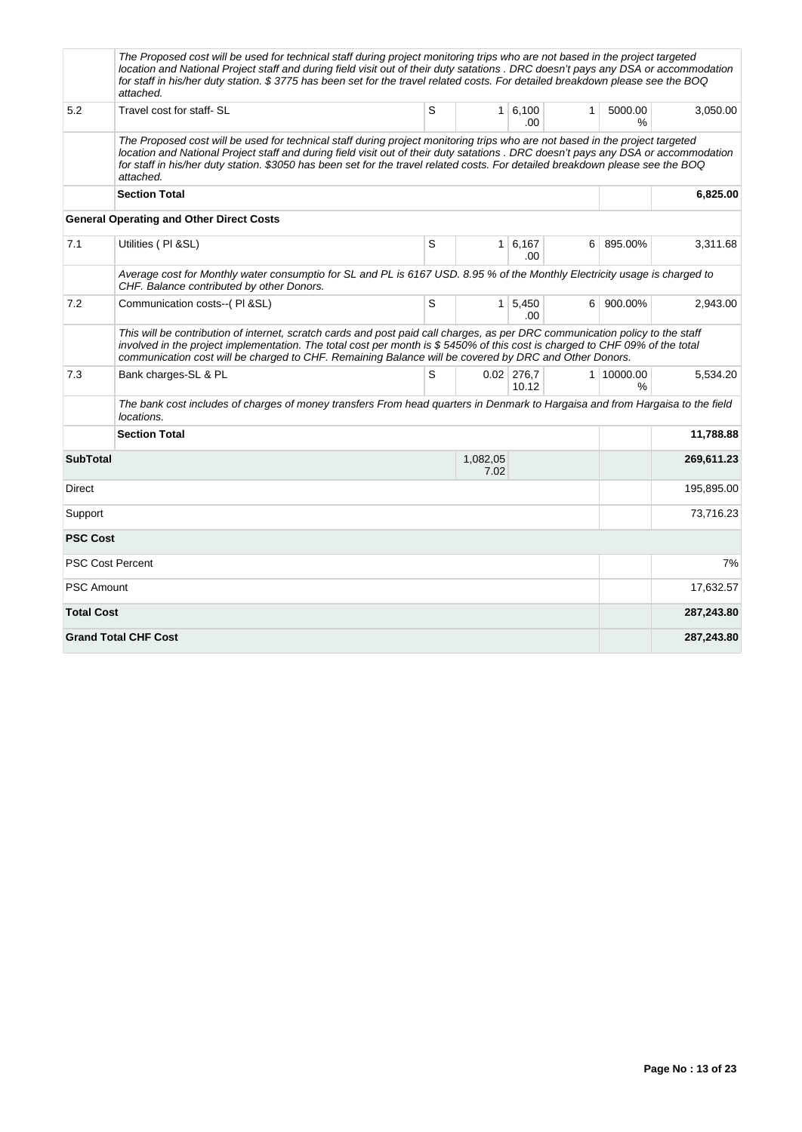|                   | The Proposed cost will be used for technical staff during project monitoring trips who are not based in the project targeted<br>location and National Project staff and during field visit out of their duty satations . DRC doesn't pays any DSA or accommodation<br>for staff in his/her duty station. \$3775 has been set for the travel related costs. For detailed breakdown please see the BOQ<br>attached. |   |                  |                        |              |                             |            |
|-------------------|-------------------------------------------------------------------------------------------------------------------------------------------------------------------------------------------------------------------------------------------------------------------------------------------------------------------------------------------------------------------------------------------------------------------|---|------------------|------------------------|--------------|-----------------------------|------------|
| 5.2               | Travel cost for staff- SL                                                                                                                                                                                                                                                                                                                                                                                         | S |                  | 1 6,100<br>.00         | $\mathbf{1}$ | 5000.00<br>$\frac{9}{6}$    | 3,050.00   |
|                   | The Proposed cost will be used for technical staff during project monitoring trips who are not based in the project targeted<br>location and National Project staff and during field visit out of their duty satations . DRC doesn't pays any DSA or accommodation<br>for staff in his/her duty station. \$3050 has been set for the travel related costs. For detailed breakdown please see the BOQ<br>attached. |   |                  |                        |              |                             |            |
|                   | <b>Section Total</b>                                                                                                                                                                                                                                                                                                                                                                                              |   |                  |                        |              |                             | 6,825.00   |
|                   | <b>General Operating and Other Direct Costs</b>                                                                                                                                                                                                                                                                                                                                                                   |   |                  |                        |              |                             |            |
| 7.1               | Utilities (PI & SL)                                                                                                                                                                                                                                                                                                                                                                                               | S | 1 <sup>1</sup>   | 6,167<br>.00           | 6            | 895.00%                     | 3,311.68   |
|                   | Average cost for Monthly water consumptio for SL and PL is 6167 USD. 8.95 % of the Monthly Electricity usage is charged to<br>CHF. Balance contributed by other Donors.                                                                                                                                                                                                                                           |   |                  |                        |              |                             |            |
| 7.2               | Communication costs--(PI &SL)                                                                                                                                                                                                                                                                                                                                                                                     | S |                  | $1 \mid 5,450$<br>.00. |              | 6 900.00%                   | 2,943.00   |
|                   | This will be contribution of internet, scratch cards and post paid call charges, as per DRC communication policy to the staff<br>involved in the project implementation. The total cost per month is \$5450% of this cost is charged to CHF 09% of the total<br>communication cost will be charged to CHF. Remaining Balance will be covered by DRC and Other Donors.                                             |   |                  |                        |              |                             |            |
| 7.3               | Bank charges-SL & PL                                                                                                                                                                                                                                                                                                                                                                                              | S |                  | $0.02$ 276,7<br>10.12  |              | 1 10000.00<br>$\frac{9}{6}$ | 5,534.20   |
|                   | The bank cost includes of charges of money transfers From head guarters in Denmark to Hargaisa and from Hargaisa to the field<br>locations.                                                                                                                                                                                                                                                                       |   |                  |                        |              |                             |            |
|                   | <b>Section Total</b>                                                                                                                                                                                                                                                                                                                                                                                              |   |                  |                        |              |                             | 11,788.88  |
| <b>SubTotal</b>   |                                                                                                                                                                                                                                                                                                                                                                                                                   |   | 1,082,05<br>7.02 |                        |              |                             | 269,611.23 |
| Direct            |                                                                                                                                                                                                                                                                                                                                                                                                                   |   |                  |                        |              |                             | 195,895.00 |
| Support           |                                                                                                                                                                                                                                                                                                                                                                                                                   |   |                  |                        |              |                             | 73,716.23  |
| <b>PSC Cost</b>   |                                                                                                                                                                                                                                                                                                                                                                                                                   |   |                  |                        |              |                             |            |
|                   | <b>PSC Cost Percent</b>                                                                                                                                                                                                                                                                                                                                                                                           |   |                  |                        |              |                             | 7%         |
| <b>PSC Amount</b> |                                                                                                                                                                                                                                                                                                                                                                                                                   |   |                  |                        |              |                             | 17,632.57  |
| <b>Total Cost</b> |                                                                                                                                                                                                                                                                                                                                                                                                                   |   |                  |                        |              |                             | 287,243.80 |
|                   | <b>Grand Total CHF Cost</b>                                                                                                                                                                                                                                                                                                                                                                                       |   |                  |                        |              |                             | 287,243.80 |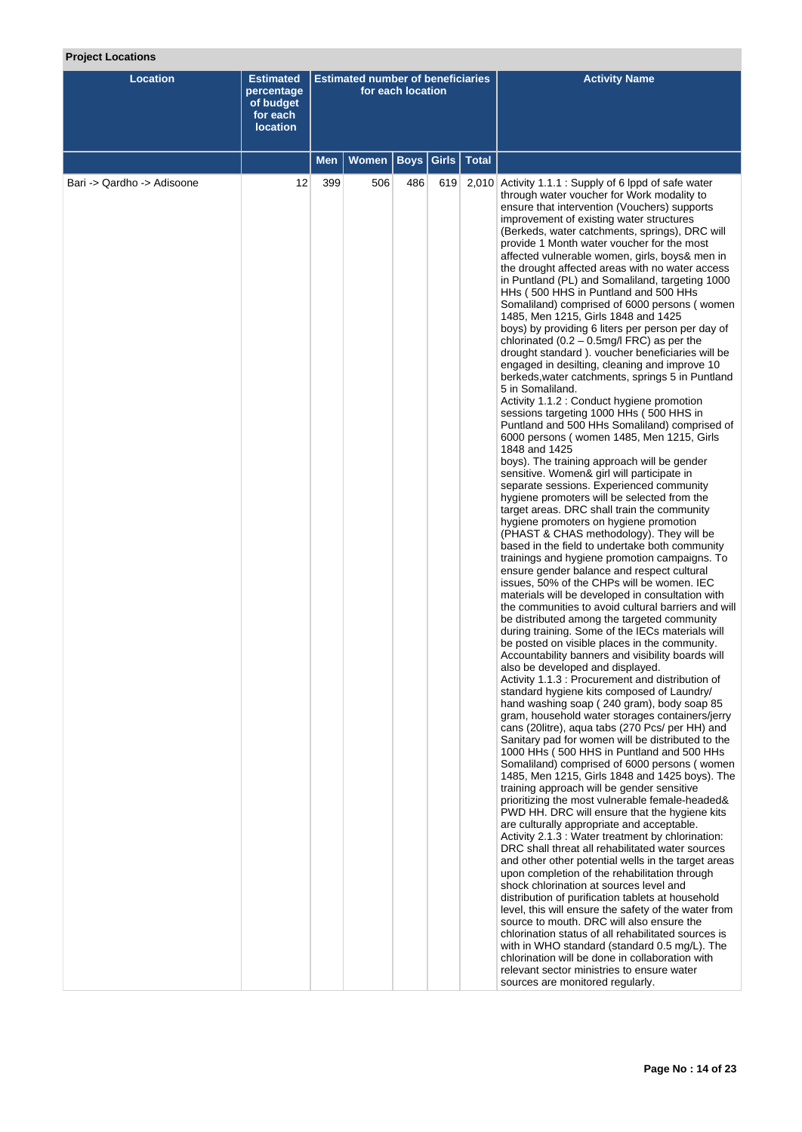# **Project Locations**

| <b>Location</b>            | <b>Estimated</b><br>percentage<br>of budget<br>for each<br><b>location</b> |     | <b>Estimated number of beneficiaries</b> | for each location |               |              | <b>Activity Name</b>                                                                                                                                                                                                                                                                                                                                                                                                                                                                                                                                                                                                                                                                                                                                                                                                                                                                                                                                                                                                                                                                                                                                                                                                                                                                                                                                                                                                                                                                                                                                                                                                                                                                                                                                                                                                                                                                                                                                                                                                                                                                                                                                                                                                                                                                                                                                                                                                                                                                                                                                                                                                                                                                                                                                                                                                                                                                                                                                                                                                                                                                                                                                                                                                  |  |
|----------------------------|----------------------------------------------------------------------------|-----|------------------------------------------|-------------------|---------------|--------------|-----------------------------------------------------------------------------------------------------------------------------------------------------------------------------------------------------------------------------------------------------------------------------------------------------------------------------------------------------------------------------------------------------------------------------------------------------------------------------------------------------------------------------------------------------------------------------------------------------------------------------------------------------------------------------------------------------------------------------------------------------------------------------------------------------------------------------------------------------------------------------------------------------------------------------------------------------------------------------------------------------------------------------------------------------------------------------------------------------------------------------------------------------------------------------------------------------------------------------------------------------------------------------------------------------------------------------------------------------------------------------------------------------------------------------------------------------------------------------------------------------------------------------------------------------------------------------------------------------------------------------------------------------------------------------------------------------------------------------------------------------------------------------------------------------------------------------------------------------------------------------------------------------------------------------------------------------------------------------------------------------------------------------------------------------------------------------------------------------------------------------------------------------------------------------------------------------------------------------------------------------------------------------------------------------------------------------------------------------------------------------------------------------------------------------------------------------------------------------------------------------------------------------------------------------------------------------------------------------------------------------------------------------------------------------------------------------------------------------------------------------------------------------------------------------------------------------------------------------------------------------------------------------------------------------------------------------------------------------------------------------------------------------------------------------------------------------------------------------------------------------------------------------------------------------------------------------------------------|--|
|                            |                                                                            | Men | Women                                    | <b>Boys</b>       | Girls $\vert$ | <b>Total</b> |                                                                                                                                                                                                                                                                                                                                                                                                                                                                                                                                                                                                                                                                                                                                                                                                                                                                                                                                                                                                                                                                                                                                                                                                                                                                                                                                                                                                                                                                                                                                                                                                                                                                                                                                                                                                                                                                                                                                                                                                                                                                                                                                                                                                                                                                                                                                                                                                                                                                                                                                                                                                                                                                                                                                                                                                                                                                                                                                                                                                                                                                                                                                                                                                                       |  |
| Bari -> Qardho -> Adisoone | 12                                                                         | 399 | 506                                      | 486               |               |              | 619 2,010 Activity 1.1.1 : Supply of 6 lppd of safe water<br>through water voucher for Work modality to<br>ensure that intervention (Vouchers) supports<br>improvement of existing water structures<br>(Berkeds, water catchments, springs), DRC will<br>provide 1 Month water voucher for the most<br>affected vulnerable women, girls, boys& men in<br>the drought affected areas with no water access<br>in Puntland (PL) and Somaliland, targeting 1000<br>HHs (500 HHS in Puntland and 500 HHs<br>Somaliland) comprised of 6000 persons (women<br>1485, Men 1215, Girls 1848 and 1425<br>boys) by providing 6 liters per person per day of<br>chlorinated $(0.2 - 0.5$ mg/l FRC) as per the<br>drought standard ). voucher beneficiaries will be<br>engaged in desilting, cleaning and improve 10<br>berkeds, water catchments, springs 5 in Puntland<br>5 in Somaliland.<br>Activity 1.1.2 : Conduct hygiene promotion<br>sessions targeting 1000 HHs (500 HHS in<br>Puntland and 500 HHs Somaliland) comprised of<br>6000 persons (women 1485, Men 1215, Girls<br>1848 and 1425<br>boys). The training approach will be gender<br>sensitive. Women& girl will participate in<br>separate sessions. Experienced community<br>hygiene promoters will be selected from the<br>target areas. DRC shall train the community<br>hygiene promoters on hygiene promotion<br>(PHAST & CHAS methodology). They will be<br>based in the field to undertake both community<br>trainings and hygiene promotion campaigns. To<br>ensure gender balance and respect cultural<br>issues, 50% of the CHPs will be women. IEC<br>materials will be developed in consultation with<br>the communities to avoid cultural barriers and will<br>be distributed among the targeted community<br>during training. Some of the IECs materials will<br>be posted on visible places in the community.<br>Accountability banners and visibility boards will<br>also be developed and displayed.<br>Activity 1.1.3 : Procurement and distribution of<br>standard hygiene kits composed of Laundry/<br>hand washing soap (240 gram), body soap 85<br>gram, household water storages containers/jerry<br>cans (20litre), aqua tabs (270 Pcs/ per HH) and<br>Sanitary pad for women will be distributed to the<br>1000 HHs (500 HHS in Puntland and 500 HHs<br>Somaliland) comprised of 6000 persons (women<br>1485, Men 1215, Girls 1848 and 1425 boys). The<br>training approach will be gender sensitive<br>prioritizing the most vulnerable female-headed&<br>PWD HH. DRC will ensure that the hygiene kits<br>are culturally appropriate and acceptable.<br>Activity 2.1.3 : Water treatment by chlorination:<br>DRC shall threat all rehabilitated water sources<br>and other other potential wells in the target areas<br>upon completion of the rehabilitation through<br>shock chlorination at sources level and<br>distribution of purification tablets at household<br>level, this will ensure the safety of the water from<br>source to mouth. DRC will also ensure the<br>chlorination status of all rehabilitated sources is<br>with in WHO standard (standard 0.5 mg/L). The<br>chlorination will be done in collaboration with |  |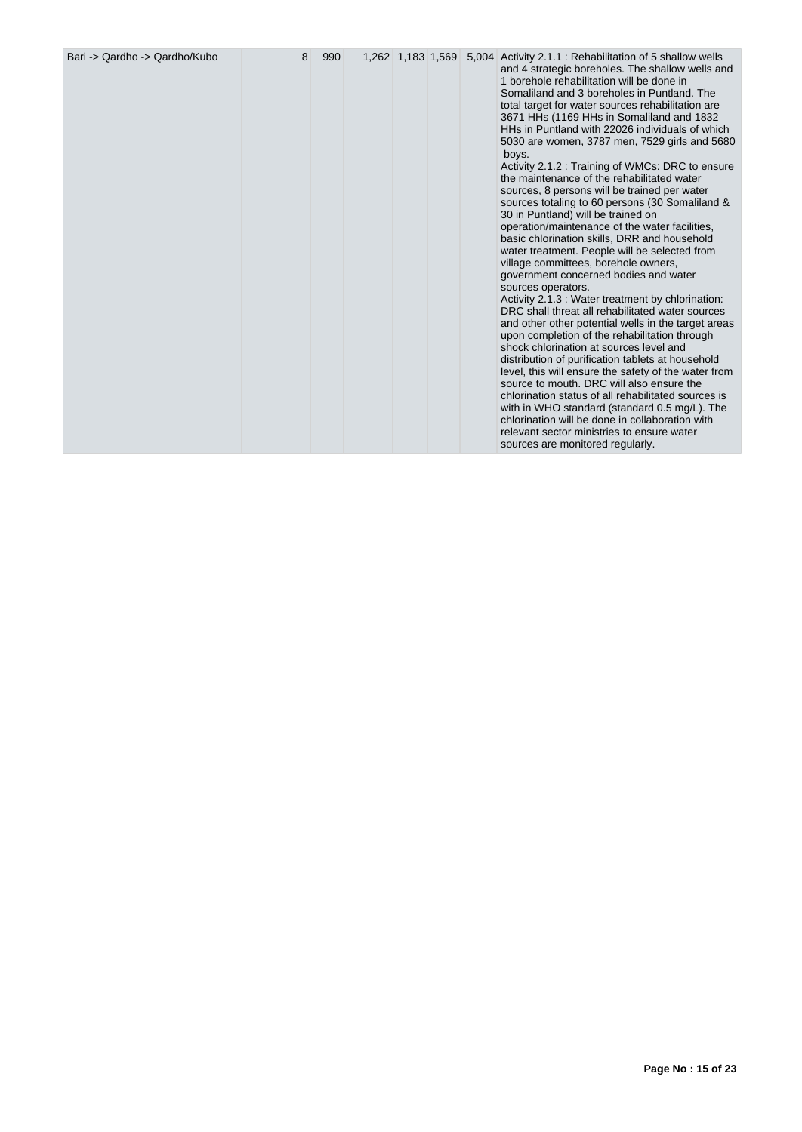| Bari -> Qardho -> Qardho/Kubo | 8 | 990 |  |  |  |  | 1,262 1,183 1,569 5,004 Activity 2.1.1 : Rehabilitation of 5 shallow wells<br>and 4 strategic boreholes. The shallow wells and<br>1 borehole rehabilitation will be done in<br>Somaliland and 3 boreholes in Puntland. The<br>total target for water sources rehabilitation are<br>3671 HHs (1169 HHs in Somaliland and 1832<br>HHs in Puntland with 22026 individuals of which<br>5030 are women, 3787 men, 7529 girls and 5680<br>boys.<br>Activity 2.1.2 : Training of WMCs: DRC to ensure<br>the maintenance of the rehabilitated water<br>sources, 8 persons will be trained per water<br>sources totaling to 60 persons (30 Somaliland &<br>30 in Puntland) will be trained on<br>operation/maintenance of the water facilities,<br>basic chlorination skills, DRR and household<br>water treatment. People will be selected from<br>village committees, borehole owners,<br>government concerned bodies and water<br>sources operators.<br>Activity 2.1.3 : Water treatment by chlorination:<br>DRC shall threat all rehabilitated water sources<br>and other other potential wells in the target areas<br>upon completion of the rehabilitation through<br>shock chlorination at sources level and<br>distribution of purification tablets at household<br>level, this will ensure the safety of the water from<br>source to mouth. DRC will also ensure the<br>chlorination status of all rehabilitated sources is<br>with in WHO standard (standard 0.5 mg/L). The<br>chlorination will be done in collaboration with<br>relevant sector ministries to ensure water<br>sources are monitored regularly. |
|-------------------------------|---|-----|--|--|--|--|-------------------------------------------------------------------------------------------------------------------------------------------------------------------------------------------------------------------------------------------------------------------------------------------------------------------------------------------------------------------------------------------------------------------------------------------------------------------------------------------------------------------------------------------------------------------------------------------------------------------------------------------------------------------------------------------------------------------------------------------------------------------------------------------------------------------------------------------------------------------------------------------------------------------------------------------------------------------------------------------------------------------------------------------------------------------------------------------------------------------------------------------------------------------------------------------------------------------------------------------------------------------------------------------------------------------------------------------------------------------------------------------------------------------------------------------------------------------------------------------------------------------------------------------------------------------------------------------------------------------|
|-------------------------------|---|-----|--|--|--|--|-------------------------------------------------------------------------------------------------------------------------------------------------------------------------------------------------------------------------------------------------------------------------------------------------------------------------------------------------------------------------------------------------------------------------------------------------------------------------------------------------------------------------------------------------------------------------------------------------------------------------------------------------------------------------------------------------------------------------------------------------------------------------------------------------------------------------------------------------------------------------------------------------------------------------------------------------------------------------------------------------------------------------------------------------------------------------------------------------------------------------------------------------------------------------------------------------------------------------------------------------------------------------------------------------------------------------------------------------------------------------------------------------------------------------------------------------------------------------------------------------------------------------------------------------------------------------------------------------------------------|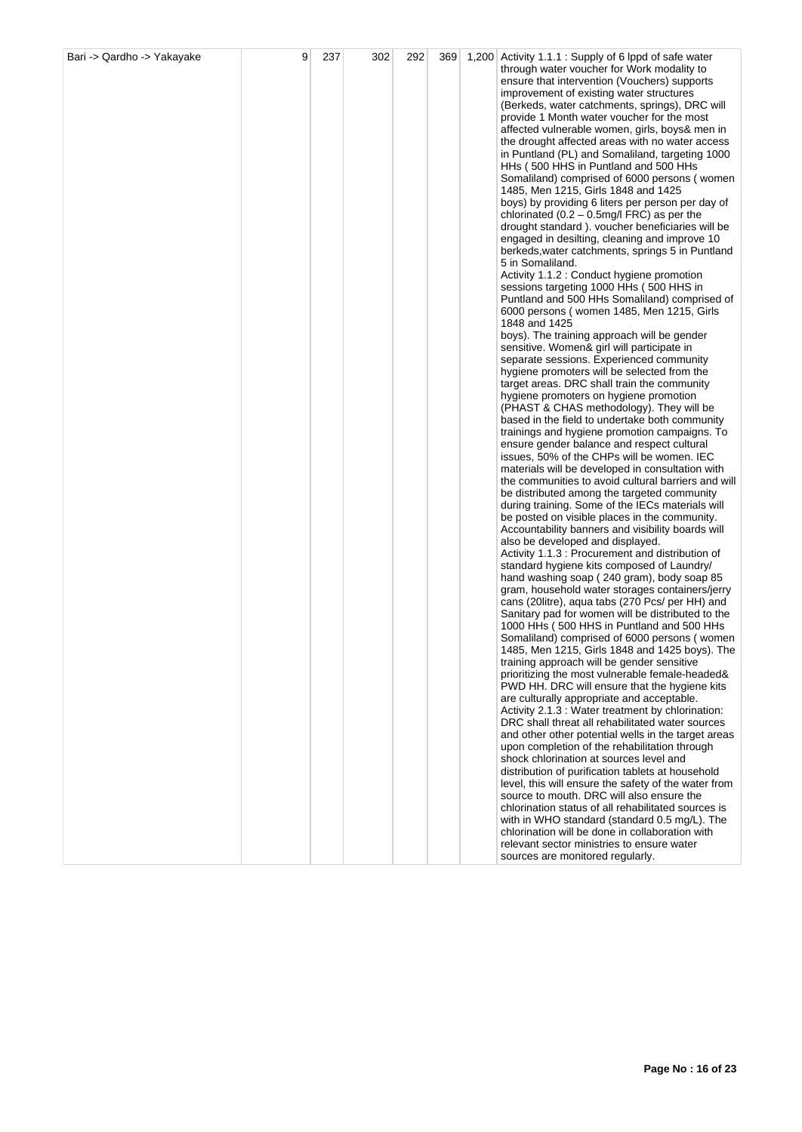| Bari -> Qardho -> Yakayake | 9 | 237 | 302 | 292 | 369 | 1,200 Activity 1.1.1 : Supply of 6 lppd of safe water                                                             |
|----------------------------|---|-----|-----|-----|-----|-------------------------------------------------------------------------------------------------------------------|
|                            |   |     |     |     |     | through water voucher for Work modality to                                                                        |
|                            |   |     |     |     |     | ensure that intervention (Vouchers) supports<br>improvement of existing water structures                          |
|                            |   |     |     |     |     | (Berkeds, water catchments, springs), DRC will                                                                    |
|                            |   |     |     |     |     | provide 1 Month water voucher for the most                                                                        |
|                            |   |     |     |     |     | affected vulnerable women, girls, boys& men in                                                                    |
|                            |   |     |     |     |     | the drought affected areas with no water access<br>in Puntland (PL) and Somaliland, targeting 1000                |
|                            |   |     |     |     |     | HHs (500 HHS in Puntland and 500 HHs                                                                              |
|                            |   |     |     |     |     | Somaliland) comprised of 6000 persons (women                                                                      |
|                            |   |     |     |     |     | 1485, Men 1215, Girls 1848 and 1425                                                                               |
|                            |   |     |     |     |     | boys) by providing 6 liters per person per day of<br>chlorinated $(0.2 - 0.5 \text{mg/l} \text{ FRC})$ as per the |
|                            |   |     |     |     |     | drought standard). voucher beneficiaries will be                                                                  |
|                            |   |     |     |     |     | engaged in desilting, cleaning and improve 10                                                                     |
|                            |   |     |     |     |     | berkeds, water catchments, springs 5 in Puntland                                                                  |
|                            |   |     |     |     |     | 5 in Somaliland.<br>Activity 1.1.2 : Conduct hygiene promotion                                                    |
|                            |   |     |     |     |     | sessions targeting 1000 HHs (500 HHS in                                                                           |
|                            |   |     |     |     |     | Puntland and 500 HHs Somaliland) comprised of                                                                     |
|                            |   |     |     |     |     | 6000 persons (women 1485, Men 1215, Girls                                                                         |
|                            |   |     |     |     |     | 1848 and 1425<br>boys). The training approach will be gender                                                      |
|                            |   |     |     |     |     | sensitive. Women& girl will participate in                                                                        |
|                            |   |     |     |     |     | separate sessions. Experienced community                                                                          |
|                            |   |     |     |     |     | hygiene promoters will be selected from the                                                                       |
|                            |   |     |     |     |     | target areas. DRC shall train the community<br>hygiene promoters on hygiene promotion                             |
|                            |   |     |     |     |     | (PHAST & CHAS methodology). They will be                                                                          |
|                            |   |     |     |     |     | based in the field to undertake both community                                                                    |
|                            |   |     |     |     |     | trainings and hygiene promotion campaigns. To<br>ensure gender balance and respect cultural                       |
|                            |   |     |     |     |     | issues, 50% of the CHPs will be women. IEC                                                                        |
|                            |   |     |     |     |     | materials will be developed in consultation with                                                                  |
|                            |   |     |     |     |     | the communities to avoid cultural barriers and will                                                               |
|                            |   |     |     |     |     | be distributed among the targeted community<br>during training. Some of the IECs materials will                   |
|                            |   |     |     |     |     | be posted on visible places in the community.                                                                     |
|                            |   |     |     |     |     | Accountability banners and visibility boards will                                                                 |
|                            |   |     |     |     |     | also be developed and displayed.<br>Activity 1.1.3 : Procurement and distribution of                              |
|                            |   |     |     |     |     | standard hygiene kits composed of Laundry/                                                                        |
|                            |   |     |     |     |     | hand washing soap (240 gram), body soap 85                                                                        |
|                            |   |     |     |     |     | gram, household water storages containers/jerry<br>cans (20litre), aqua tabs (270 Pcs/ per HH) and                |
|                            |   |     |     |     |     | Sanitary pad for women will be distributed to the                                                                 |
|                            |   |     |     |     |     | 1000 HHs (500 HHS in Puntland and 500 HHs                                                                         |
|                            |   |     |     |     |     | Somaliland) comprised of 6000 persons (women                                                                      |
|                            |   |     |     |     |     | 1485, Men 1215, Girls 1848 and 1425 boys). The<br>training approach will be gender sensitive                      |
|                            |   |     |     |     |     | prioritizing the most vulnerable female-headed&                                                                   |
|                            |   |     |     |     |     | PWD HH. DRC will ensure that the hygiene kits                                                                     |
|                            |   |     |     |     |     | are culturally appropriate and acceptable.<br>Activity 2.1.3 : Water treatment by chlorination:                   |
|                            |   |     |     |     |     | DRC shall threat all rehabilitated water sources                                                                  |
|                            |   |     |     |     |     | and other other potential wells in the target areas                                                               |
|                            |   |     |     |     |     | upon completion of the rehabilitation through                                                                     |
|                            |   |     |     |     |     | shock chlorination at sources level and<br>distribution of purification tablets at household                      |
|                            |   |     |     |     |     | level, this will ensure the safety of the water from                                                              |
|                            |   |     |     |     |     | source to mouth. DRC will also ensure the                                                                         |
|                            |   |     |     |     |     | chlorination status of all rehabilitated sources is<br>with in WHO standard (standard 0.5 mg/L). The              |
|                            |   |     |     |     |     | chlorination will be done in collaboration with                                                                   |
|                            |   |     |     |     |     | relevant sector ministries to ensure water                                                                        |
|                            |   |     |     |     |     | sources are monitored regularly.                                                                                  |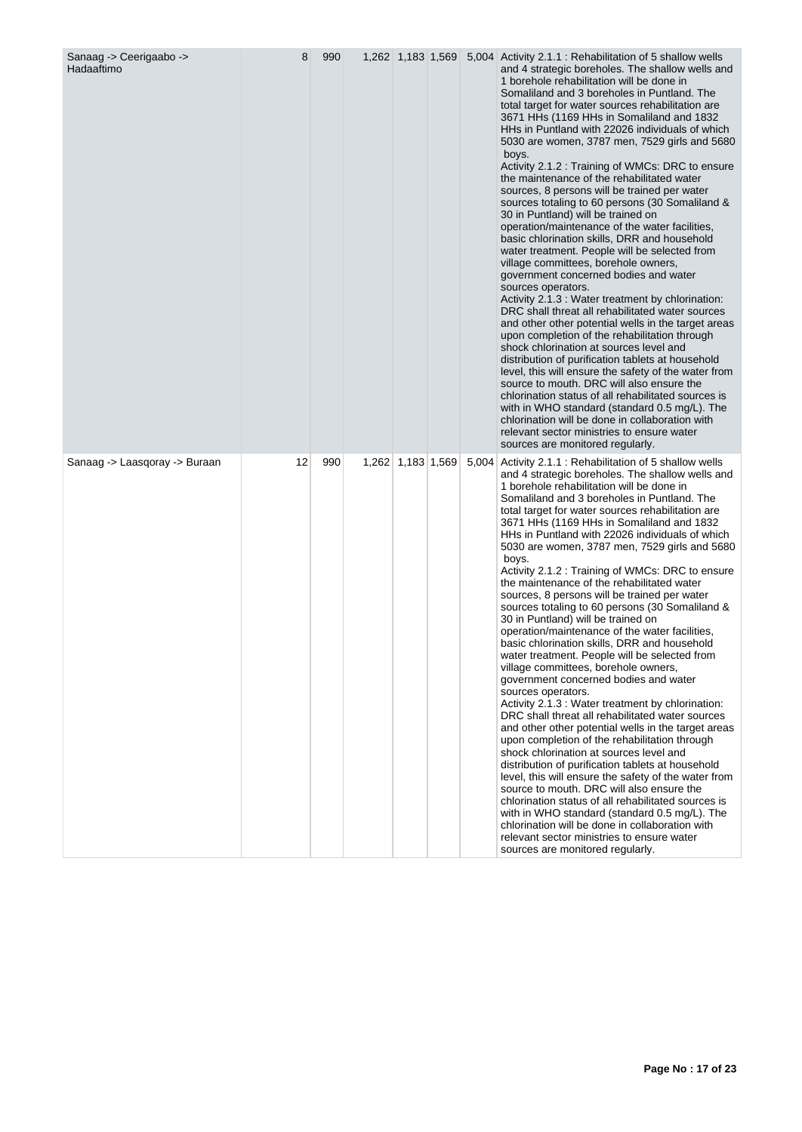| Sanaag -> Ceerigaabo -><br>Hadaaftimo | 8  | 990 |                   |  | 1,262 1,183 1,569 5,004 Activity 2.1.1 : Rehabilitation of 5 shallow wells<br>and 4 strategic boreholes. The shallow wells and<br>1 borehole rehabilitation will be done in<br>Somaliland and 3 boreholes in Puntland. The<br>total target for water sources rehabilitation are<br>3671 HHs (1169 HHs in Somaliland and 1832<br>HHs in Puntland with 22026 individuals of which<br>5030 are women, 3787 men, 7529 girls and 5680<br>boys.<br>Activity 2.1.2 : Training of WMCs: DRC to ensure<br>the maintenance of the rehabilitated water<br>sources, 8 persons will be trained per water<br>sources totaling to 60 persons (30 Somaliland &<br>30 in Puntland) will be trained on<br>operation/maintenance of the water facilities,<br>basic chlorination skills, DRR and household<br>water treatment. People will be selected from<br>village committees, borehole owners,<br>government concerned bodies and water<br>sources operators.<br>Activity 2.1.3 : Water treatment by chlorination:<br>DRC shall threat all rehabilitated water sources<br>and other other potential wells in the target areas<br>upon completion of the rehabilitation through<br>shock chlorination at sources level and<br>distribution of purification tablets at household<br>level, this will ensure the safety of the water from<br>source to mouth. DRC will also ensure the<br>chlorination status of all rehabilitated sources is<br>with in WHO standard (standard 0.5 mg/L). The<br>chlorination will be done in collaboration with<br>relevant sector ministries to ensure water<br>sources are monitored regularly. |
|---------------------------------------|----|-----|-------------------|--|-------------------------------------------------------------------------------------------------------------------------------------------------------------------------------------------------------------------------------------------------------------------------------------------------------------------------------------------------------------------------------------------------------------------------------------------------------------------------------------------------------------------------------------------------------------------------------------------------------------------------------------------------------------------------------------------------------------------------------------------------------------------------------------------------------------------------------------------------------------------------------------------------------------------------------------------------------------------------------------------------------------------------------------------------------------------------------------------------------------------------------------------------------------------------------------------------------------------------------------------------------------------------------------------------------------------------------------------------------------------------------------------------------------------------------------------------------------------------------------------------------------------------------------------------------------------------------------------------------------------|
| Sanaag -> Laasqoray -> Buraan         | 12 | 990 | 1,262 1,183 1,569 |  | 5,004 Activity 2.1.1 : Rehabilitation of 5 shallow wells<br>and 4 strategic boreholes. The shallow wells and<br>1 borehole rehabilitation will be done in<br>Somaliland and 3 boreholes in Puntland. The<br>total target for water sources rehabilitation are<br>3671 HHs (1169 HHs in Somaliland and 1832<br>HHs in Puntland with 22026 individuals of which<br>5030 are women, 3787 men, 7529 girls and 5680<br>boys.<br>Activity 2.1.2 : Training of WMCs: DRC to ensure<br>the maintenance of the rehabilitated water<br>sources, 8 persons will be trained per water<br>sources totaling to 60 persons (30 Somaliland &<br>30 in Puntland) will be trained on<br>operation/maintenance of the water facilities,<br>basic chlorination skills, DRR and household<br>water treatment. People will be selected from<br>village committees, borehole owners,<br>government concerned bodies and water<br>sources operators.<br>Activity 2.1.3 : Water treatment by chlorination:<br>DRC shall threat all rehabilitated water sources<br>and other other potential wells in the target areas<br>upon completion of the rehabilitation through<br>shock chlorination at sources level and<br>distribution of purification tablets at household<br>level, this will ensure the safety of the water from<br>source to mouth. DRC will also ensure the<br>chlorination status of all rehabilitated sources is<br>with in WHO standard (standard 0.5 mg/L). The<br>chlorination will be done in collaboration with<br>relevant sector ministries to ensure water<br>sources are monitored regularly.                   |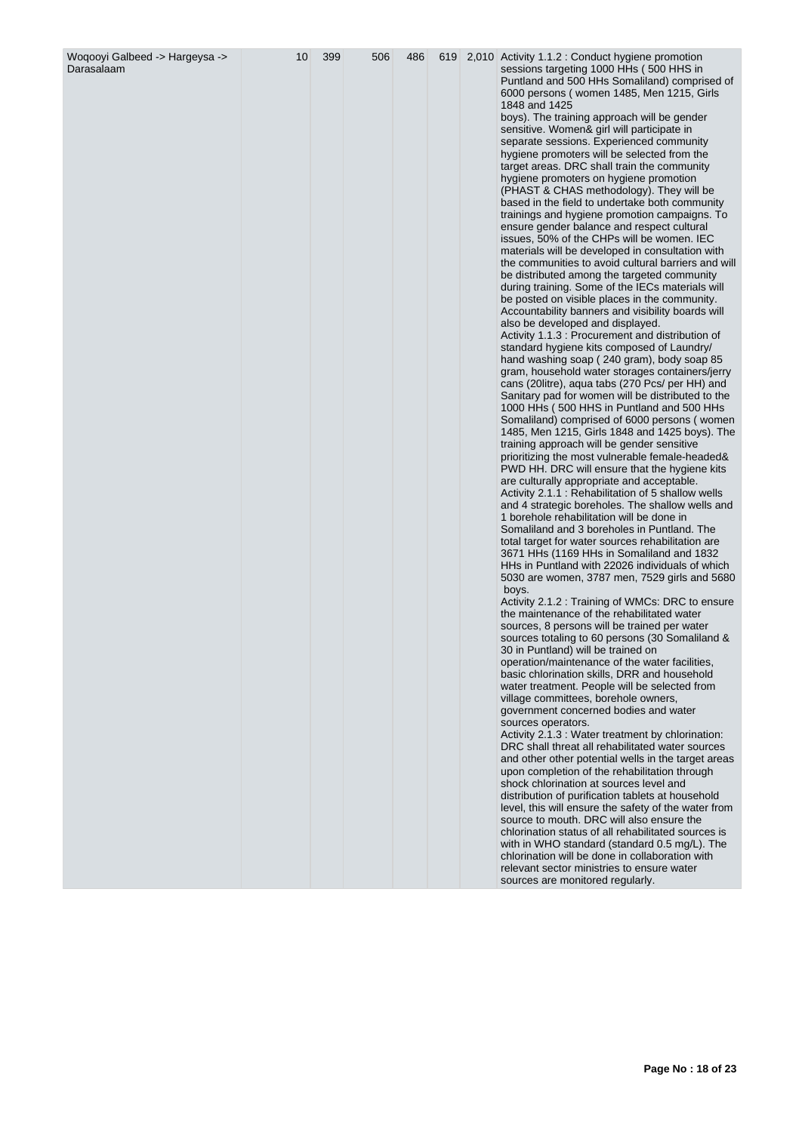| Woqooyi Galbeed -> Hargeysa -><br>Darasalaam | 10 | 399 | 506 | 486 |  | 619 2,010 Activity 1.1.2 : Conduct hygiene promotion<br>sessions targeting 1000 HHs (500 HHS in<br>Puntland and 500 HHs Somaliland) comprised of<br>6000 persons (women 1485, Men 1215, Girls<br>1848 and 1425<br>boys). The training approach will be gender<br>sensitive. Women& girl will participate in<br>separate sessions. Experienced community<br>hygiene promoters will be selected from the<br>target areas. DRC shall train the community<br>hygiene promoters on hygiene promotion<br>(PHAST & CHAS methodology). They will be<br>based in the field to undertake both community<br>trainings and hygiene promotion campaigns. To<br>ensure gender balance and respect cultural<br>issues, 50% of the CHPs will be women. IEC<br>materials will be developed in consultation with<br>the communities to avoid cultural barriers and will<br>be distributed among the targeted community<br>during training. Some of the IECs materials will<br>be posted on visible places in the community.<br>Accountability banners and visibility boards will<br>also be developed and displayed.<br>Activity 1.1.3 : Procurement and distribution of<br>standard hygiene kits composed of Laundry/<br>hand washing soap ( 240 gram), body soap 85<br>gram, household water storages containers/jerry<br>cans (20litre), aqua tabs (270 Pcs/ per HH) and<br>Sanitary pad for women will be distributed to the<br>1000 HHs (500 HHS in Puntland and 500 HHs<br>Somaliland) comprised of 6000 persons (women<br>1485, Men 1215, Girls 1848 and 1425 boys). The<br>training approach will be gender sensitive<br>prioritizing the most vulnerable female-headed&<br>PWD HH. DRC will ensure that the hygiene kits<br>are culturally appropriate and acceptable.<br>Activity 2.1.1 : Rehabilitation of 5 shallow wells<br>and 4 strategic boreholes. The shallow wells and<br>1 borehole rehabilitation will be done in<br>Somaliland and 3 boreholes in Puntland. The<br>total target for water sources rehabilitation are<br>3671 HHs (1169 HHs in Somaliland and 1832<br>HHs in Puntland with 22026 individuals of which<br>5030 are women, 3787 men, 7529 girls and 5680<br>boys.<br>Activity 2.1.2 : Training of WMCs: DRC to ensure<br>the maintenance of the rehabilitated water<br>sources, 8 persons will be trained per water<br>sources totaling to 60 persons (30 Somaliland &<br>30 in Puntland) will be trained on<br>operation/maintenance of the water facilities,<br>basic chlorination skills, DRR and household<br>water treatment. People will be selected from<br>village committees, borehole owners,<br>government concerned bodies and water<br>sources operators.<br>Activity 2.1.3 : Water treatment by chlorination:<br>DRC shall threat all rehabilitated water sources<br>and other other potential wells in the target areas |
|----------------------------------------------|----|-----|-----|-----|--|---------------------------------------------------------------------------------------------------------------------------------------------------------------------------------------------------------------------------------------------------------------------------------------------------------------------------------------------------------------------------------------------------------------------------------------------------------------------------------------------------------------------------------------------------------------------------------------------------------------------------------------------------------------------------------------------------------------------------------------------------------------------------------------------------------------------------------------------------------------------------------------------------------------------------------------------------------------------------------------------------------------------------------------------------------------------------------------------------------------------------------------------------------------------------------------------------------------------------------------------------------------------------------------------------------------------------------------------------------------------------------------------------------------------------------------------------------------------------------------------------------------------------------------------------------------------------------------------------------------------------------------------------------------------------------------------------------------------------------------------------------------------------------------------------------------------------------------------------------------------------------------------------------------------------------------------------------------------------------------------------------------------------------------------------------------------------------------------------------------------------------------------------------------------------------------------------------------------------------------------------------------------------------------------------------------------------------------------------------------------------------------------------------------------------------------------------------------------------------------------------------------------------------------------------------------------------------------------------------------------------------------------------------------------------------------------------------------------------------------------------------------------------------------------------------------------------------------------------------|
|                                              |    |     |     |     |  | upon completion of the rehabilitation through<br>shock chlorination at sources level and<br>distribution of purification tablets at household<br>level, this will ensure the safety of the water from<br>source to mouth. DRC will also ensure the<br>chlorination status of all rehabilitated sources is<br>with in WHO standard (standard 0.5 mg/L). The<br>chlorination will be done in collaboration with<br>relevant sector ministries to ensure water<br>sources are monitored regularly.                                                                                                                                                                                                                                                                                                                                                                                                                                                                                                                                                                                                                                                                                                                                                                                                                                                                                                                                                                                                                                                                                                                                                                                                                                                                                                                                                                                                                                                                                                                                                                                                                                                                                                                                                                                                                                                                                                                                                                                                                                                                                                                                                                                                                                                                                                                                                         |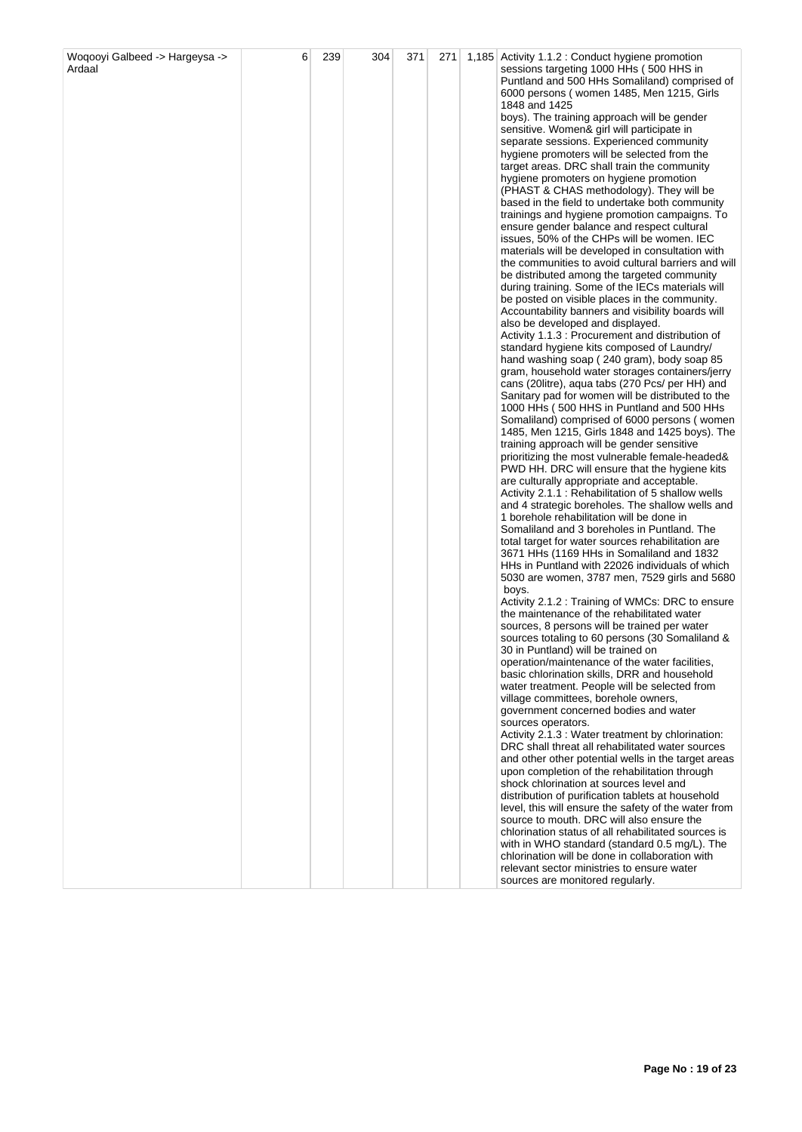| Puntland and 500 HHs Somaliland) comprised of<br>6000 persons (women 1485, Men 1215, Girls<br>1848 and 1425<br>boys). The training approach will be gender<br>sensitive. Women& girl will participate in<br>separate sessions. Experienced community<br>hygiene promoters will be selected from the<br>target areas. DRC shall train the community<br>hygiene promoters on hygiene promotion<br>(PHAST & CHAS methodology). They will be<br>based in the field to undertake both community<br>trainings and hygiene promotion campaigns. To<br>ensure gender balance and respect cultural<br>issues, 50% of the CHPs will be women. IEC<br>materials will be developed in consultation with<br>the communities to avoid cultural barriers and will<br>be distributed among the targeted community<br>during training. Some of the IECs materials will<br>be posted on visible places in the community.<br>Accountability banners and visibility boards will<br>also be developed and displayed.<br>Activity 1.1.3 : Procurement and distribution of<br>standard hygiene kits composed of Laundry/<br>hand washing soap (240 gram), body soap 85<br>gram, household water storages containers/jerry<br>cans (20litre), aqua tabs (270 Pcs/ per HH) and<br>Sanitary pad for women will be distributed to the<br>1000 HHs (500 HHS in Puntland and 500 HHs<br>Somaliland) comprised of 6000 persons (women<br>1485, Men 1215, Girls 1848 and 1425 boys). The<br>training approach will be gender sensitive<br>prioritizing the most vulnerable female-headed&<br>PWD HH. DRC will ensure that the hygiene kits<br>are culturally appropriate and acceptable.<br>Activity 2.1.1 : Rehabilitation of 5 shallow wells<br>and 4 strategic boreholes. The shallow wells and<br>1 borehole rehabilitation will be done in<br>Somaliland and 3 boreholes in Puntland. The<br>total target for water sources rehabilitation are<br>3671 HHs (1169 HHs in Somaliland and 1832<br>HHs in Puntland with 22026 individuals of which<br>5030 are women, 3787 men, 7529 girls and 5680<br>boys.<br>Activity 2.1.2 : Training of WMCs: DRC to ensure<br>the maintenance of the rehabilitated water<br>sources, 8 persons will be trained per water<br>sources totaling to 60 persons (30 Somaliland &<br>30 in Puntland) will be trained on<br>operation/maintenance of the water facilities.<br>basic chlorination skills, DRR and household<br>water treatment. People will be selected from<br>village committees, borehole owners,<br>government concerned bodies and water<br>sources operators.<br>Activity 2.1.3 : Water treatment by chlorination:<br>DRC shall threat all rehabilitated water sources<br>and other other potential wells in the target areas<br>upon completion of the rehabilitation through<br>shock chlorination at sources level and<br>distribution of purification tablets at household<br>level, this will ensure the safety of the water from<br>source to mouth. DRC will also ensure the<br>chlorination status of all rehabilitated sources is<br>with in WHO standard (standard 0.5 mg/L). The<br>chlorination will be done in collaboration with<br>relevant sector ministries to ensure water<br>sources are monitored regularly. | Woqooyi Galbeed -> Hargeysa -> | 6 | 239 | 304 | 371 | 271 | 1,185 Activity 1.1.2 : Conduct hygiene promotion |
|--------------------------------------------------------------------------------------------------------------------------------------------------------------------------------------------------------------------------------------------------------------------------------------------------------------------------------------------------------------------------------------------------------------------------------------------------------------------------------------------------------------------------------------------------------------------------------------------------------------------------------------------------------------------------------------------------------------------------------------------------------------------------------------------------------------------------------------------------------------------------------------------------------------------------------------------------------------------------------------------------------------------------------------------------------------------------------------------------------------------------------------------------------------------------------------------------------------------------------------------------------------------------------------------------------------------------------------------------------------------------------------------------------------------------------------------------------------------------------------------------------------------------------------------------------------------------------------------------------------------------------------------------------------------------------------------------------------------------------------------------------------------------------------------------------------------------------------------------------------------------------------------------------------------------------------------------------------------------------------------------------------------------------------------------------------------------------------------------------------------------------------------------------------------------------------------------------------------------------------------------------------------------------------------------------------------------------------------------------------------------------------------------------------------------------------------------------------------------------------------------------------------------------------------------------------------------------------------------------------------------------------------------------------------------------------------------------------------------------------------------------------------------------------------------------------------------------------------------------------------------------------------------------------------------------------------------------------------------------------------------------------------------------------------------------------------------------------------------------------------------------------------------------------------------------------------------------------------------------------------------------|--------------------------------|---|-----|-----|-----|-----|--------------------------------------------------|
|                                                                                                                                                                                                                                                                                                                                                                                                                                                                                                                                                                                                                                                                                                                                                                                                                                                                                                                                                                                                                                                                                                                                                                                                                                                                                                                                                                                                                                                                                                                                                                                                                                                                                                                                                                                                                                                                                                                                                                                                                                                                                                                                                                                                                                                                                                                                                                                                                                                                                                                                                                                                                                                                                                                                                                                                                                                                                                                                                                                                                                                                                                                                                                                                                                                        | Ardaal                         |   |     |     |     |     | sessions targeting 1000 HHs (500 HHS in          |
|                                                                                                                                                                                                                                                                                                                                                                                                                                                                                                                                                                                                                                                                                                                                                                                                                                                                                                                                                                                                                                                                                                                                                                                                                                                                                                                                                                                                                                                                                                                                                                                                                                                                                                                                                                                                                                                                                                                                                                                                                                                                                                                                                                                                                                                                                                                                                                                                                                                                                                                                                                                                                                                                                                                                                                                                                                                                                                                                                                                                                                                                                                                                                                                                                                                        |                                |   |     |     |     |     |                                                  |
|                                                                                                                                                                                                                                                                                                                                                                                                                                                                                                                                                                                                                                                                                                                                                                                                                                                                                                                                                                                                                                                                                                                                                                                                                                                                                                                                                                                                                                                                                                                                                                                                                                                                                                                                                                                                                                                                                                                                                                                                                                                                                                                                                                                                                                                                                                                                                                                                                                                                                                                                                                                                                                                                                                                                                                                                                                                                                                                                                                                                                                                                                                                                                                                                                                                        |                                |   |     |     |     |     |                                                  |
|                                                                                                                                                                                                                                                                                                                                                                                                                                                                                                                                                                                                                                                                                                                                                                                                                                                                                                                                                                                                                                                                                                                                                                                                                                                                                                                                                                                                                                                                                                                                                                                                                                                                                                                                                                                                                                                                                                                                                                                                                                                                                                                                                                                                                                                                                                                                                                                                                                                                                                                                                                                                                                                                                                                                                                                                                                                                                                                                                                                                                                                                                                                                                                                                                                                        |                                |   |     |     |     |     |                                                  |
|                                                                                                                                                                                                                                                                                                                                                                                                                                                                                                                                                                                                                                                                                                                                                                                                                                                                                                                                                                                                                                                                                                                                                                                                                                                                                                                                                                                                                                                                                                                                                                                                                                                                                                                                                                                                                                                                                                                                                                                                                                                                                                                                                                                                                                                                                                                                                                                                                                                                                                                                                                                                                                                                                                                                                                                                                                                                                                                                                                                                                                                                                                                                                                                                                                                        |                                |   |     |     |     |     |                                                  |
|                                                                                                                                                                                                                                                                                                                                                                                                                                                                                                                                                                                                                                                                                                                                                                                                                                                                                                                                                                                                                                                                                                                                                                                                                                                                                                                                                                                                                                                                                                                                                                                                                                                                                                                                                                                                                                                                                                                                                                                                                                                                                                                                                                                                                                                                                                                                                                                                                                                                                                                                                                                                                                                                                                                                                                                                                                                                                                                                                                                                                                                                                                                                                                                                                                                        |                                |   |     |     |     |     |                                                  |
|                                                                                                                                                                                                                                                                                                                                                                                                                                                                                                                                                                                                                                                                                                                                                                                                                                                                                                                                                                                                                                                                                                                                                                                                                                                                                                                                                                                                                                                                                                                                                                                                                                                                                                                                                                                                                                                                                                                                                                                                                                                                                                                                                                                                                                                                                                                                                                                                                                                                                                                                                                                                                                                                                                                                                                                                                                                                                                                                                                                                                                                                                                                                                                                                                                                        |                                |   |     |     |     |     |                                                  |
|                                                                                                                                                                                                                                                                                                                                                                                                                                                                                                                                                                                                                                                                                                                                                                                                                                                                                                                                                                                                                                                                                                                                                                                                                                                                                                                                                                                                                                                                                                                                                                                                                                                                                                                                                                                                                                                                                                                                                                                                                                                                                                                                                                                                                                                                                                                                                                                                                                                                                                                                                                                                                                                                                                                                                                                                                                                                                                                                                                                                                                                                                                                                                                                                                                                        |                                |   |     |     |     |     |                                                  |
|                                                                                                                                                                                                                                                                                                                                                                                                                                                                                                                                                                                                                                                                                                                                                                                                                                                                                                                                                                                                                                                                                                                                                                                                                                                                                                                                                                                                                                                                                                                                                                                                                                                                                                                                                                                                                                                                                                                                                                                                                                                                                                                                                                                                                                                                                                                                                                                                                                                                                                                                                                                                                                                                                                                                                                                                                                                                                                                                                                                                                                                                                                                                                                                                                                                        |                                |   |     |     |     |     |                                                  |
|                                                                                                                                                                                                                                                                                                                                                                                                                                                                                                                                                                                                                                                                                                                                                                                                                                                                                                                                                                                                                                                                                                                                                                                                                                                                                                                                                                                                                                                                                                                                                                                                                                                                                                                                                                                                                                                                                                                                                                                                                                                                                                                                                                                                                                                                                                                                                                                                                                                                                                                                                                                                                                                                                                                                                                                                                                                                                                                                                                                                                                                                                                                                                                                                                                                        |                                |   |     |     |     |     |                                                  |
|                                                                                                                                                                                                                                                                                                                                                                                                                                                                                                                                                                                                                                                                                                                                                                                                                                                                                                                                                                                                                                                                                                                                                                                                                                                                                                                                                                                                                                                                                                                                                                                                                                                                                                                                                                                                                                                                                                                                                                                                                                                                                                                                                                                                                                                                                                                                                                                                                                                                                                                                                                                                                                                                                                                                                                                                                                                                                                                                                                                                                                                                                                                                                                                                                                                        |                                |   |     |     |     |     |                                                  |
|                                                                                                                                                                                                                                                                                                                                                                                                                                                                                                                                                                                                                                                                                                                                                                                                                                                                                                                                                                                                                                                                                                                                                                                                                                                                                                                                                                                                                                                                                                                                                                                                                                                                                                                                                                                                                                                                                                                                                                                                                                                                                                                                                                                                                                                                                                                                                                                                                                                                                                                                                                                                                                                                                                                                                                                                                                                                                                                                                                                                                                                                                                                                                                                                                                                        |                                |   |     |     |     |     |                                                  |
|                                                                                                                                                                                                                                                                                                                                                                                                                                                                                                                                                                                                                                                                                                                                                                                                                                                                                                                                                                                                                                                                                                                                                                                                                                                                                                                                                                                                                                                                                                                                                                                                                                                                                                                                                                                                                                                                                                                                                                                                                                                                                                                                                                                                                                                                                                                                                                                                                                                                                                                                                                                                                                                                                                                                                                                                                                                                                                                                                                                                                                                                                                                                                                                                                                                        |                                |   |     |     |     |     |                                                  |
|                                                                                                                                                                                                                                                                                                                                                                                                                                                                                                                                                                                                                                                                                                                                                                                                                                                                                                                                                                                                                                                                                                                                                                                                                                                                                                                                                                                                                                                                                                                                                                                                                                                                                                                                                                                                                                                                                                                                                                                                                                                                                                                                                                                                                                                                                                                                                                                                                                                                                                                                                                                                                                                                                                                                                                                                                                                                                                                                                                                                                                                                                                                                                                                                                                                        |                                |   |     |     |     |     |                                                  |
|                                                                                                                                                                                                                                                                                                                                                                                                                                                                                                                                                                                                                                                                                                                                                                                                                                                                                                                                                                                                                                                                                                                                                                                                                                                                                                                                                                                                                                                                                                                                                                                                                                                                                                                                                                                                                                                                                                                                                                                                                                                                                                                                                                                                                                                                                                                                                                                                                                                                                                                                                                                                                                                                                                                                                                                                                                                                                                                                                                                                                                                                                                                                                                                                                                                        |                                |   |     |     |     |     |                                                  |
|                                                                                                                                                                                                                                                                                                                                                                                                                                                                                                                                                                                                                                                                                                                                                                                                                                                                                                                                                                                                                                                                                                                                                                                                                                                                                                                                                                                                                                                                                                                                                                                                                                                                                                                                                                                                                                                                                                                                                                                                                                                                                                                                                                                                                                                                                                                                                                                                                                                                                                                                                                                                                                                                                                                                                                                                                                                                                                                                                                                                                                                                                                                                                                                                                                                        |                                |   |     |     |     |     |                                                  |
|                                                                                                                                                                                                                                                                                                                                                                                                                                                                                                                                                                                                                                                                                                                                                                                                                                                                                                                                                                                                                                                                                                                                                                                                                                                                                                                                                                                                                                                                                                                                                                                                                                                                                                                                                                                                                                                                                                                                                                                                                                                                                                                                                                                                                                                                                                                                                                                                                                                                                                                                                                                                                                                                                                                                                                                                                                                                                                                                                                                                                                                                                                                                                                                                                                                        |                                |   |     |     |     |     |                                                  |
|                                                                                                                                                                                                                                                                                                                                                                                                                                                                                                                                                                                                                                                                                                                                                                                                                                                                                                                                                                                                                                                                                                                                                                                                                                                                                                                                                                                                                                                                                                                                                                                                                                                                                                                                                                                                                                                                                                                                                                                                                                                                                                                                                                                                                                                                                                                                                                                                                                                                                                                                                                                                                                                                                                                                                                                                                                                                                                                                                                                                                                                                                                                                                                                                                                                        |                                |   |     |     |     |     |                                                  |
|                                                                                                                                                                                                                                                                                                                                                                                                                                                                                                                                                                                                                                                                                                                                                                                                                                                                                                                                                                                                                                                                                                                                                                                                                                                                                                                                                                                                                                                                                                                                                                                                                                                                                                                                                                                                                                                                                                                                                                                                                                                                                                                                                                                                                                                                                                                                                                                                                                                                                                                                                                                                                                                                                                                                                                                                                                                                                                                                                                                                                                                                                                                                                                                                                                                        |                                |   |     |     |     |     |                                                  |
|                                                                                                                                                                                                                                                                                                                                                                                                                                                                                                                                                                                                                                                                                                                                                                                                                                                                                                                                                                                                                                                                                                                                                                                                                                                                                                                                                                                                                                                                                                                                                                                                                                                                                                                                                                                                                                                                                                                                                                                                                                                                                                                                                                                                                                                                                                                                                                                                                                                                                                                                                                                                                                                                                                                                                                                                                                                                                                                                                                                                                                                                                                                                                                                                                                                        |                                |   |     |     |     |     |                                                  |
|                                                                                                                                                                                                                                                                                                                                                                                                                                                                                                                                                                                                                                                                                                                                                                                                                                                                                                                                                                                                                                                                                                                                                                                                                                                                                                                                                                                                                                                                                                                                                                                                                                                                                                                                                                                                                                                                                                                                                                                                                                                                                                                                                                                                                                                                                                                                                                                                                                                                                                                                                                                                                                                                                                                                                                                                                                                                                                                                                                                                                                                                                                                                                                                                                                                        |                                |   |     |     |     |     |                                                  |
|                                                                                                                                                                                                                                                                                                                                                                                                                                                                                                                                                                                                                                                                                                                                                                                                                                                                                                                                                                                                                                                                                                                                                                                                                                                                                                                                                                                                                                                                                                                                                                                                                                                                                                                                                                                                                                                                                                                                                                                                                                                                                                                                                                                                                                                                                                                                                                                                                                                                                                                                                                                                                                                                                                                                                                                                                                                                                                                                                                                                                                                                                                                                                                                                                                                        |                                |   |     |     |     |     |                                                  |
|                                                                                                                                                                                                                                                                                                                                                                                                                                                                                                                                                                                                                                                                                                                                                                                                                                                                                                                                                                                                                                                                                                                                                                                                                                                                                                                                                                                                                                                                                                                                                                                                                                                                                                                                                                                                                                                                                                                                                                                                                                                                                                                                                                                                                                                                                                                                                                                                                                                                                                                                                                                                                                                                                                                                                                                                                                                                                                                                                                                                                                                                                                                                                                                                                                                        |                                |   |     |     |     |     |                                                  |
|                                                                                                                                                                                                                                                                                                                                                                                                                                                                                                                                                                                                                                                                                                                                                                                                                                                                                                                                                                                                                                                                                                                                                                                                                                                                                                                                                                                                                                                                                                                                                                                                                                                                                                                                                                                                                                                                                                                                                                                                                                                                                                                                                                                                                                                                                                                                                                                                                                                                                                                                                                                                                                                                                                                                                                                                                                                                                                                                                                                                                                                                                                                                                                                                                                                        |                                |   |     |     |     |     |                                                  |
|                                                                                                                                                                                                                                                                                                                                                                                                                                                                                                                                                                                                                                                                                                                                                                                                                                                                                                                                                                                                                                                                                                                                                                                                                                                                                                                                                                                                                                                                                                                                                                                                                                                                                                                                                                                                                                                                                                                                                                                                                                                                                                                                                                                                                                                                                                                                                                                                                                                                                                                                                                                                                                                                                                                                                                                                                                                                                                                                                                                                                                                                                                                                                                                                                                                        |                                |   |     |     |     |     |                                                  |
|                                                                                                                                                                                                                                                                                                                                                                                                                                                                                                                                                                                                                                                                                                                                                                                                                                                                                                                                                                                                                                                                                                                                                                                                                                                                                                                                                                                                                                                                                                                                                                                                                                                                                                                                                                                                                                                                                                                                                                                                                                                                                                                                                                                                                                                                                                                                                                                                                                                                                                                                                                                                                                                                                                                                                                                                                                                                                                                                                                                                                                                                                                                                                                                                                                                        |                                |   |     |     |     |     |                                                  |
|                                                                                                                                                                                                                                                                                                                                                                                                                                                                                                                                                                                                                                                                                                                                                                                                                                                                                                                                                                                                                                                                                                                                                                                                                                                                                                                                                                                                                                                                                                                                                                                                                                                                                                                                                                                                                                                                                                                                                                                                                                                                                                                                                                                                                                                                                                                                                                                                                                                                                                                                                                                                                                                                                                                                                                                                                                                                                                                                                                                                                                                                                                                                                                                                                                                        |                                |   |     |     |     |     |                                                  |
|                                                                                                                                                                                                                                                                                                                                                                                                                                                                                                                                                                                                                                                                                                                                                                                                                                                                                                                                                                                                                                                                                                                                                                                                                                                                                                                                                                                                                                                                                                                                                                                                                                                                                                                                                                                                                                                                                                                                                                                                                                                                                                                                                                                                                                                                                                                                                                                                                                                                                                                                                                                                                                                                                                                                                                                                                                                                                                                                                                                                                                                                                                                                                                                                                                                        |                                |   |     |     |     |     |                                                  |
|                                                                                                                                                                                                                                                                                                                                                                                                                                                                                                                                                                                                                                                                                                                                                                                                                                                                                                                                                                                                                                                                                                                                                                                                                                                                                                                                                                                                                                                                                                                                                                                                                                                                                                                                                                                                                                                                                                                                                                                                                                                                                                                                                                                                                                                                                                                                                                                                                                                                                                                                                                                                                                                                                                                                                                                                                                                                                                                                                                                                                                                                                                                                                                                                                                                        |                                |   |     |     |     |     |                                                  |
|                                                                                                                                                                                                                                                                                                                                                                                                                                                                                                                                                                                                                                                                                                                                                                                                                                                                                                                                                                                                                                                                                                                                                                                                                                                                                                                                                                                                                                                                                                                                                                                                                                                                                                                                                                                                                                                                                                                                                                                                                                                                                                                                                                                                                                                                                                                                                                                                                                                                                                                                                                                                                                                                                                                                                                                                                                                                                                                                                                                                                                                                                                                                                                                                                                                        |                                |   |     |     |     |     |                                                  |
|                                                                                                                                                                                                                                                                                                                                                                                                                                                                                                                                                                                                                                                                                                                                                                                                                                                                                                                                                                                                                                                                                                                                                                                                                                                                                                                                                                                                                                                                                                                                                                                                                                                                                                                                                                                                                                                                                                                                                                                                                                                                                                                                                                                                                                                                                                                                                                                                                                                                                                                                                                                                                                                                                                                                                                                                                                                                                                                                                                                                                                                                                                                                                                                                                                                        |                                |   |     |     |     |     |                                                  |
|                                                                                                                                                                                                                                                                                                                                                                                                                                                                                                                                                                                                                                                                                                                                                                                                                                                                                                                                                                                                                                                                                                                                                                                                                                                                                                                                                                                                                                                                                                                                                                                                                                                                                                                                                                                                                                                                                                                                                                                                                                                                                                                                                                                                                                                                                                                                                                                                                                                                                                                                                                                                                                                                                                                                                                                                                                                                                                                                                                                                                                                                                                                                                                                                                                                        |                                |   |     |     |     |     |                                                  |
|                                                                                                                                                                                                                                                                                                                                                                                                                                                                                                                                                                                                                                                                                                                                                                                                                                                                                                                                                                                                                                                                                                                                                                                                                                                                                                                                                                                                                                                                                                                                                                                                                                                                                                                                                                                                                                                                                                                                                                                                                                                                                                                                                                                                                                                                                                                                                                                                                                                                                                                                                                                                                                                                                                                                                                                                                                                                                                                                                                                                                                                                                                                                                                                                                                                        |                                |   |     |     |     |     |                                                  |
|                                                                                                                                                                                                                                                                                                                                                                                                                                                                                                                                                                                                                                                                                                                                                                                                                                                                                                                                                                                                                                                                                                                                                                                                                                                                                                                                                                                                                                                                                                                                                                                                                                                                                                                                                                                                                                                                                                                                                                                                                                                                                                                                                                                                                                                                                                                                                                                                                                                                                                                                                                                                                                                                                                                                                                                                                                                                                                                                                                                                                                                                                                                                                                                                                                                        |                                |   |     |     |     |     |                                                  |
|                                                                                                                                                                                                                                                                                                                                                                                                                                                                                                                                                                                                                                                                                                                                                                                                                                                                                                                                                                                                                                                                                                                                                                                                                                                                                                                                                                                                                                                                                                                                                                                                                                                                                                                                                                                                                                                                                                                                                                                                                                                                                                                                                                                                                                                                                                                                                                                                                                                                                                                                                                                                                                                                                                                                                                                                                                                                                                                                                                                                                                                                                                                                                                                                                                                        |                                |   |     |     |     |     |                                                  |
|                                                                                                                                                                                                                                                                                                                                                                                                                                                                                                                                                                                                                                                                                                                                                                                                                                                                                                                                                                                                                                                                                                                                                                                                                                                                                                                                                                                                                                                                                                                                                                                                                                                                                                                                                                                                                                                                                                                                                                                                                                                                                                                                                                                                                                                                                                                                                                                                                                                                                                                                                                                                                                                                                                                                                                                                                                                                                                                                                                                                                                                                                                                                                                                                                                                        |                                |   |     |     |     |     |                                                  |
|                                                                                                                                                                                                                                                                                                                                                                                                                                                                                                                                                                                                                                                                                                                                                                                                                                                                                                                                                                                                                                                                                                                                                                                                                                                                                                                                                                                                                                                                                                                                                                                                                                                                                                                                                                                                                                                                                                                                                                                                                                                                                                                                                                                                                                                                                                                                                                                                                                                                                                                                                                                                                                                                                                                                                                                                                                                                                                                                                                                                                                                                                                                                                                                                                                                        |                                |   |     |     |     |     |                                                  |
|                                                                                                                                                                                                                                                                                                                                                                                                                                                                                                                                                                                                                                                                                                                                                                                                                                                                                                                                                                                                                                                                                                                                                                                                                                                                                                                                                                                                                                                                                                                                                                                                                                                                                                                                                                                                                                                                                                                                                                                                                                                                                                                                                                                                                                                                                                                                                                                                                                                                                                                                                                                                                                                                                                                                                                                                                                                                                                                                                                                                                                                                                                                                                                                                                                                        |                                |   |     |     |     |     |                                                  |
|                                                                                                                                                                                                                                                                                                                                                                                                                                                                                                                                                                                                                                                                                                                                                                                                                                                                                                                                                                                                                                                                                                                                                                                                                                                                                                                                                                                                                                                                                                                                                                                                                                                                                                                                                                                                                                                                                                                                                                                                                                                                                                                                                                                                                                                                                                                                                                                                                                                                                                                                                                                                                                                                                                                                                                                                                                                                                                                                                                                                                                                                                                                                                                                                                                                        |                                |   |     |     |     |     |                                                  |
|                                                                                                                                                                                                                                                                                                                                                                                                                                                                                                                                                                                                                                                                                                                                                                                                                                                                                                                                                                                                                                                                                                                                                                                                                                                                                                                                                                                                                                                                                                                                                                                                                                                                                                                                                                                                                                                                                                                                                                                                                                                                                                                                                                                                                                                                                                                                                                                                                                                                                                                                                                                                                                                                                                                                                                                                                                                                                                                                                                                                                                                                                                                                                                                                                                                        |                                |   |     |     |     |     |                                                  |
|                                                                                                                                                                                                                                                                                                                                                                                                                                                                                                                                                                                                                                                                                                                                                                                                                                                                                                                                                                                                                                                                                                                                                                                                                                                                                                                                                                                                                                                                                                                                                                                                                                                                                                                                                                                                                                                                                                                                                                                                                                                                                                                                                                                                                                                                                                                                                                                                                                                                                                                                                                                                                                                                                                                                                                                                                                                                                                                                                                                                                                                                                                                                                                                                                                                        |                                |   |     |     |     |     |                                                  |
|                                                                                                                                                                                                                                                                                                                                                                                                                                                                                                                                                                                                                                                                                                                                                                                                                                                                                                                                                                                                                                                                                                                                                                                                                                                                                                                                                                                                                                                                                                                                                                                                                                                                                                                                                                                                                                                                                                                                                                                                                                                                                                                                                                                                                                                                                                                                                                                                                                                                                                                                                                                                                                                                                                                                                                                                                                                                                                                                                                                                                                                                                                                                                                                                                                                        |                                |   |     |     |     |     |                                                  |
|                                                                                                                                                                                                                                                                                                                                                                                                                                                                                                                                                                                                                                                                                                                                                                                                                                                                                                                                                                                                                                                                                                                                                                                                                                                                                                                                                                                                                                                                                                                                                                                                                                                                                                                                                                                                                                                                                                                                                                                                                                                                                                                                                                                                                                                                                                                                                                                                                                                                                                                                                                                                                                                                                                                                                                                                                                                                                                                                                                                                                                                                                                                                                                                                                                                        |                                |   |     |     |     |     |                                                  |
|                                                                                                                                                                                                                                                                                                                                                                                                                                                                                                                                                                                                                                                                                                                                                                                                                                                                                                                                                                                                                                                                                                                                                                                                                                                                                                                                                                                                                                                                                                                                                                                                                                                                                                                                                                                                                                                                                                                                                                                                                                                                                                                                                                                                                                                                                                                                                                                                                                                                                                                                                                                                                                                                                                                                                                                                                                                                                                                                                                                                                                                                                                                                                                                                                                                        |                                |   |     |     |     |     |                                                  |
|                                                                                                                                                                                                                                                                                                                                                                                                                                                                                                                                                                                                                                                                                                                                                                                                                                                                                                                                                                                                                                                                                                                                                                                                                                                                                                                                                                                                                                                                                                                                                                                                                                                                                                                                                                                                                                                                                                                                                                                                                                                                                                                                                                                                                                                                                                                                                                                                                                                                                                                                                                                                                                                                                                                                                                                                                                                                                                                                                                                                                                                                                                                                                                                                                                                        |                                |   |     |     |     |     |                                                  |
|                                                                                                                                                                                                                                                                                                                                                                                                                                                                                                                                                                                                                                                                                                                                                                                                                                                                                                                                                                                                                                                                                                                                                                                                                                                                                                                                                                                                                                                                                                                                                                                                                                                                                                                                                                                                                                                                                                                                                                                                                                                                                                                                                                                                                                                                                                                                                                                                                                                                                                                                                                                                                                                                                                                                                                                                                                                                                                                                                                                                                                                                                                                                                                                                                                                        |                                |   |     |     |     |     |                                                  |
|                                                                                                                                                                                                                                                                                                                                                                                                                                                                                                                                                                                                                                                                                                                                                                                                                                                                                                                                                                                                                                                                                                                                                                                                                                                                                                                                                                                                                                                                                                                                                                                                                                                                                                                                                                                                                                                                                                                                                                                                                                                                                                                                                                                                                                                                                                                                                                                                                                                                                                                                                                                                                                                                                                                                                                                                                                                                                                                                                                                                                                                                                                                                                                                                                                                        |                                |   |     |     |     |     |                                                  |
|                                                                                                                                                                                                                                                                                                                                                                                                                                                                                                                                                                                                                                                                                                                                                                                                                                                                                                                                                                                                                                                                                                                                                                                                                                                                                                                                                                                                                                                                                                                                                                                                                                                                                                                                                                                                                                                                                                                                                                                                                                                                                                                                                                                                                                                                                                                                                                                                                                                                                                                                                                                                                                                                                                                                                                                                                                                                                                                                                                                                                                                                                                                                                                                                                                                        |                                |   |     |     |     |     |                                                  |
|                                                                                                                                                                                                                                                                                                                                                                                                                                                                                                                                                                                                                                                                                                                                                                                                                                                                                                                                                                                                                                                                                                                                                                                                                                                                                                                                                                                                                                                                                                                                                                                                                                                                                                                                                                                                                                                                                                                                                                                                                                                                                                                                                                                                                                                                                                                                                                                                                                                                                                                                                                                                                                                                                                                                                                                                                                                                                                                                                                                                                                                                                                                                                                                                                                                        |                                |   |     |     |     |     |                                                  |
|                                                                                                                                                                                                                                                                                                                                                                                                                                                                                                                                                                                                                                                                                                                                                                                                                                                                                                                                                                                                                                                                                                                                                                                                                                                                                                                                                                                                                                                                                                                                                                                                                                                                                                                                                                                                                                                                                                                                                                                                                                                                                                                                                                                                                                                                                                                                                                                                                                                                                                                                                                                                                                                                                                                                                                                                                                                                                                                                                                                                                                                                                                                                                                                                                                                        |                                |   |     |     |     |     |                                                  |
|                                                                                                                                                                                                                                                                                                                                                                                                                                                                                                                                                                                                                                                                                                                                                                                                                                                                                                                                                                                                                                                                                                                                                                                                                                                                                                                                                                                                                                                                                                                                                                                                                                                                                                                                                                                                                                                                                                                                                                                                                                                                                                                                                                                                                                                                                                                                                                                                                                                                                                                                                                                                                                                                                                                                                                                                                                                                                                                                                                                                                                                                                                                                                                                                                                                        |                                |   |     |     |     |     |                                                  |
|                                                                                                                                                                                                                                                                                                                                                                                                                                                                                                                                                                                                                                                                                                                                                                                                                                                                                                                                                                                                                                                                                                                                                                                                                                                                                                                                                                                                                                                                                                                                                                                                                                                                                                                                                                                                                                                                                                                                                                                                                                                                                                                                                                                                                                                                                                                                                                                                                                                                                                                                                                                                                                                                                                                                                                                                                                                                                                                                                                                                                                                                                                                                                                                                                                                        |                                |   |     |     |     |     |                                                  |
|                                                                                                                                                                                                                                                                                                                                                                                                                                                                                                                                                                                                                                                                                                                                                                                                                                                                                                                                                                                                                                                                                                                                                                                                                                                                                                                                                                                                                                                                                                                                                                                                                                                                                                                                                                                                                                                                                                                                                                                                                                                                                                                                                                                                                                                                                                                                                                                                                                                                                                                                                                                                                                                                                                                                                                                                                                                                                                                                                                                                                                                                                                                                                                                                                                                        |                                |   |     |     |     |     |                                                  |
|                                                                                                                                                                                                                                                                                                                                                                                                                                                                                                                                                                                                                                                                                                                                                                                                                                                                                                                                                                                                                                                                                                                                                                                                                                                                                                                                                                                                                                                                                                                                                                                                                                                                                                                                                                                                                                                                                                                                                                                                                                                                                                                                                                                                                                                                                                                                                                                                                                                                                                                                                                                                                                                                                                                                                                                                                                                                                                                                                                                                                                                                                                                                                                                                                                                        |                                |   |     |     |     |     |                                                  |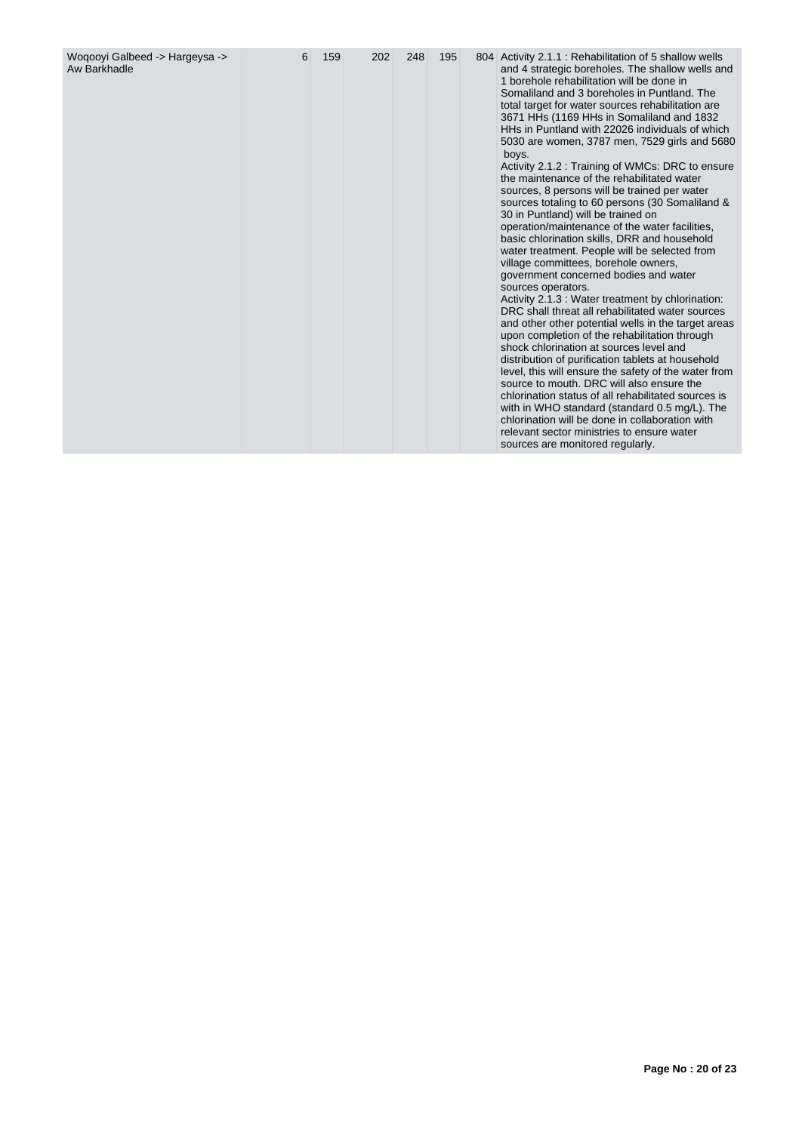| Woqooyi Galbeed -> Hargeysa -><br>Aw Barkhadle | 6 | 159 | 202 | 248 | 195 |  | 804 Activity 2.1.1: Rehabilitation of 5 shallow wells<br>and 4 strategic boreholes. The shallow wells and<br>1 borehole rehabilitation will be done in<br>Somaliland and 3 boreholes in Puntland. The<br>total target for water sources rehabilitation are<br>3671 HHs (1169 HHs in Somaliland and 1832<br>HHs in Puntland with 22026 individuals of which<br>5030 are women, 3787 men, 7529 girls and 5680<br>boys.<br>Activity 2.1.2 : Training of WMCs: DRC to ensure<br>the maintenance of the rehabilitated water<br>sources, 8 persons will be trained per water<br>sources totaling to 60 persons (30 Somaliland &<br>30 in Puntland) will be trained on<br>operation/maintenance of the water facilities,<br>basic chlorination skills, DRR and household<br>water treatment. People will be selected from<br>village committees, borehole owners,<br>government concerned bodies and water<br>sources operators.<br>Activity 2.1.3 : Water treatment by chlorination:<br>DRC shall threat all rehabilitated water sources<br>and other other potential wells in the target areas<br>upon completion of the rehabilitation through<br>shock chlorination at sources level and<br>distribution of purification tablets at household<br>level, this will ensure the safety of the water from<br>source to mouth. DRC will also ensure the<br>chlorination status of all rehabilitated sources is<br>with in WHO standard (standard 0.5 mg/L). The<br>chlorination will be done in collaboration with<br>relevant sector ministries to ensure water<br>sources are monitored regularly. |
|------------------------------------------------|---|-----|-----|-----|-----|--|----------------------------------------------------------------------------------------------------------------------------------------------------------------------------------------------------------------------------------------------------------------------------------------------------------------------------------------------------------------------------------------------------------------------------------------------------------------------------------------------------------------------------------------------------------------------------------------------------------------------------------------------------------------------------------------------------------------------------------------------------------------------------------------------------------------------------------------------------------------------------------------------------------------------------------------------------------------------------------------------------------------------------------------------------------------------------------------------------------------------------------------------------------------------------------------------------------------------------------------------------------------------------------------------------------------------------------------------------------------------------------------------------------------------------------------------------------------------------------------------------------------------------------------------------------------------------------------------|
|------------------------------------------------|---|-----|-----|-----|-----|--|----------------------------------------------------------------------------------------------------------------------------------------------------------------------------------------------------------------------------------------------------------------------------------------------------------------------------------------------------------------------------------------------------------------------------------------------------------------------------------------------------------------------------------------------------------------------------------------------------------------------------------------------------------------------------------------------------------------------------------------------------------------------------------------------------------------------------------------------------------------------------------------------------------------------------------------------------------------------------------------------------------------------------------------------------------------------------------------------------------------------------------------------------------------------------------------------------------------------------------------------------------------------------------------------------------------------------------------------------------------------------------------------------------------------------------------------------------------------------------------------------------------------------------------------------------------------------------------------|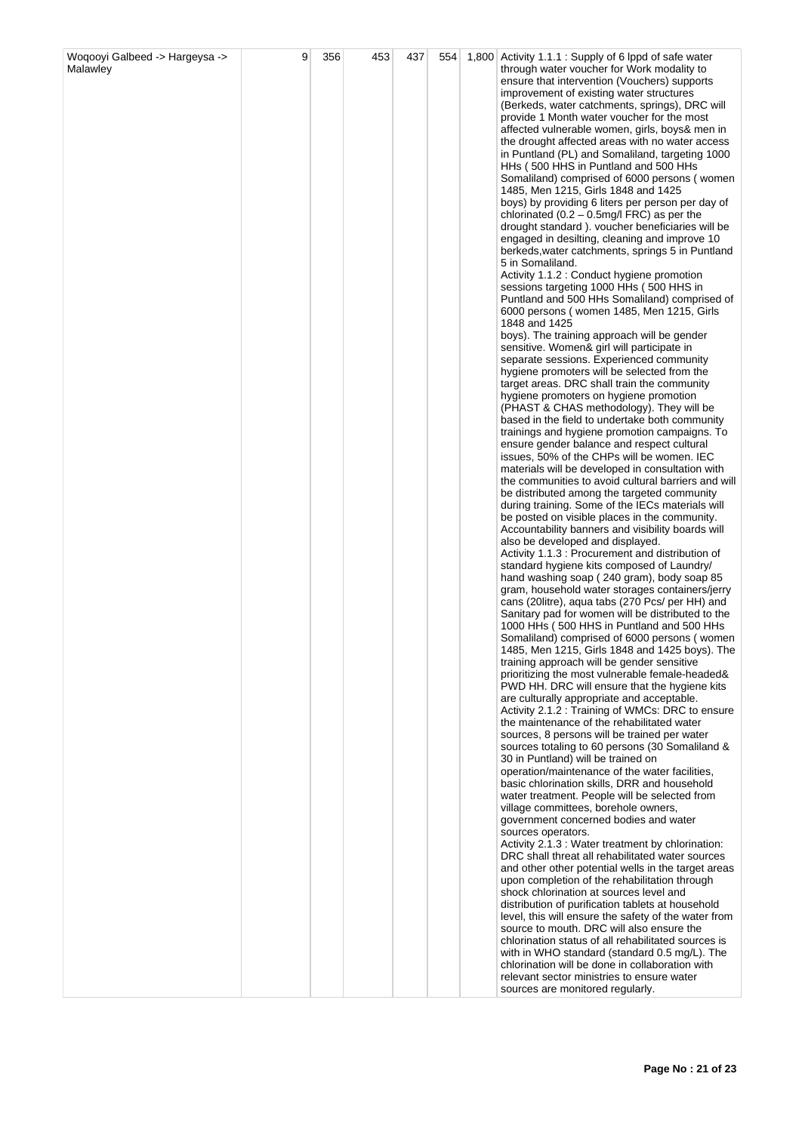| Woqooyi Galbeed -> Hargeysa -> | 9 | 356 | 453 | 437 | 554 | 1,800 Activity 1.1.1 : Supply of 6 lppd of safe water                                                |
|--------------------------------|---|-----|-----|-----|-----|------------------------------------------------------------------------------------------------------|
| Malawley                       |   |     |     |     |     | through water voucher for Work modality to                                                           |
|                                |   |     |     |     |     | ensure that intervention (Vouchers) supports                                                         |
|                                |   |     |     |     |     | improvement of existing water structures                                                             |
|                                |   |     |     |     |     | (Berkeds, water catchments, springs), DRC will                                                       |
|                                |   |     |     |     |     | provide 1 Month water voucher for the most                                                           |
|                                |   |     |     |     |     | affected vulnerable women, girls, boys& men in<br>the drought affected areas with no water access    |
|                                |   |     |     |     |     | in Puntland (PL) and Somaliland, targeting 1000                                                      |
|                                |   |     |     |     |     | HHs (500 HHS in Puntland and 500 HHs                                                                 |
|                                |   |     |     |     |     | Somaliland) comprised of 6000 persons (women                                                         |
|                                |   |     |     |     |     | 1485, Men 1215, Girls 1848 and 1425                                                                  |
|                                |   |     |     |     |     | boys) by providing 6 liters per person per day of                                                    |
|                                |   |     |     |     |     | chlorinated $(0.2 - 0.5 \text{mg/l} \text{ FRC})$ as per the                                         |
|                                |   |     |     |     |     | drought standard). voucher beneficiaries will be                                                     |
|                                |   |     |     |     |     | engaged in desilting, cleaning and improve 10                                                        |
|                                |   |     |     |     |     | berkeds, water catchments, springs 5 in Puntland                                                     |
|                                |   |     |     |     |     | 5 in Somaliland.<br>Activity 1.1.2 : Conduct hygiene promotion                                       |
|                                |   |     |     |     |     | sessions targeting 1000 HHs (500 HHS in                                                              |
|                                |   |     |     |     |     | Puntland and 500 HHs Somaliland) comprised of                                                        |
|                                |   |     |     |     |     | 6000 persons (women 1485, Men 1215, Girls                                                            |
|                                |   |     |     |     |     | 1848 and 1425                                                                                        |
|                                |   |     |     |     |     | boys). The training approach will be gender                                                          |
|                                |   |     |     |     |     | sensitive. Women& girl will participate in                                                           |
|                                |   |     |     |     |     | separate sessions. Experienced community                                                             |
|                                |   |     |     |     |     | hygiene promoters will be selected from the<br>target areas. DRC shall train the community           |
|                                |   |     |     |     |     | hygiene promoters on hygiene promotion                                                               |
|                                |   |     |     |     |     | (PHAST & CHAS methodology). They will be                                                             |
|                                |   |     |     |     |     | based in the field to undertake both community                                                       |
|                                |   |     |     |     |     | trainings and hygiene promotion campaigns. To                                                        |
|                                |   |     |     |     |     | ensure gender balance and respect cultural                                                           |
|                                |   |     |     |     |     | issues, 50% of the CHPs will be women. IEC                                                           |
|                                |   |     |     |     |     | materials will be developed in consultation with                                                     |
|                                |   |     |     |     |     | the communities to avoid cultural barriers and will                                                  |
|                                |   |     |     |     |     | be distributed among the targeted community<br>during training. Some of the IECs materials will      |
|                                |   |     |     |     |     | be posted on visible places in the community.                                                        |
|                                |   |     |     |     |     | Accountability banners and visibility boards will                                                    |
|                                |   |     |     |     |     | also be developed and displayed.                                                                     |
|                                |   |     |     |     |     | Activity 1.1.3 : Procurement and distribution of                                                     |
|                                |   |     |     |     |     | standard hygiene kits composed of Laundry/                                                           |
|                                |   |     |     |     |     | hand washing soap (240 gram), body soap 85                                                           |
|                                |   |     |     |     |     | gram, household water storages containers/jerry                                                      |
|                                |   |     |     |     |     | cans (20litre), aqua tabs (270 Pcs/ per HH) and<br>Sanitary pad for women will be distributed to the |
|                                |   |     |     |     |     | 1000 HHs (500 HHS in Puntland and 500 HHs                                                            |
|                                |   |     |     |     |     | Somaliland) comprised of 6000 persons (women                                                         |
|                                |   |     |     |     |     | 1485, Men 1215, Girls 1848 and 1425 boys). The                                                       |
|                                |   |     |     |     |     | training approach will be gender sensitive                                                           |
|                                |   |     |     |     |     | prioritizing the most vulnerable female-headed&                                                      |
|                                |   |     |     |     |     | PWD HH. DRC will ensure that the hygiene kits                                                        |
|                                |   |     |     |     |     | are culturally appropriate and acceptable.<br>Activity 2.1.2 : Training of WMCs: DRC to ensure       |
|                                |   |     |     |     |     | the maintenance of the rehabilitated water                                                           |
|                                |   |     |     |     |     | sources, 8 persons will be trained per water                                                         |
|                                |   |     |     |     |     | sources totaling to 60 persons (30 Somaliland &                                                      |
|                                |   |     |     |     |     | 30 in Puntland) will be trained on                                                                   |
|                                |   |     |     |     |     | operation/maintenance of the water facilities,                                                       |
|                                |   |     |     |     |     | basic chlorination skills, DRR and household                                                         |
|                                |   |     |     |     |     | water treatment. People will be selected from                                                        |
|                                |   |     |     |     |     | village committees, borehole owners,<br>government concerned bodies and water                        |
|                                |   |     |     |     |     | sources operators.                                                                                   |
|                                |   |     |     |     |     | Activity 2.1.3 : Water treatment by chlorination:                                                    |
|                                |   |     |     |     |     | DRC shall threat all rehabilitated water sources                                                     |
|                                |   |     |     |     |     | and other other potential wells in the target areas                                                  |
|                                |   |     |     |     |     | upon completion of the rehabilitation through                                                        |
|                                |   |     |     |     |     | shock chlorination at sources level and                                                              |
|                                |   |     |     |     |     | distribution of purification tablets at household                                                    |
|                                |   |     |     |     |     | level, this will ensure the safety of the water from<br>source to mouth. DRC will also ensure the    |
|                                |   |     |     |     |     | chlorination status of all rehabilitated sources is                                                  |
|                                |   |     |     |     |     | with in WHO standard (standard 0.5 mg/L). The                                                        |
|                                |   |     |     |     |     | chlorination will be done in collaboration with                                                      |
|                                |   |     |     |     |     | relevant sector ministries to ensure water                                                           |
|                                |   |     |     |     |     | sources are monitored regularly.                                                                     |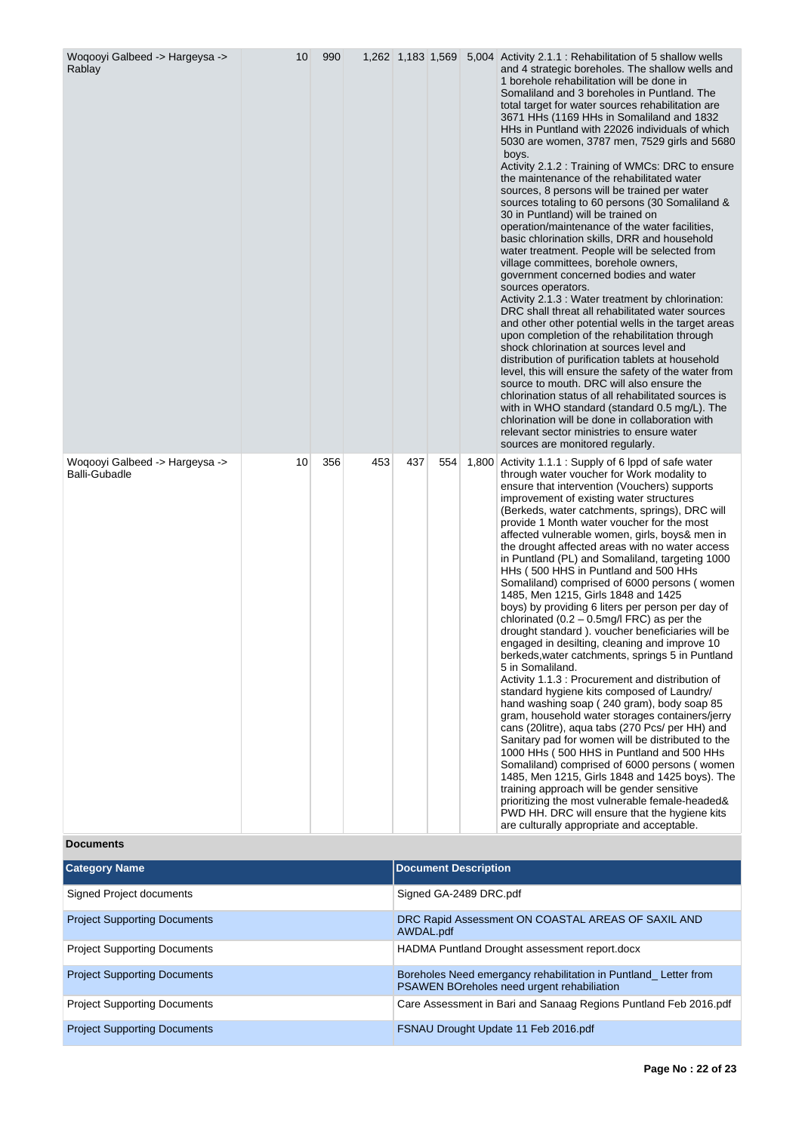| Woqooyi Galbeed -> Hargeysa -><br>Rablay                | 10 | 990 |     | 1,262 1,183 1,569 |                             |                        | 5,004 Activity 2.1.1 : Rehabilitation of 5 shallow wells<br>and 4 strategic boreholes. The shallow wells and<br>1 borehole rehabilitation will be done in<br>Somaliland and 3 boreholes in Puntland. The<br>total target for water sources rehabilitation are<br>3671 HHs (1169 HHs in Somaliland and 1832<br>HHs in Puntland with 22026 individuals of which<br>5030 are women, 3787 men, 7529 girls and 5680<br>boys.<br>Activity 2.1.2 : Training of WMCs: DRC to ensure<br>the maintenance of the rehabilitated water<br>sources, 8 persons will be trained per water<br>sources totaling to 60 persons (30 Somaliland &<br>30 in Puntland) will be trained on<br>operation/maintenance of the water facilities,<br>basic chlorination skills, DRR and household<br>water treatment. People will be selected from<br>village committees, borehole owners,<br>government concerned bodies and water<br>sources operators.<br>Activity 2.1.3 : Water treatment by chlorination:<br>DRC shall threat all rehabilitated water sources<br>and other other potential wells in the target areas<br>upon completion of the rehabilitation through<br>shock chlorination at sources level and<br>distribution of purification tablets at household<br>level, this will ensure the safety of the water from<br>source to mouth. DRC will also ensure the<br>chlorination status of all rehabilitated sources is<br>with in WHO standard (standard 0.5 mg/L). The<br>chlorination will be done in collaboration with<br>relevant sector ministries to ensure water<br>sources are monitored regularly. |
|---------------------------------------------------------|----|-----|-----|-------------------|-----------------------------|------------------------|-------------------------------------------------------------------------------------------------------------------------------------------------------------------------------------------------------------------------------------------------------------------------------------------------------------------------------------------------------------------------------------------------------------------------------------------------------------------------------------------------------------------------------------------------------------------------------------------------------------------------------------------------------------------------------------------------------------------------------------------------------------------------------------------------------------------------------------------------------------------------------------------------------------------------------------------------------------------------------------------------------------------------------------------------------------------------------------------------------------------------------------------------------------------------------------------------------------------------------------------------------------------------------------------------------------------------------------------------------------------------------------------------------------------------------------------------------------------------------------------------------------------------------------------------------------------------------------------------|
| Woqooyi Galbeed -> Hargeysa -><br><b>Balli-Gubadle</b>  | 10 | 356 | 453 | 437               | 554                         |                        | 1,800 Activity 1.1.1 : Supply of 6 lppd of safe water<br>through water voucher for Work modality to<br>ensure that intervention (Vouchers) supports<br>improvement of existing water structures<br>(Berkeds, water catchments, springs), DRC will<br>provide 1 Month water voucher for the most<br>affected vulnerable women, girls, boys& men in<br>the drought affected areas with no water access<br>in Puntland (PL) and Somaliland, targeting 1000<br>HHs (500 HHS in Puntland and 500 HHs<br>Somaliland) comprised of 6000 persons (women<br>1485, Men 1215, Girls 1848 and 1425<br>boys) by providing 6 liters per person per day of<br>chlorinated $(0.2 - 0.5 \text{mg/l} \text{ FRC})$ as per the<br>drought standard). voucher beneficiaries will be<br>engaged in desilting, cleaning and improve 10<br>berkeds, water catchments, springs 5 in Puntland<br>5 in Somaliland.<br>Activity 1.1.3 : Procurement and distribution of<br>standard hygiene kits composed of Laundry/<br>hand washing soap (240 gram), body soap 85<br>gram, household water storages containers/jerry<br>cans (20litre), aqua tabs (270 Pcs/ per HH) and<br>Sanitary pad for women will be distributed to the<br>1000 HHs (500 HHS in Puntland and 500 HHs<br>Somaliland) comprised of 6000 persons (women<br>1485, Men 1215, Girls 1848 and 1425 boys). The<br>training approach will be gender sensitive<br>prioritizing the most vulnerable female-headed&<br>PWD HH. DRC will ensure that the hygiene kits<br>are culturally appropriate and acceptable.                                              |
| <b>Documents</b>                                        |    |     |     |                   | <b>Document Description</b> |                        |                                                                                                                                                                                                                                                                                                                                                                                                                                                                                                                                                                                                                                                                                                                                                                                                                                                                                                                                                                                                                                                                                                                                                                                                                                                                                                                                                                                                                                                                                                                                                                                                 |
| <b>Category Name</b><br><b>Signed Project documents</b> |    |     |     |                   |                             | Signed GA-2489 DRC.pdf |                                                                                                                                                                                                                                                                                                                                                                                                                                                                                                                                                                                                                                                                                                                                                                                                                                                                                                                                                                                                                                                                                                                                                                                                                                                                                                                                                                                                                                                                                                                                                                                                 |

| <b>Project Supporting Documents</b> | DRC Rapid Assessment ON COASTAL AREAS OF SAXIL AND<br>AWDAL.pdf                                               |
|-------------------------------------|---------------------------------------------------------------------------------------------------------------|
| <b>Project Supporting Documents</b> | HADMA Puntland Drought assessment report.docx                                                                 |
| <b>Project Supporting Documents</b> | Boreholes Need emergancy rehabilitation in Puntland_Letter from<br>PSAWEN BOreholes need urgent rehabiliation |
| <b>Project Supporting Documents</b> | Care Assessment in Bari and Sanaag Regions Puntland Feb 2016.pdf                                              |
| <b>Project Supporting Documents</b> | FSNAU Drought Update 11 Feb 2016.pdf                                                                          |